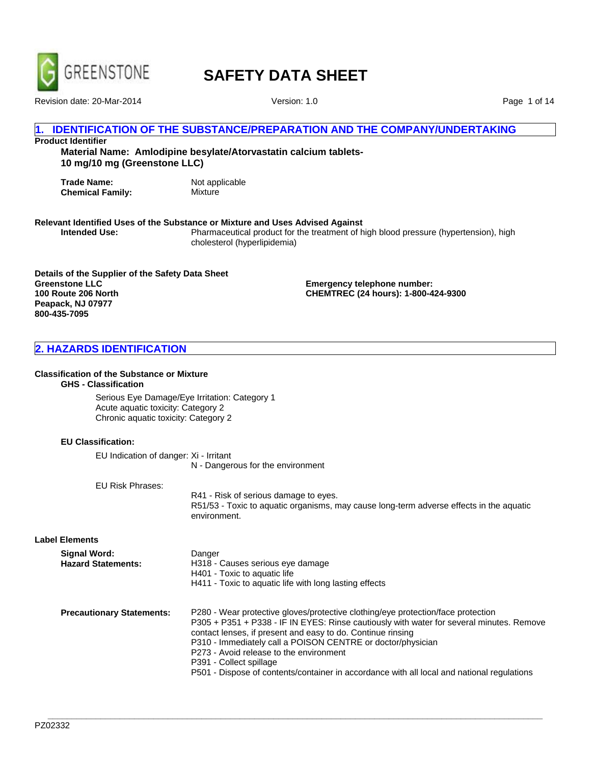

Revision date: 20-Mar-2014 Version: 1.0

Page 1 of 14

# **IDENTIFICATION OF THE SUBSTANCE/PREPARATION AND THE COMPANY/UNDERTAKING**

# **Product Identifier**

**Material Name: Amlodipine besylate/Atorvastatin calcium tablets-10 mg/10 mg (Greenstone LLC)**

**Trade Name:** Not applicable<br> **Chemical Family:** Mixture **Chemical Family:** 

# **Relevant Identified Uses of the Substance or Mixture and Uses Advised Against**

**Intended Use:** Pharmaceutical product for the treatment of high blood pressure (hypertension), high cholesterol (hyperlipidemia)

**Details of the Supplier of the Safety Data Sheet Greenstone LLC 100 Route 206 North Peapack, NJ 07977 800-435-7095**

**Emergency telephone number: CHEMTREC (24 hours): 1-800-424-9300**

# **2. HAZARDS IDENTIFICATION**

#### **Classification of the Substance or Mixture**

# **GHS - Classification**

Serious Eye Damage/Eye Irritation: Category 1 Acute aquatic toxicity: Category 2 Chronic aquatic toxicity: Category 2

#### **EU Classification:**

EU Indication of danger: Xi - Irritant N - Dangerous for the environment

EU Risk Phrases:

R41 - Risk of serious damage to eyes. R51/53 - Toxic to aquatic organisms, may cause long-term adverse effects in the aquatic environment.

#### **Label Elements**

| Signal Word:<br><b>Hazard Statements:</b> | Danger<br>H318 - Causes serious eye damage<br>H401 - Toxic to aquatic life<br>H411 - Toxic to aquatic life with long lasting effects                                                                                                                                                                                                                                             |
|-------------------------------------------|----------------------------------------------------------------------------------------------------------------------------------------------------------------------------------------------------------------------------------------------------------------------------------------------------------------------------------------------------------------------------------|
| <b>Precautionary Statements:</b>          | P280 - Wear protective gloves/protective clothing/eye protection/face protection<br>P305 + P351 + P338 - IF IN EYES: Rinse cautiously with water for several minutes. Remove<br>contact lenses, if present and easy to do. Continue rinsing<br>P310 - Immediately call a POISON CENTRE or doctor/physician<br>P273 - Avoid release to the environment<br>P391 - Collect spillage |

**\_\_\_\_\_\_\_\_\_\_\_\_\_\_\_\_\_\_\_\_\_\_\_\_\_\_\_\_\_\_\_\_\_\_\_\_\_\_\_\_\_\_\_\_\_\_\_\_\_\_\_\_\_\_\_\_\_\_\_\_\_\_\_\_\_\_\_\_\_\_\_\_\_\_\_\_\_\_\_\_\_\_\_\_\_\_\_\_\_\_\_\_\_\_\_\_\_\_\_\_\_\_\_**

P501 - Dispose of contents/container in accordance with all local and national regulations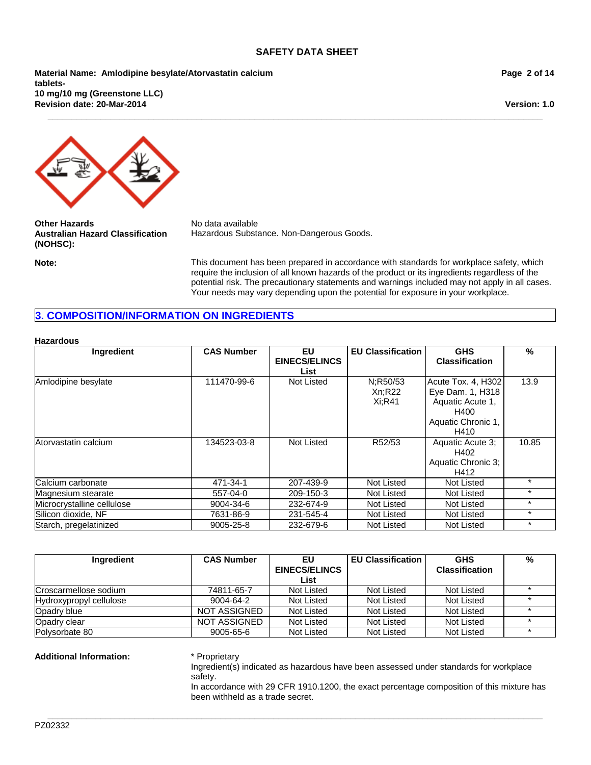**\_\_\_\_\_\_\_\_\_\_\_\_\_\_\_\_\_\_\_\_\_\_\_\_\_\_\_\_\_\_\_\_\_\_\_\_\_\_\_\_\_\_\_\_\_\_\_\_\_\_\_\_\_\_\_\_\_\_\_\_\_\_\_\_\_\_\_\_\_\_\_\_\_\_\_\_\_\_\_\_\_\_\_\_\_\_\_\_\_\_\_\_\_\_\_\_\_\_\_\_\_\_\_**

**Revision date: 20-Mar-2014 Material Name: Amlodipine besylate/Atorvastatin calcium tablets-10 mg/10 mg (Greenstone LLC)**

**Page 2 of 14**

**Version: 1.0**



**Other Hazards** No data available **Australian Hazard Classification (NOHSC):**

Hazardous Substance. Non-Dangerous Goods.

**Note:** This document has been prepared in accordance with standards for workplace safety, which require the inclusion of all known hazards of the product or its ingredients regardless of the potential risk. The precautionary statements and warnings included may not apply in all cases. Your needs may vary depending upon the potential for exposure in your workplace.

# **3. COMPOSITION/INFORMATION ON INGREDIENTS**

#### **Hazardous**

| Ingredient                 | <b>CAS Number</b> | EU                   | <b>EU Classification</b> | <b>GHS</b>            | %       |
|----------------------------|-------------------|----------------------|--------------------------|-----------------------|---------|
|                            |                   | <b>EINECS/ELINCS</b> |                          | <b>Classification</b> |         |
|                            |                   | List                 |                          |                       |         |
| Amlodipine besylate        | 111470-99-6       | Not Listed           | N:R50/53                 | Acute Tox. 4, H302    | 13.9    |
|                            |                   |                      | Xn:R22                   | Eye Dam. 1, H318      |         |
|                            |                   |                      | Xi:R41                   | Aquatic Acute 1,      |         |
|                            |                   |                      |                          | H400                  |         |
|                            |                   |                      |                          | Aquatic Chronic 1,    |         |
|                            |                   |                      |                          | H410                  |         |
| Atorvastatin calcium       | 134523-03-8       | Not Listed           | R52/53                   | Aquatic Acute 3;      | 10.85   |
|                            |                   |                      |                          | H402                  |         |
|                            |                   |                      |                          | Aquatic Chronic 3;    |         |
|                            |                   |                      |                          | H412                  |         |
| Calcium carbonate          | 471-34-1          | 207-439-9            | Not Listed               | Not Listed            | $\star$ |
| Magnesium stearate         | 557-04-0          | 209-150-3            | Not Listed               | Not Listed            | $\star$ |
| Microcrystalline cellulose | 9004-34-6         | 232-674-9            | Not Listed               | Not Listed            | $\star$ |
| Silicon dioxide, NF        | 7631-86-9         | 231-545-4            | Not Listed               | Not Listed            | $\star$ |
| Starch, pregelatinized     | 9005-25-8         | 232-679-6            | Not Listed               | Not Listed            | $\star$ |

| Ingredient              | <b>CAS Number</b>   | EU                   | <b>EU Classification</b> | <b>GHS</b>            | % |
|-------------------------|---------------------|----------------------|--------------------------|-----------------------|---|
|                         |                     | <b>EINECS/ELINCS</b> |                          | <b>Classification</b> |   |
|                         |                     | List                 |                          |                       |   |
| Croscarmellose sodium   | 74811-65-7          | Not Listed           | Not Listed               | Not Listed            |   |
| Hydroxypropyl cellulose | 9004-64-2           | Not Listed           | Not Listed               | Not Listed            |   |
| Opadry blue             | <b>NOT ASSIGNED</b> | Not Listed           | Not Listed               | Not Listed            |   |
| Opadry clear            | NOT ASSIGNED        | Not Listed           | Not Listed               | Not Listed            |   |
| Polysorbate 80          | $9005 - 65 - 6$     | Not Listed           | Not Listed               | Not Listed            |   |

**\_\_\_\_\_\_\_\_\_\_\_\_\_\_\_\_\_\_\_\_\_\_\_\_\_\_\_\_\_\_\_\_\_\_\_\_\_\_\_\_\_\_\_\_\_\_\_\_\_\_\_\_\_\_\_\_\_\_\_\_\_\_\_\_\_\_\_\_\_\_\_\_\_\_\_\_\_\_\_\_\_\_\_\_\_\_\_\_\_\_\_\_\_\_\_\_\_\_\_\_\_\_\_**

#### **Additional Information:** \* Proprietary

Ingredient(s) indicated as hazardous have been assessed under standards for workplace safety.

In accordance with 29 CFR 1910.1200, the exact percentage composition of this mixture has been withheld as a trade secret.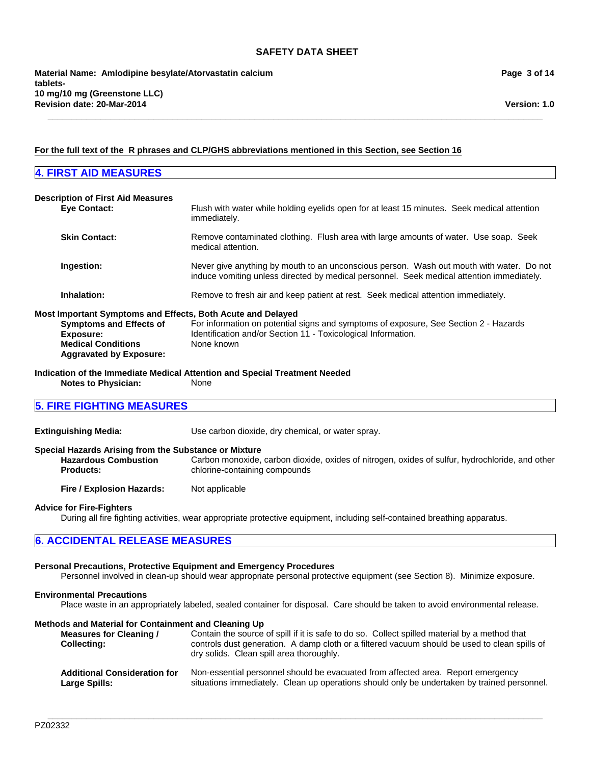**\_\_\_\_\_\_\_\_\_\_\_\_\_\_\_\_\_\_\_\_\_\_\_\_\_\_\_\_\_\_\_\_\_\_\_\_\_\_\_\_\_\_\_\_\_\_\_\_\_\_\_\_\_\_\_\_\_\_\_\_\_\_\_\_\_\_\_\_\_\_\_\_\_\_\_\_\_\_\_\_\_\_\_\_\_\_\_\_\_\_\_\_\_\_\_\_\_\_\_\_\_\_\_**

# **Page 3 of 14**

# **For the full text of the R phrases and CLP/GHS abbreviations mentioned in this Section, see Section 16**

# **4. FIRST AID MEASURES Description of First Aid Measures Eye Contact:** Flush with water while holding eyelids open for at least 15 minutes. Seek medical attention immediately. **Skin Contact:** Remove contaminated clothing. Flush area with large amounts of water. Use soap. Seek medical attention. **Ingestion:** Never give anything by mouth to an unconscious person. Wash out mouth with water. Do not induce vomiting unless directed by medical personnel. Seek medical attention immediately. **Inhalation:** Remove to fresh air and keep patient at rest. Seek medical attention immediately. **Most Important Symptoms and Effects, Both Acute and Delayed Symptoms and Effects of Exposure:** For information on potential signs and symptoms of exposure, See Section 2 - Hazards Identification and/or Section 11 - Toxicological Information. **Medical Conditions Aggravated by Exposure:** None known **Indication of the Immediate Medical Attention and Special Treatment Needed Notes to Physician:** None **5. FIRE FIGHTING MEASURES Extinguishing Media:** Use carbon dioxide, dry chemical, or water spray. **Special Hazards Arising from the Substance or Mixture Hazardous Combustion Products:** Carbon monoxide, carbon dioxide, oxides of nitrogen, oxides of sulfur, hydrochloride, and other chlorine-containing compounds **Fire / Explosion Hazards:** Not applicable **Advice for Fire-Fighters** During all fire fighting activities, wear appropriate protective equipment, including self-contained breathing apparatus.

# **6. ACCIDENTAL RELEASE MEASURES**

# **Personal Precautions, Protective Equipment and Emergency Procedures**

Personnel involved in clean-up should wear appropriate personal protective equipment (see Section 8). Minimize exposure.

#### **Environmental Precautions**

Place waste in an appropriately labeled, sealed container for disposal. Care should be taken to avoid environmental release.

#### **Methods and Material for Containment and Cleaning Up**

**Measures for Cleaning / Collecting:** Contain the source of spill if it is safe to do so. Collect spilled material by a method that controls dust generation. A damp cloth or a filtered vacuum should be used to clean spills of dry solids. Clean spill area thoroughly. **Additional Consideration for** Non-essential personnel should be evacuated from affected area. Report emergency

situations immediately. Clean up operations should only be undertaken by trained personnel.

**Large Spills:**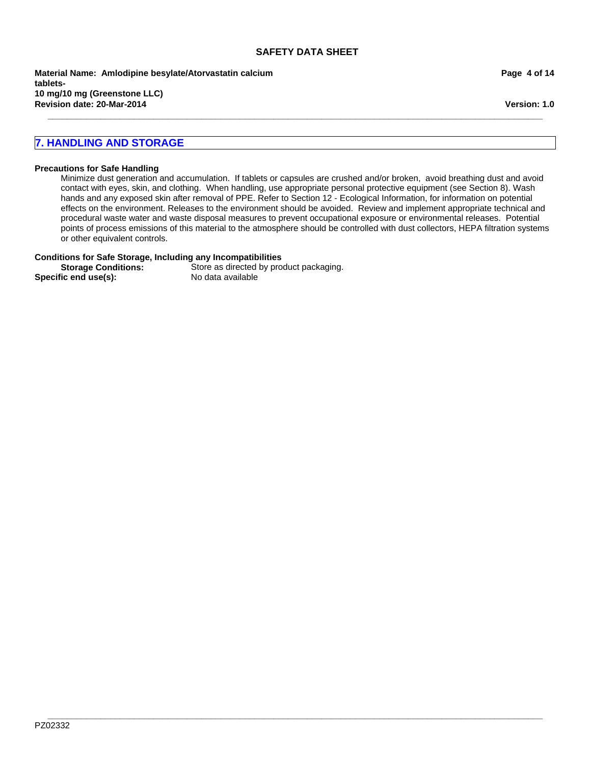**\_\_\_\_\_\_\_\_\_\_\_\_\_\_\_\_\_\_\_\_\_\_\_\_\_\_\_\_\_\_\_\_\_\_\_\_\_\_\_\_\_\_\_\_\_\_\_\_\_\_\_\_\_\_\_\_\_\_\_\_\_\_\_\_\_\_\_\_\_\_\_\_\_\_\_\_\_\_\_\_\_\_\_\_\_\_\_\_\_\_\_\_\_\_\_\_\_\_\_\_\_\_\_**

**Revision date: 20-Mar-2014 Material Name: Amlodipine besylate/Atorvastatin calcium tablets-10 mg/10 mg (Greenstone LLC)**

#### **Page 4 of 14**

**Version: 1.0**

# **7. HANDLING AND STORAGE**

#### **Precautions for Safe Handling**

Minimize dust generation and accumulation. If tablets or capsules are crushed and/or broken, avoid breathing dust and avoid contact with eyes, skin, and clothing. When handling, use appropriate personal protective equipment (see Section 8). Wash hands and any exposed skin after removal of PPE. Refer to Section 12 - Ecological Information, for information on potential effects on the environment. Releases to the environment should be avoided. Review and implement appropriate technical and procedural waste water and waste disposal measures to prevent occupational exposure or environmental releases. Potential points of process emissions of this material to the atmosphere should be controlled with dust collectors, HEPA filtration systems or other equivalent controls.

**\_\_\_\_\_\_\_\_\_\_\_\_\_\_\_\_\_\_\_\_\_\_\_\_\_\_\_\_\_\_\_\_\_\_\_\_\_\_\_\_\_\_\_\_\_\_\_\_\_\_\_\_\_\_\_\_\_\_\_\_\_\_\_\_\_\_\_\_\_\_\_\_\_\_\_\_\_\_\_\_\_\_\_\_\_\_\_\_\_\_\_\_\_\_\_\_\_\_\_\_\_\_\_**

#### **Conditions for Safe Storage, Including any Incompatibilities**

**Storage Conditions:** Store as directed by product packaging.<br> **Store as directed by product packaging.**<br>
No data available Specific end use(s):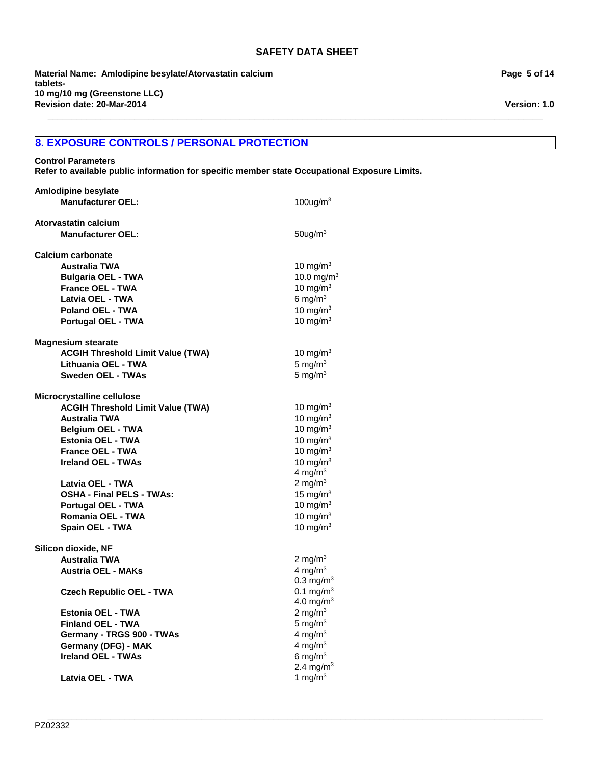**\_\_\_\_\_\_\_\_\_\_\_\_\_\_\_\_\_\_\_\_\_\_\_\_\_\_\_\_\_\_\_\_\_\_\_\_\_\_\_\_\_\_\_\_\_\_\_\_\_\_\_\_\_\_\_\_\_\_\_\_\_\_\_\_\_\_\_\_\_\_\_\_\_\_\_\_\_\_\_\_\_\_\_\_\_\_\_\_\_\_\_\_\_\_\_\_\_\_\_\_\_\_\_**

**\_\_\_\_\_\_\_\_\_\_\_\_\_\_\_\_\_\_\_\_\_\_\_\_\_\_\_\_\_\_\_\_\_\_\_\_\_\_\_\_\_\_\_\_\_\_\_\_\_\_\_\_\_\_\_\_\_\_\_\_\_\_\_\_\_\_\_\_\_\_\_\_\_\_\_\_\_\_\_\_\_\_\_\_\_\_\_\_\_\_\_\_\_\_\_\_\_\_\_\_\_\_\_**

**Revision date: 20-Mar-2014 Material Name: Amlodipine besylate/Atorvastatin calcium tablets-10 mg/10 mg (Greenstone LLC)**

# **8. EXPOSURE CONTROLS / PERSONAL PROTECTION**

**Control Parameters**

**Refer to available public information for specific member state Occupational Exposure Limits.**

| <b>Amlodipine besylate</b>               |                       |
|------------------------------------------|-----------------------|
| <b>Manufacturer OEL:</b>                 | $100$ ug/m $3$        |
| Atorvastatin calcium                     |                       |
| <b>Manufacturer OEL:</b>                 | $50$ ug/m $3$         |
| <b>Calcium carbonate</b>                 |                       |
| <b>Australia TWA</b>                     | 10 mg/m $3$           |
| <b>Bulgaria OEL - TWA</b>                | 10.0 mg/m $3$         |
| <b>France OEL - TWA</b>                  | 10 mg/m $3$           |
| Latvia OEL - TWA                         | 6 mg/ $m3$            |
| <b>Poland OEL - TWA</b>                  | 10 mg/m $3$           |
| <b>Portugal OEL - TWA</b>                | 10 mg/m $3$           |
| <b>Magnesium stearate</b>                |                       |
| <b>ACGIH Threshold Limit Value (TWA)</b> | 10 mg/m $3$           |
| Lithuania OEL - TWA                      | 5 mg/ $m3$            |
| <b>Sweden OEL - TWAs</b>                 | 5 mg/ $m3$            |
| Microcrystalline cellulose               |                       |
| <b>ACGIH Threshold Limit Value (TWA)</b> | 10 mg/m $3$           |
| <b>Australia TWA</b>                     | 10 mg/m $3$           |
| <b>Belgium OEL - TWA</b>                 | 10 mg/m $3$           |
| <b>Estonia OEL - TWA</b>                 | 10 mg/m $3$           |
| <b>France OEL - TWA</b>                  | 10 mg/m $3$           |
| <b>Ireland OEL - TWAs</b>                | 10 mg/m $3$           |
|                                          | 4 mg/m $3$            |
| Latvia OEL - TWA                         | 2 mg/m $3$            |
| <b>OSHA - Final PELS - TWAs:</b>         | 15 mg/ $m3$           |
| Portugal OEL - TWA                       | 10 mg/m $3$           |
| Romania OEL - TWA                        | 10 mg/m $3$           |
| Spain OEL - TWA                          | 10 mg/m $3$           |
| Silicon dioxide, NF                      |                       |
| <b>Australia TWA</b>                     | 2 mg/m $3$            |
| <b>Austria OEL - MAKs</b>                | 4 mg/ $m3$            |
|                                          | $0.3 \text{ mg/m}^3$  |
| <b>Czech Republic OEL - TWA</b>          | 0.1 mg/m <sup>3</sup> |
|                                          | $4.0 \text{ mg/m}^3$  |
| <b>Estonia OEL - TWA</b>                 | 2 mg/m $3$            |
| <b>Finland OEL - TWA</b>                 | $5 \text{ mg/m}^3$    |
| Germany - TRGS 900 - TWAs                | 4 mg/ $m3$            |
| <b>Germany (DFG) - MAK</b>               | 4 mg/m $3$            |
| <b>Ireland OEL - TWAs</b>                | 6 mg/m $3$            |
|                                          | 2.4 mg/m <sup>3</sup> |
| Latvia OEL - TWA                         | 1 mg/m $3$            |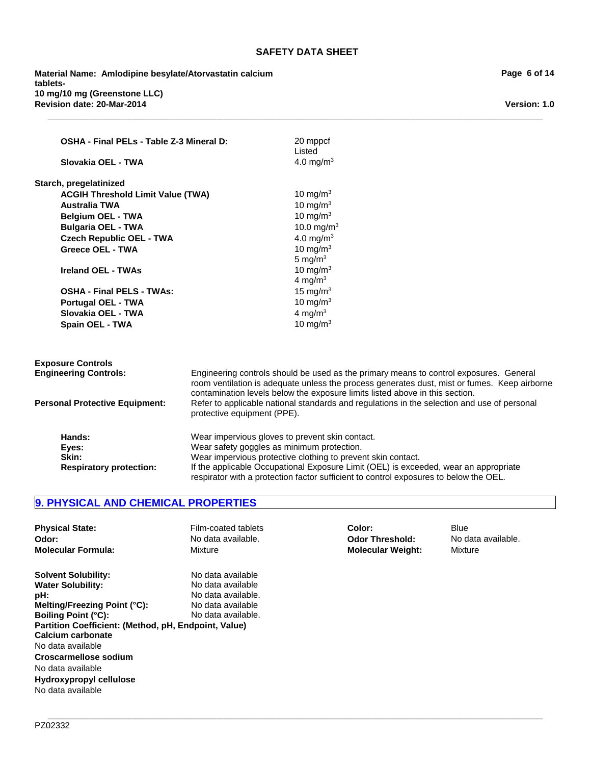**\_\_\_\_\_\_\_\_\_\_\_\_\_\_\_\_\_\_\_\_\_\_\_\_\_\_\_\_\_\_\_\_\_\_\_\_\_\_\_\_\_\_\_\_\_\_\_\_\_\_\_\_\_\_\_\_\_\_\_\_\_\_\_\_\_\_\_\_\_\_\_\_\_\_\_\_\_\_\_\_\_\_\_\_\_\_\_\_\_\_\_\_\_\_\_\_\_\_\_\_\_\_\_**

20 mppcf

**Revision date: 20-Mar-2014 Material Name: Amlodipine besylate/Atorvastatin calcium tablets-10 mg/10 mg (Greenstone LLC)**

**OSHA - Final PELs - Table Z-3 Mineral D:**

|                                          | Listed                                                                                                                                                                                                                                                                 |
|------------------------------------------|------------------------------------------------------------------------------------------------------------------------------------------------------------------------------------------------------------------------------------------------------------------------|
| Slovakia OEL - TWA                       | 4.0 mg/m <sup>3</sup>                                                                                                                                                                                                                                                  |
| Starch, pregelatinized                   |                                                                                                                                                                                                                                                                        |
| <b>ACGIH Threshold Limit Value (TWA)</b> | 10 mg/m $3$                                                                                                                                                                                                                                                            |
| <b>Australia TWA</b>                     | 10 mg/m $3$                                                                                                                                                                                                                                                            |
| <b>Belgium OEL - TWA</b>                 | 10 mg/m $3$                                                                                                                                                                                                                                                            |
| <b>Bulgaria OEL - TWA</b>                | 10.0 mg/m <sup>3</sup>                                                                                                                                                                                                                                                 |
| <b>Czech Republic OEL - TWA</b>          | 4.0 mg/m <sup>3</sup>                                                                                                                                                                                                                                                  |
| <b>Greece OEL - TWA</b>                  | 10 mg/m $3$                                                                                                                                                                                                                                                            |
|                                          | 5 mg/ $m3$                                                                                                                                                                                                                                                             |
| <b>Ireland OEL - TWAs</b>                | 10 mg/m $3$                                                                                                                                                                                                                                                            |
|                                          | 4 mg/m $3$                                                                                                                                                                                                                                                             |
| <b>OSHA - Final PELS - TWAs:</b>         | 15 mg/m $3$                                                                                                                                                                                                                                                            |
| Portugal OEL - TWA                       | 10 mg/m $3$                                                                                                                                                                                                                                                            |
| Slovakia OEL - TWA                       | 4 mg/m $3$                                                                                                                                                                                                                                                             |
| Spain OEL - TWA                          | 10 mg/m $3$                                                                                                                                                                                                                                                            |
| <b>Exposure Controls</b>                 |                                                                                                                                                                                                                                                                        |
| <b>Engineering Controls:</b>             | Engineering controls should be used as the primary means to control exposures. General<br>room ventilation is adequate unless the process generates dust, mist or fumes. Keep airborne<br>contamination levels below the exposure limits listed above in this section. |
| <b>Personal Protective Equipment:</b>    | Refer to applicable national standards and regulations in the selection and use of personal<br>protective equipment (PPE).                                                                                                                                             |
| Hands:                                   | Wear impervious gloves to prevent skin contact.                                                                                                                                                                                                                        |
| Eyes:                                    | Wear safety goggles as minimum protection.                                                                                                                                                                                                                             |
| Skin:                                    | Wear impervious protective clothing to prevent skin contact.                                                                                                                                                                                                           |
| <b>Respiratory protection:</b>           | If the applicable Occupational Exposure Limit (OEL) is exceeded, wear an appropriate                                                                                                                                                                                   |

# **9. PHYSICAL AND CHEMICAL PROPERTIES**

| <b>Physical State:</b>                                                                                                                                                                                                                                                                                                      | Film-coated tablets                                                                                     | Color:                   | <b>Blue</b>        |
|-----------------------------------------------------------------------------------------------------------------------------------------------------------------------------------------------------------------------------------------------------------------------------------------------------------------------------|---------------------------------------------------------------------------------------------------------|--------------------------|--------------------|
| Odor:                                                                                                                                                                                                                                                                                                                       | No data available.                                                                                      | <b>Odor Threshold:</b>   | No data available. |
| <b>Molecular Formula:</b>                                                                                                                                                                                                                                                                                                   | Mixture                                                                                                 | <b>Molecular Weight:</b> | Mixture            |
| <b>Solvent Solubility:</b><br><b>Water Solubility:</b><br>pH:<br>Melting/Freezing Point (°C):<br><b>Boiling Point (°C):</b><br>Partition Coefficient: (Method, pH, Endpoint, Value)<br>Calcium carbonate<br>No data available<br>Croscarmellose sodium<br>No data available<br>Hydroxypropyl cellulose<br>No data available | No data available<br>No data available<br>No data available.<br>No data available<br>No data available. |                          |                    |

**\_\_\_\_\_\_\_\_\_\_\_\_\_\_\_\_\_\_\_\_\_\_\_\_\_\_\_\_\_\_\_\_\_\_\_\_\_\_\_\_\_\_\_\_\_\_\_\_\_\_\_\_\_\_\_\_\_\_\_\_\_\_\_\_\_\_\_\_\_\_\_\_\_\_\_\_\_\_\_\_\_\_\_\_\_\_\_\_\_\_\_\_\_\_\_\_\_\_\_\_\_\_\_**

respirator with a protection factor sufficient to control exposures to below the OEL.

**Page 6 of 14**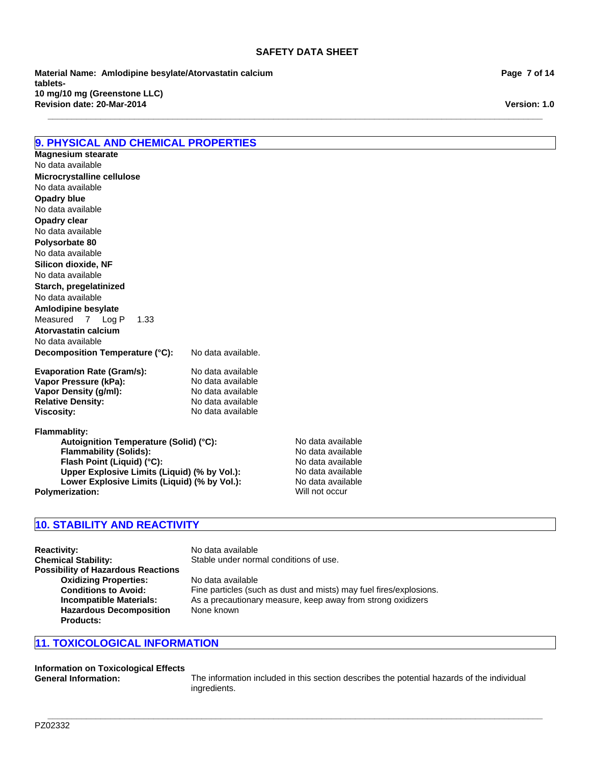**\_\_\_\_\_\_\_\_\_\_\_\_\_\_\_\_\_\_\_\_\_\_\_\_\_\_\_\_\_\_\_\_\_\_\_\_\_\_\_\_\_\_\_\_\_\_\_\_\_\_\_\_\_\_\_\_\_\_\_\_\_\_\_\_\_\_\_\_\_\_\_\_\_\_\_\_\_\_\_\_\_\_\_\_\_\_\_\_\_\_\_\_\_\_\_\_\_\_\_\_\_\_\_**

**Revision date: 20-Mar-2014 Material Name: Amlodipine besylate/Atorvastatin calcium tablets-10 mg/10 mg (Greenstone LLC)**

# **9. PHYSICAL AND CHEMICAL PROPERTIES**

**Decomposition Temperature (°C):** No data available. **Evaporation Rate (Gram/s):** No data available<br> **Vapor Pressure (kPa):** No data available **Vapor Pressure (kPa):** No data available<br> **Vapor Density (g/ml)**<br>
No data available No data available No data available No data available **Polysorbate 80 Microcrystalline cellulose** No data available **Silicon dioxide, NF** No data available No data available **Starch, pregelatinized Opadry blue** No data available **Magnesium stearate Amlodipine besylate** No data available Measured7Log P1.33 **Atorvastatin calcium Opadry clear**

**Vapor Density (g/ml):** No data available<br> **Relative Density:** No data available **Viscosity:** No data available

Autoignition Temperature (Solid) (°C):<br>
Flammability (Solids): No data available **Flammability (Solids):** No data available<br> **Flash Point (Liquid) (°C):** No data available **Flash Point (Liquid) (°C): Upper Explosive Limits (Liquid) (% by Vol.):** No data available Lower Explosive Limits (Liquid) (% by Vol.): No data available **Polymerization:** Will not occur

# **10. STABILITY AND REACTIVITY**

**Relative Density:** 

**Flammablity:**

**Reactivity:** No data available<br> **Chemical Stability:** Stable under norm Stable under normal conditions of use. **Possibility of Hazardous Reactions Oxidizing Properties:** No data available **Conditions to Avoid:** Fine particles (such as dust and mists) may fuel fires/explosions.<br>**Incompatible Materials:** As a precautionary measure, keep away from strong oxidizers As a precautionary measure, keep away from strong oxidizers **Hazardous Decomposition Products:** None known

# **11. TOXICOLOGICAL INFORMATION**

**Information on Toxicological Effects**

**General Information:** The information included in this section describes the potential hazards of the individual ingredients.

**\_\_\_\_\_\_\_\_\_\_\_\_\_\_\_\_\_\_\_\_\_\_\_\_\_\_\_\_\_\_\_\_\_\_\_\_\_\_\_\_\_\_\_\_\_\_\_\_\_\_\_\_\_\_\_\_\_\_\_\_\_\_\_\_\_\_\_\_\_\_\_\_\_\_\_\_\_\_\_\_\_\_\_\_\_\_\_\_\_\_\_\_\_\_\_\_\_\_\_\_\_\_\_**

**Page 7 of 14**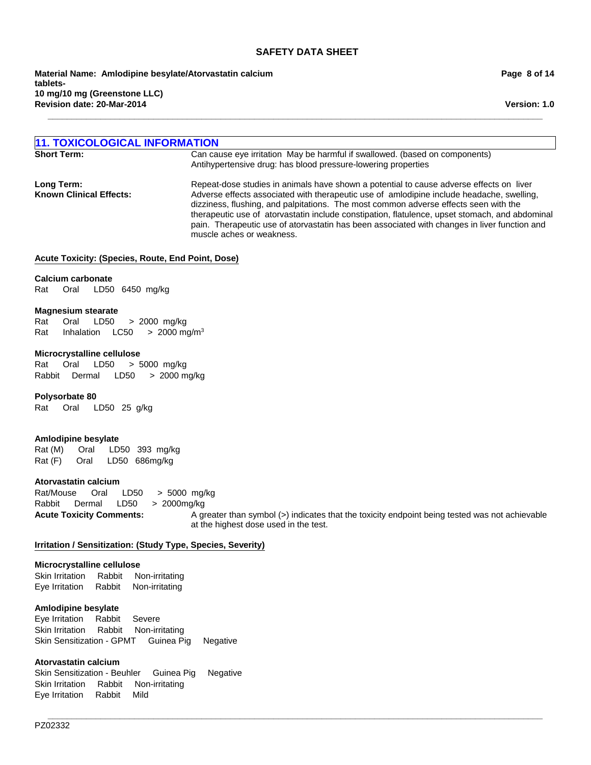**\_\_\_\_\_\_\_\_\_\_\_\_\_\_\_\_\_\_\_\_\_\_\_\_\_\_\_\_\_\_\_\_\_\_\_\_\_\_\_\_\_\_\_\_\_\_\_\_\_\_\_\_\_\_\_\_\_\_\_\_\_\_\_\_\_\_\_\_\_\_\_\_\_\_\_\_\_\_\_\_\_\_\_\_\_\_\_\_\_\_\_\_\_\_\_\_\_\_\_\_\_\_\_**

**Revision date: 20-Mar-2014 Material Name: Amlodipine besylate/Atorvastatin calcium tablets-10 mg/10 mg (Greenstone LLC)**

**Page 8 of 14**

**Version: 1.0**

# **11. TOXICOLOGICAL INFORMATION**

Can cause eye irritation May be harmful if swallowed. (based on components) Antihypertensive drug: has blood pressure-lowering properties

**Long Term:** Repeat-dose studies in animals have shown a potential to cause adverse effects on liver **Known Clinical Effects:** Adverse effects associated with therapeutic use of amlodipine include headache, swelling, dizziness, flushing, and palpitations. The most common adverse effects seen with the therapeutic use of atorvastatin include constipation, flatulence, upset stomach, and abdominal pain. Therapeutic use of atorvastatin has been associated with changes in liver function and muscle aches or weakness.

#### **Acute Toxicity: (Species, Route, End Point, Dose)**

#### **Calcium carbonate**

Rat Oral LD50 6450mg/kg

#### **Magnesium stearate**

Rat Oral LD50 >2000mg/kg Rat InhalationLC50 >2000 mg/m3

#### **Microcrystalline cellulose**

Rat Oral LD50 >5000mg/kg RabbitDermal LD50 >2000 mg/kg

#### **Polysorbate 80**

Rat Oral LD50 25g/kg

# **Amlodipine besylate**

Rat (M) Oral LD50 393mg/kg Rat (F) Oral LD50 686mg/kg

#### **Atorvastatin calcium**

Acute Toxicity Comments: A greater than symbol (>) indicates that the toxicity endpoint being tested was not achievable at the highest dose used in the test. Rat/Mouse Oral LD50 >5000mg/kg Rabbit Dermal LD50 >2000mg/kg

**\_\_\_\_\_\_\_\_\_\_\_\_\_\_\_\_\_\_\_\_\_\_\_\_\_\_\_\_\_\_\_\_\_\_\_\_\_\_\_\_\_\_\_\_\_\_\_\_\_\_\_\_\_\_\_\_\_\_\_\_\_\_\_\_\_\_\_\_\_\_\_\_\_\_\_\_\_\_\_\_\_\_\_\_\_\_\_\_\_\_\_\_\_\_\_\_\_\_\_\_\_\_\_**

# **Irritation / Sensitization: (Study Type, Species, Severity)**

# **Microcrystalline cellulose**

Skin IrritationRabbitNon-irritating Eye IrritationRabbitNon-irritating

#### **Amlodipine besylate**

Eye IrritationRabbitSevere Skin IrritationRabbitNon-irritating Skin Sensitization - GPMTGuinea PigNegative

#### **Atorvastatin calcium**

Skin Sensitization - BeuhlerGuinea PigNegative Skin IrritationRabbitNon-irritating Eye IrritationRabbitMild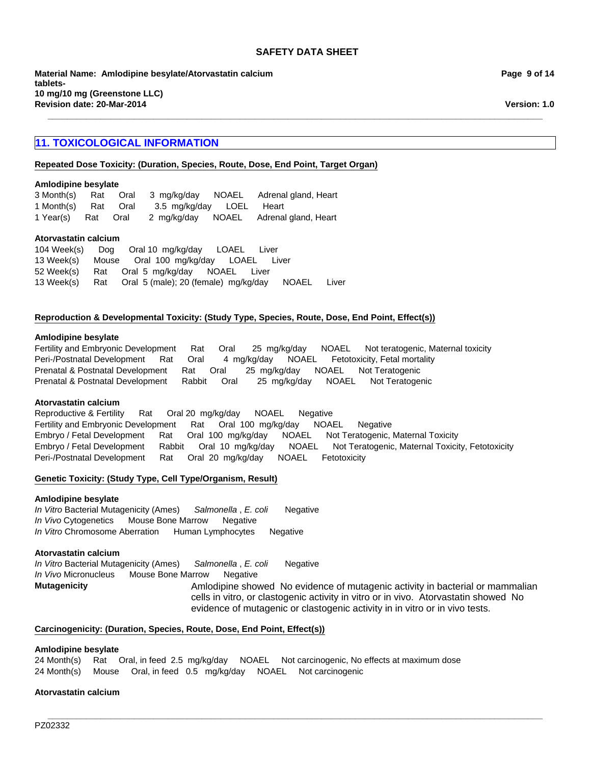**\_\_\_\_\_\_\_\_\_\_\_\_\_\_\_\_\_\_\_\_\_\_\_\_\_\_\_\_\_\_\_\_\_\_\_\_\_\_\_\_\_\_\_\_\_\_\_\_\_\_\_\_\_\_\_\_\_\_\_\_\_\_\_\_\_\_\_\_\_\_\_\_\_\_\_\_\_\_\_\_\_\_\_\_\_\_\_\_\_\_\_\_\_\_\_\_\_\_\_\_\_\_\_**

**Material Name: Amlodipine besylate/Atorvastatin calcium tablets-10 mg/10 mg (Greenstone LLC) Revision date: 20-Mar-2014**

# **11. TOXICOLOGICAL INFORMATION**

# **Repeated Dose Toxicity: (Duration, Species, Route, Dose, End Point, Target Organ)**

#### **Amlodipine besylate**

|                     |  |                          | 3 Month(s) Rat Oral 3 mg/kg/day NOAEL Adrenal gland, Heart |
|---------------------|--|--------------------------|------------------------------------------------------------|
| 1 Month(s) Rat Oral |  | 3.5 mg/kg/day LOEL Heart |                                                            |
| 1 Year(s) Rat Oral  |  |                          | 2 mg/kg/day NOAEL Adrenal gland, Heart                     |

# **Atorvastatin calcium**

52 Week(s)RatOral5mg/kg/dayNOAELLiver 13 Week(s)RatOral5 (male); 20 (female)mg/kg/dayNOAELLiver 104 Week(s)DogOral 10mg/kg/dayLOAELLiver 13 Week(s)MouseOral100mg/kg/dayLOAELLiver

#### **Reproduction & Developmental Toxicity: (Study Type, Species, Route, Dose, End Point, Effect(s))**

#### **Amlodipine besylate**

Fertility and Embryonic DevelopmentRatOral25mg/kg/dayNOAELNot teratogenic, Maternal toxicity Peri-/Postnatal DevelopmentRatOral4mg/kg/dayNOAELFetotoxicity, Fetal mortality Prenatal & Postnatal DevelopmentRatOral25mg/kg/dayNOAELNot Teratogenic Prenatal & Postnatal DevelopmentRabbitOral25mg/kg/dayNOAELNot Teratogenic

#### **Atorvastatin calcium**

Embryo / Fetal DevelopmentRatOral100mg/kg/dayNOAELNot Teratogenic, Maternal Toxicity Embryo / Fetal DevelopmentRabbitOral10mg/kg/dayNOAELNot Teratogenic, Maternal Toxicity, Fetotoxicity Peri-/Postnatal DevelopmentRatOral20mg/kg/dayNOAELFetotoxicity Reproductive & FertilityRatOral 20mg/kg/dayNOAELNegative Fertility and Embryonic DevelopmentRatOral100mg/kg/dayNOAELNegative

# **Genetic Toxicity: (Study Type, Cell Type/Organism, Result)**

#### **Amlodipine besylate**

*In Vitro* Bacterial Mutagenicity (Ames)*Salmonella* , *E. coli* Negative *In Vivo* CytogeneticsMouse Bone MarrowNegative *In Vitro* Chromosome AberrationHuman LymphocytesNegative

# **Atorvastatin calcium**

**Mutagenicity AMIG AMIG AMIG AMIG AMIG AND ANIG AND AND AND AND AN** evidence of mutagenic activity in bacterial or mammalian cells in vitro, or clastogenic activity in vitro or in vivo. Atorvastatin showed No evidence of mutagenic or clastogenic activity in in vitro or in vivo tests. *In Vitro* Bacterial Mutagenicity (Ames)*Salmonella* , *E. coli* Negative *In Vivo* MicronucleusMouse Bone MarrowNegative

# **Carcinogenicity: (Duration, Species, Route, Dose, End Point, Effect(s))**

#### **Amlodipine besylate**

24 Month(s)RatOral, in feed2.5mg/kg/dayNOAELNot carcinogenic, No effects at maximum dose 24 Month(s)MouseOral, in feed0.5mg/kg/dayNOAELNot carcinogenic

# **Atorvastatin calcium**

**Page 9 of 14**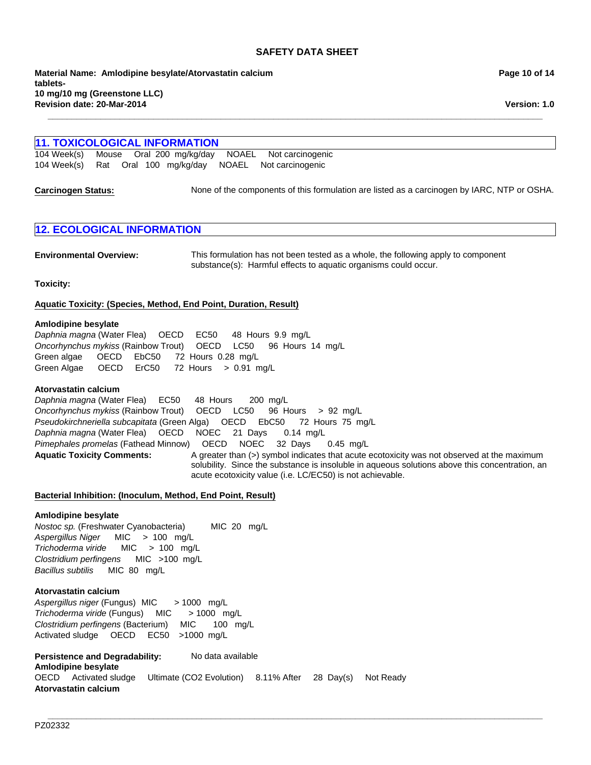**Revision date: 20-Mar-2014 Material Name: Amlodipine besylate/Atorvastatin calcium tablets-10 mg/10 mg (Greenstone LLC)**

# **11. TOXICOLOGICAL INFORMATION Carcinogen Status:** None of the components of this formulation are listed as a carcinogen by IARC, NTP or OSHA. 104 Week(s)RatOral100mg/kg/dayNOAELNot carcinogenic 104 Week(s)MouseOral200mg/kg/dayNOAELNot carcinogenic

**\_\_\_\_\_\_\_\_\_\_\_\_\_\_\_\_\_\_\_\_\_\_\_\_\_\_\_\_\_\_\_\_\_\_\_\_\_\_\_\_\_\_\_\_\_\_\_\_\_\_\_\_\_\_\_\_\_\_\_\_\_\_\_\_\_\_\_\_\_\_\_\_\_\_\_\_\_\_\_\_\_\_\_\_\_\_\_\_\_\_\_\_\_\_\_\_\_\_\_\_\_\_\_**

# **12. ECOLOGICAL INFORMATION**

**Environmental Overview:** This formulation has not been tested as a whole, the following apply to component substance(s): Harmful effects to aquatic organisms could occur.

**Toxicity:**

**Aquatic Toxicity: (Species, Method, End Point, Duration, Result)**

#### **Amlodipine besylate**

Green Algae OECDErC50 72Hours>0.91mg/L *Daphnia magna* (Water Flea)OECDEC50 48Hours9.9mg/L *Oncorhynchus mykiss* (Rainbow Trout)OECDLC50 96Hours14mg/L Green algae OECDEbC50 72Hours0.28mg/L

# **Atorvastatin calcium**

Aquatic Toxicity Comments: A greater than (>) symbol indicates that acute ecotoxicity was not observed at the maximum solubility. Since the substance is insoluble in aqueous solutions above this concentration, an acute ecotoxicity value (i.e. LC/EC50) is not achievable. *Daphnia magna* (Water Flea)EC50 48Hours200mg/L *Oncorhynchus mykiss* (Rainbow Trout)OECDLC50 96Hours>92mg/L *Pseudokirchneriella subcapitata* (Green Alga)OECDEbC50 72Hours75mg/L *Daphnia magna* (Water Flea)OECDNOEC21Days0.14mg/L *Pimephales promelas* (Fathead Minnow)OECDNOEC32Days0.45mg/L

#### **Bacterial Inhibition: (Inoculum, Method, End Point, Result)**

#### **Amlodipine besylate**

*Aspergillus Niger* MIC>100mg/L *Trichoderma viride* MIC>100mg/L *Clostridium perfingens* MIC>100mg/L *Bacillus subtilis* MIC80mg/L *Nostoc sp.* (Freshwater Cyanobacteria) MIC20mg/L

# **Atorvastatin calcium**

*Aspergillus niger* (Fungus) MIC> 1000mg/L *Trichoderma viride* (Fungus)MIC> 1000mg/L *Clostridium perfingens* (Bacterium)MIC100mg/L Activated sludgeOECDEC50 >1000mg/L

Persistence and Degradability: No data available **Amlodipine besylate** OECDActivated sludgeUltimate (CO2 Evolution)8.11% After28Day(s)Not Ready **Atorvastatin calcium**

**Page 10 of 14**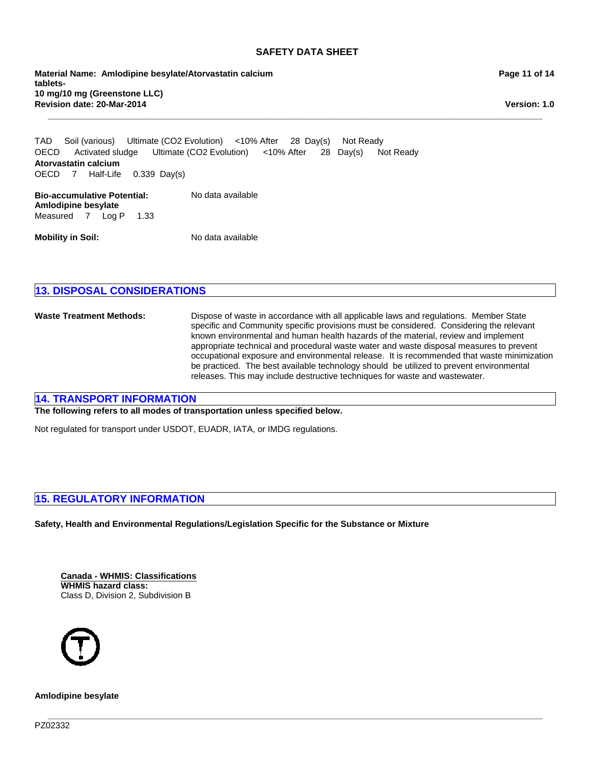**\_\_\_\_\_\_\_\_\_\_\_\_\_\_\_\_\_\_\_\_\_\_\_\_\_\_\_\_\_\_\_\_\_\_\_\_\_\_\_\_\_\_\_\_\_\_\_\_\_\_\_\_\_\_\_\_\_\_\_\_\_\_\_\_\_\_\_\_\_\_\_\_\_\_\_\_\_\_\_\_\_\_\_\_\_\_\_\_\_\_\_\_\_\_\_\_\_\_\_\_\_\_\_**

**Revision date: 20-Mar-2014 Material Name: Amlodipine besylate/Atorvastatin calcium tablets-10 mg/10 mg (Greenstone LLC)**

**Version: 1.0**

**Bio-accumulative Potential:** No data available OECDActivated sludgeUltimate (CO2 Evolution)<10% After28Day(s)Not Ready **Amlodipine besylate Atorvastatin calcium** OECD7Half-Life0.339Day(s) TADSoil (various)Ultimate (CO2 Evolution)<10% After28Day(s)Not Ready

Measured7Log P1.33

**Mobility in Soil:** No data available

# **13. DISPOSAL CONSIDERATIONS**

**Waste Treatment Methods:** Dispose of waste in accordance with all applicable laws and regulations. Member State specific and Community specific provisions must be considered. Considering the relevant known environmental and human health hazards of the material, review and implement appropriate technical and procedural waste water and waste disposal measures to prevent occupational exposure and environmental release. It is recommended that waste minimization be practiced. The best available technology should be utilized to prevent environmental releases. This may include destructive techniques for waste and wastewater.

# **14. TRANSPORT INFORMATION**

**The following refers to all modes of transportation unless specified below.**

Not regulated for transport under USDOT, EUADR, IATA, or IMDG regulations.

# **15. REGULATORY INFORMATION**

**Safety, Health and Environmental Regulations/Legislation Specific for the Substance or Mixture**

**\_\_\_\_\_\_\_\_\_\_\_\_\_\_\_\_\_\_\_\_\_\_\_\_\_\_\_\_\_\_\_\_\_\_\_\_\_\_\_\_\_\_\_\_\_\_\_\_\_\_\_\_\_\_\_\_\_\_\_\_\_\_\_\_\_\_\_\_\_\_\_\_\_\_\_\_\_\_\_\_\_\_\_\_\_\_\_\_\_\_\_\_\_\_\_\_\_\_\_\_\_\_\_**

**Canada - WHMIS: Classifications WHMIS hazard class:** Class D, Division 2, Subdivision B



**Amlodipine besylate**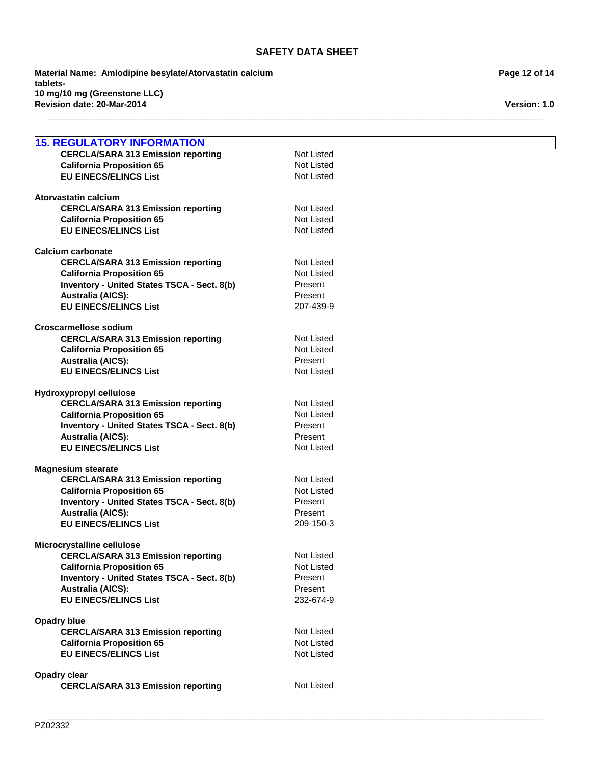**\_\_\_\_\_\_\_\_\_\_\_\_\_\_\_\_\_\_\_\_\_\_\_\_\_\_\_\_\_\_\_\_\_\_\_\_\_\_\_\_\_\_\_\_\_\_\_\_\_\_\_\_\_\_\_\_\_\_\_\_\_\_\_\_\_\_\_\_\_\_\_\_\_\_\_\_\_\_\_\_\_\_\_\_\_\_\_\_\_\_\_\_\_\_\_\_\_\_\_\_\_\_\_**

**\_\_\_\_\_\_\_\_\_\_\_\_\_\_\_\_\_\_\_\_\_\_\_\_\_\_\_\_\_\_\_\_\_\_\_\_\_\_\_\_\_\_\_\_\_\_\_\_\_\_\_\_\_\_\_\_\_\_\_\_\_\_\_\_\_\_\_\_\_\_\_\_\_\_\_\_\_\_\_\_\_\_\_\_\_\_\_\_\_\_\_\_\_\_\_\_\_\_\_\_\_\_\_**

**Revision date: 20-Mar-2014 Material Name: Amlodipine besylate/Atorvastatin calcium tablets-10 mg/10 mg (Greenstone LLC)**

| <b>15. REGULATORY INFORMATION</b>                  |                   |
|----------------------------------------------------|-------------------|
| <b>CERCLA/SARA 313 Emission reporting</b>          | Not Listed        |
| <b>California Proposition 65</b>                   | Not Listed        |
| <b>EU EINECS/ELINCS List</b>                       | Not Listed        |
| Atorvastatin calcium                               |                   |
| <b>CERCLA/SARA 313 Emission reporting</b>          | Not Listed        |
| <b>California Proposition 65</b>                   | Not Listed        |
| <b>EU EINECS/ELINCS List</b>                       | <b>Not Listed</b> |
| <b>Calcium carbonate</b>                           |                   |
| <b>CERCLA/SARA 313 Emission reporting</b>          | Not Listed        |
| <b>California Proposition 65</b>                   | Not Listed        |
| <b>Inventory - United States TSCA - Sect. 8(b)</b> | Present           |
| <b>Australia (AICS):</b>                           | Present           |
| <b>EU EINECS/ELINCS List</b>                       | 207-439-9         |
| <b>Croscarmellose sodium</b>                       |                   |
| <b>CERCLA/SARA 313 Emission reporting</b>          | <b>Not Listed</b> |
| <b>California Proposition 65</b>                   | <b>Not Listed</b> |
| <b>Australia (AICS):</b>                           | Present           |
| <b>EU EINECS/ELINCS List</b>                       | Not Listed        |
| Hydroxypropyl cellulose                            |                   |
| <b>CERCLA/SARA 313 Emission reporting</b>          | Not Listed        |
| <b>California Proposition 65</b>                   | Not Listed        |
| Inventory - United States TSCA - Sect. 8(b)        | Present           |
| <b>Australia (AICS):</b>                           | Present           |
| <b>EU EINECS/ELINCS List</b>                       | <b>Not Listed</b> |
| <b>Magnesium stearate</b>                          |                   |
| <b>CERCLA/SARA 313 Emission reporting</b>          | <b>Not Listed</b> |
| <b>California Proposition 65</b>                   | Not Listed        |
| Inventory - United States TSCA - Sect. 8(b)        | Present           |
| <b>Australia (AICS):</b>                           | Present           |
| <b>EU EINECS/ELINCS List</b>                       | 209-150-3         |
| Microcrystalline cellulose                         |                   |
| <b>CERCLA/SARA 313 Emission reporting</b>          | Not Listed        |
| <b>California Proposition 65</b>                   | Not Listed        |
| <b>Inventory - United States TSCA - Sect. 8(b)</b> | Present           |
| <b>Australia (AICS):</b>                           | Present           |
| <b>EU EINECS/ELINCS List</b>                       | 232-674-9         |
| <b>Opadry blue</b>                                 |                   |
| <b>CERCLA/SARA 313 Emission reporting</b>          | Not Listed        |
| <b>California Proposition 65</b>                   | Not Listed        |
| <b>EU EINECS/ELINCS List</b>                       | Not Listed        |
| Opadry clear                                       |                   |
| <b>CERCLA/SARA 313 Emission reporting</b>          | Not Listed        |

**Page 12 of 14**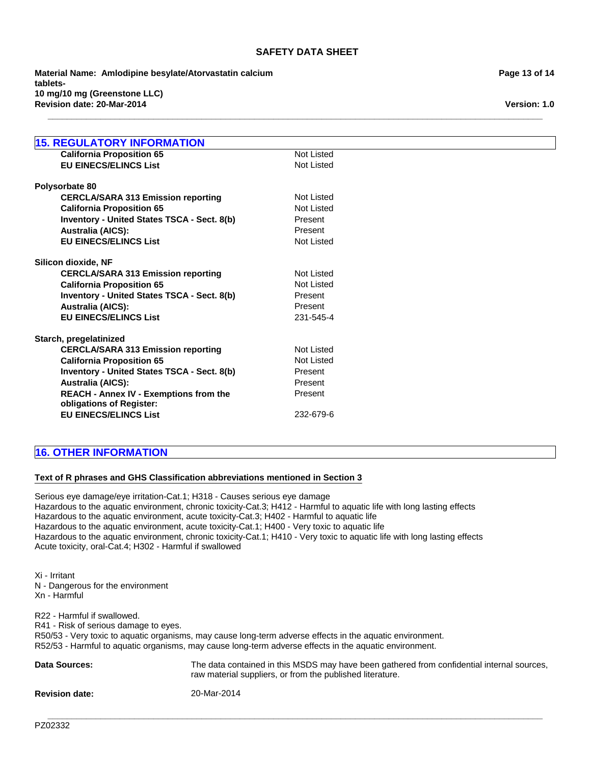**\_\_\_\_\_\_\_\_\_\_\_\_\_\_\_\_\_\_\_\_\_\_\_\_\_\_\_\_\_\_\_\_\_\_\_\_\_\_\_\_\_\_\_\_\_\_\_\_\_\_\_\_\_\_\_\_\_\_\_\_\_\_\_\_\_\_\_\_\_\_\_\_\_\_\_\_\_\_\_\_\_\_\_\_\_\_\_\_\_\_\_\_\_\_\_\_\_\_\_\_\_\_\_**

**Revision date: 20-Mar-2014 Material Name: Amlodipine besylate/Atorvastatin calcium tablets-10 mg/10 mg (Greenstone LLC)**

| <b>15. REGULATORY INFORMATION</b>                                         |                   |
|---------------------------------------------------------------------------|-------------------|
| <b>California Proposition 65</b>                                          | <b>Not Listed</b> |
| <b>EU EINECS/ELINCS List</b>                                              | Not Listed        |
|                                                                           |                   |
| Polysorbate 80                                                            |                   |
| <b>CERCLA/SARA 313 Emission reporting</b>                                 | <b>Not Listed</b> |
| <b>California Proposition 65</b>                                          | <b>Not Listed</b> |
| Inventory - United States TSCA - Sect. 8(b)                               | Present           |
| <b>Australia (AICS):</b>                                                  | Present           |
| <b>EU EINECS/ELINCS List</b>                                              | Not Listed        |
| Silicon dioxide, NF                                                       |                   |
| <b>CERCLA/SARA 313 Emission reporting</b>                                 | <b>Not Listed</b> |
| <b>California Proposition 65</b>                                          | <b>Not Listed</b> |
| Inventory - United States TSCA - Sect. 8(b)                               | Present           |
| <b>Australia (AICS):</b>                                                  | Present           |
| <b>EU EINECS/ELINCS List</b>                                              | 231-545-4         |
| Starch, pregelatinized                                                    |                   |
| <b>CERCLA/SARA 313 Emission reporting</b>                                 | <b>Not Listed</b> |
| <b>California Proposition 65</b>                                          | <b>Not Listed</b> |
| Inventory - United States TSCA - Sect. 8(b)                               | Present           |
| <b>Australia (AICS):</b>                                                  | Present           |
| <b>REACH - Annex IV - Exemptions from the</b><br>obligations of Register: | Present           |

# **EU EINECS/ELINCS List** 232-679-6

# **16. OTHER INFORMATION**

# **Text of R phrases and GHS Classification abbreviations mentioned in Section 3**

Serious eye damage/eye irritation-Cat.1; H318 - Causes serious eye damage Hazardous to the aquatic environment, chronic toxicity-Cat.3; H412 - Harmful to aquatic life with long lasting effects Hazardous to the aquatic environment, acute toxicity-Cat.3; H402 - Harmful to aquatic life Hazardous to the aquatic environment, acute toxicity-Cat.1; H400 - Very toxic to aquatic life Hazardous to the aquatic environment, chronic toxicity-Cat.1; H410 - Very toxic to aquatic life with long lasting effects Acute toxicity, oral-Cat.4; H302 - Harmful if swallowed

Xi - Irritant N - Dangerous for the environment Xn - Harmful

R22 - Harmful if swallowed. R41 - Risk of serious damage to eyes. R50/53 - Very toxic to aquatic organisms, may cause long-term adverse effects in the aquatic environment. R52/53 - Harmful to aquatic organisms, may cause long-term adverse effects in the aquatic environment.

| <b>Data Sources:</b>  | The data contained in this MSDS may have been gathered from confidential internal sources,<br>raw material suppliers, or from the published literature. |
|-----------------------|---------------------------------------------------------------------------------------------------------------------------------------------------------|
| <b>Revision date:</b> | 20-Mar-2014                                                                                                                                             |

**\_\_\_\_\_\_\_\_\_\_\_\_\_\_\_\_\_\_\_\_\_\_\_\_\_\_\_\_\_\_\_\_\_\_\_\_\_\_\_\_\_\_\_\_\_\_\_\_\_\_\_\_\_\_\_\_\_\_\_\_\_\_\_\_\_\_\_\_\_\_\_\_\_\_\_\_\_\_\_\_\_\_\_\_\_\_\_\_\_\_\_\_\_\_\_\_\_\_\_\_\_\_\_**

**Page 13 of 14**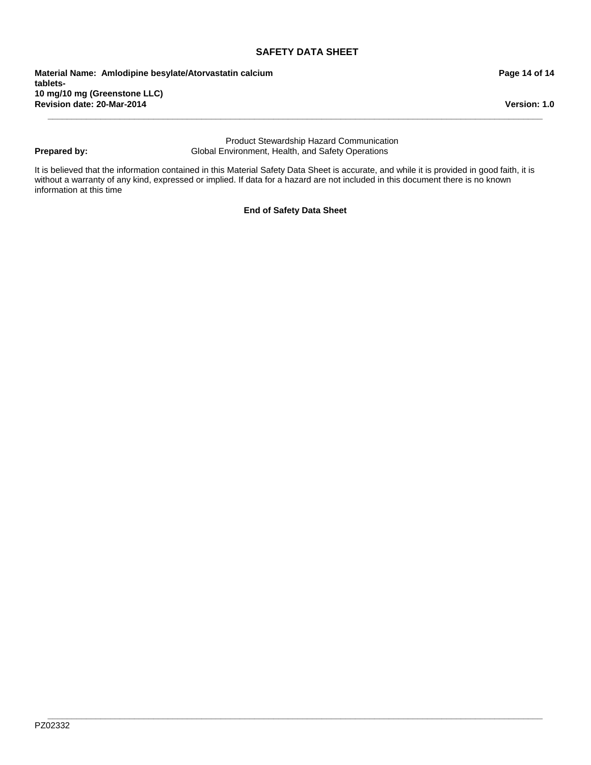**Revision date: 20-Mar-2014 Material Name: Amlodipine besylate/Atorvastatin calcium tablets-10 mg/10 mg (Greenstone LLC)**

# **Prepared by:**

Product Stewardship Hazard Communication Global Environment, Health, and Safety Operations

**\_\_\_\_\_\_\_\_\_\_\_\_\_\_\_\_\_\_\_\_\_\_\_\_\_\_\_\_\_\_\_\_\_\_\_\_\_\_\_\_\_\_\_\_\_\_\_\_\_\_\_\_\_\_\_\_\_\_\_\_\_\_\_\_\_\_\_\_\_\_\_\_\_\_\_\_\_\_\_\_\_\_\_\_\_\_\_\_\_\_\_\_\_\_\_\_\_\_\_\_\_\_\_**

It is believed that the information contained in this Material Safety Data Sheet is accurate, and while it is provided in good faith, it is without a warranty of any kind, expressed or implied. If data for a hazard are not included in this document there is no known information at this time

**End of Safety Data Sheet**

**Version: 1.0**

**Page 14 of 14**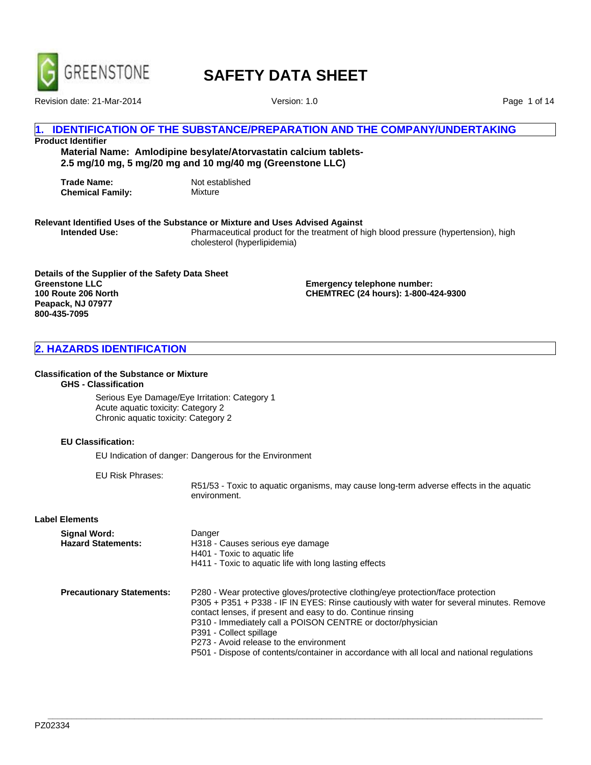

Revision date: 21-Mar-2014 Version: 1.0

Page 1 of 14

# **1. IDENTIFICATION OF THE SUBSTANCE/PREPARATION AND THE COMPANY/UNDERTAKING**

# **Product Identifier**

**Material Name: Amlodipine besylate/Atorvastatin calcium tablets-2.5 mg/10 mg, 5 mg/20 mg and 10 mg/40 mg (Greenstone LLC)**

**Trade Name:** Not established<br> **Chemical Family:** Mixture **Chemical Family:** 

# **Relevant Identified Uses of the Substance or Mixture and Uses Advised Against**

**Intended Use:** Pharmaceutical product for the treatment of high blood pressure (hypertension), high cholesterol (hyperlipidemia)

**Details of the Supplier of the Safety Data Sheet Greenstone LLC 100 Route 206 North Peapack, NJ 07977 800-435-7095**

**Emergency telephone number: CHEMTREC (24 hours): 1-800-424-9300**

# **2. HAZARDS IDENTIFICATION**

#### **Classification of the Substance or Mixture**

# **GHS - Classification**

Serious Eye Damage/Eye Irritation: Category 1 Acute aquatic toxicity: Category 2 Chronic aquatic toxicity: Category 2

# **EU Classification:**

EU Indication of danger: Dangerous for the Environment

EU Risk Phrases:

R51/53 - Toxic to aquatic organisms, may cause long-term adverse effects in the aquatic environment.

# **Label Elements**

| Signal Word:<br><b>Hazard Statements:</b> | Danger<br>H318 - Causes serious eye damage<br>H401 - Toxic to aquatic life<br>H411 - Toxic to aquatic life with long lasting effects                                                                                                                                                                                                                                                                                                                                           |
|-------------------------------------------|--------------------------------------------------------------------------------------------------------------------------------------------------------------------------------------------------------------------------------------------------------------------------------------------------------------------------------------------------------------------------------------------------------------------------------------------------------------------------------|
| <b>Precautionary Statements:</b>          | P280 - Wear protective gloves/protective clothing/eye protection/face protection<br>P305 + P351 + P338 - IF IN EYES: Rinse cautiously with water for several minutes. Remove<br>contact lenses, if present and easy to do. Continue rinsing<br>P310 - Immediately call a POISON CENTRE or doctor/physician<br>P391 - Collect spillage<br>P273 - Avoid release to the environment<br>P501 - Dispose of contents/container in accordance with all local and national regulations |

**\_\_\_\_\_\_\_\_\_\_\_\_\_\_\_\_\_\_\_\_\_\_\_\_\_\_\_\_\_\_\_\_\_\_\_\_\_\_\_\_\_\_\_\_\_\_\_\_\_\_\_\_\_\_\_\_\_\_\_\_\_\_\_\_\_\_\_\_\_\_\_\_\_\_\_\_\_\_\_\_\_\_\_\_\_\_\_\_\_\_\_\_\_\_\_\_\_\_\_\_\_\_\_**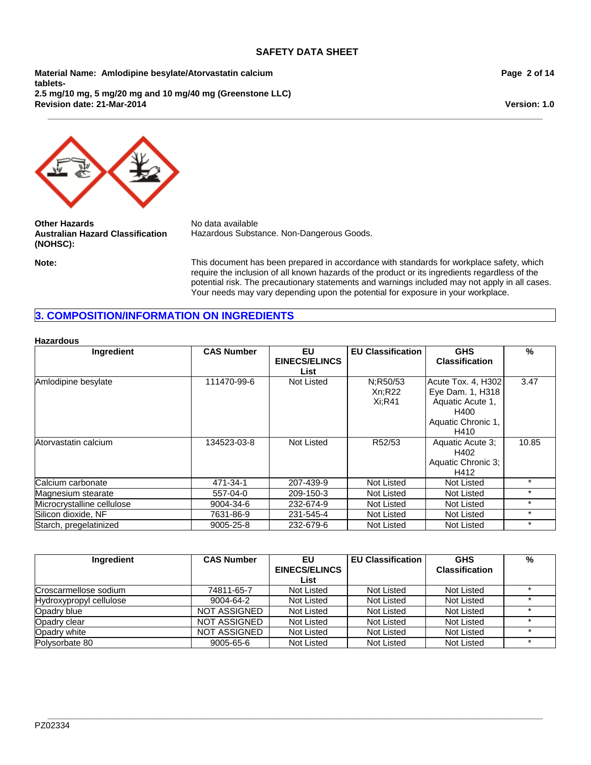**\_\_\_\_\_\_\_\_\_\_\_\_\_\_\_\_\_\_\_\_\_\_\_\_\_\_\_\_\_\_\_\_\_\_\_\_\_\_\_\_\_\_\_\_\_\_\_\_\_\_\_\_\_\_\_\_\_\_\_\_\_\_\_\_\_\_\_\_\_\_\_\_\_\_\_\_\_\_\_\_\_\_\_\_\_\_\_\_\_\_\_\_\_\_\_\_\_\_\_\_\_\_\_**

**Material Name: Amlodipine besylate/Atorvastatin calcium tablets-2.5 mg/10 mg, 5 mg/20 mg and 10 mg/40 mg (Greenstone LLC) Revision date: 21-Mar-2014**

**Page 2 of 14**

**Version: 1.0**



**Other Hazards** No data available **Australian Hazard Classification (NOHSC):**

Hazardous Substance. Non-Dangerous Goods.

**Note:** This document has been prepared in accordance with standards for workplace safety, which require the inclusion of all known hazards of the product or its ingredients regardless of the potential risk. The precautionary statements and warnings included may not apply in all cases. Your needs may vary depending upon the potential for exposure in your workplace.

# **3. COMPOSITION/INFORMATION ON INGREDIENTS**

# **Hazardous**

| Ingredient                 | <b>CAS Number</b> | EU                   | <b>EU Classification</b> | <b>GHS</b>            | %       |
|----------------------------|-------------------|----------------------|--------------------------|-----------------------|---------|
|                            |                   | <b>EINECS/ELINCS</b> |                          | <b>Classification</b> |         |
|                            |                   | List                 |                          |                       |         |
| Amlodipine besylate        | 111470-99-6       | Not Listed           | N:R50/53                 | Acute Tox. 4, H302    | 3.47    |
|                            |                   |                      | Xn:R22                   | Eye Dam. 1, H318      |         |
|                            |                   |                      | Xi:R41                   | Aquatic Acute 1,      |         |
|                            |                   |                      |                          | H400                  |         |
|                            |                   |                      |                          | Aquatic Chronic 1,    |         |
|                            |                   |                      |                          | H410                  |         |
| Atorvastatin calcium       | 134523-03-8       | Not Listed           | R52/53                   | Aquatic Acute 3;      | 10.85   |
|                            |                   |                      |                          | H402                  |         |
|                            |                   |                      |                          | Aquatic Chronic 3;    |         |
|                            |                   |                      |                          | H412                  |         |
| Calcium carbonate          | 471-34-1          | 207-439-9            | Not Listed               | Not Listed            | $\star$ |
| Magnesium stearate         | 557-04-0          | 209-150-3            | Not Listed               | Not Listed            | $\star$ |
| Microcrystalline cellulose | 9004-34-6         | 232-674-9            | Not Listed               | Not Listed            | $\star$ |
| Silicon dioxide, NF        | 7631-86-9         | 231-545-4            | Not Listed               | Not Listed            | $\star$ |
| Starch, pregelatinized     | 9005-25-8         | 232-679-6            | Not Listed               | <b>Not Listed</b>     | $\star$ |

| Ingredient              | <b>CAS Number</b>   | EU                   | <b>EU Classification</b> | <b>GHS</b>            | % |
|-------------------------|---------------------|----------------------|--------------------------|-----------------------|---|
|                         |                     | <b>EINECS/ELINCS</b> |                          | <b>Classification</b> |   |
|                         |                     | List                 |                          |                       |   |
| Croscarmellose sodium   | 74811-65-7          | Not Listed           | Not Listed               | Not Listed            |   |
| Hydroxypropyl cellulose | 9004-64-2           | Not Listed           | <b>Not Listed</b>        | Not Listed            |   |
| Opadry blue             | <b>NOT ASSIGNED</b> | Not Listed           | Not Listed               | Not Listed            |   |
| Opadry clear            | <b>NOT ASSIGNED</b> | Not Listed           | Not Listed               | Not Listed            |   |
| Opadry white            | <b>NOT ASSIGNED</b> | Not Listed           | Not Listed               | Not Listed            |   |
| Polysorbate 80          | 9005-65-6           | Not Listed           | Not Listed               | Not Listed            |   |

**\_\_\_\_\_\_\_\_\_\_\_\_\_\_\_\_\_\_\_\_\_\_\_\_\_\_\_\_\_\_\_\_\_\_\_\_\_\_\_\_\_\_\_\_\_\_\_\_\_\_\_\_\_\_\_\_\_\_\_\_\_\_\_\_\_\_\_\_\_\_\_\_\_\_\_\_\_\_\_\_\_\_\_\_\_\_\_\_\_\_\_\_\_\_\_\_\_\_\_\_\_\_\_**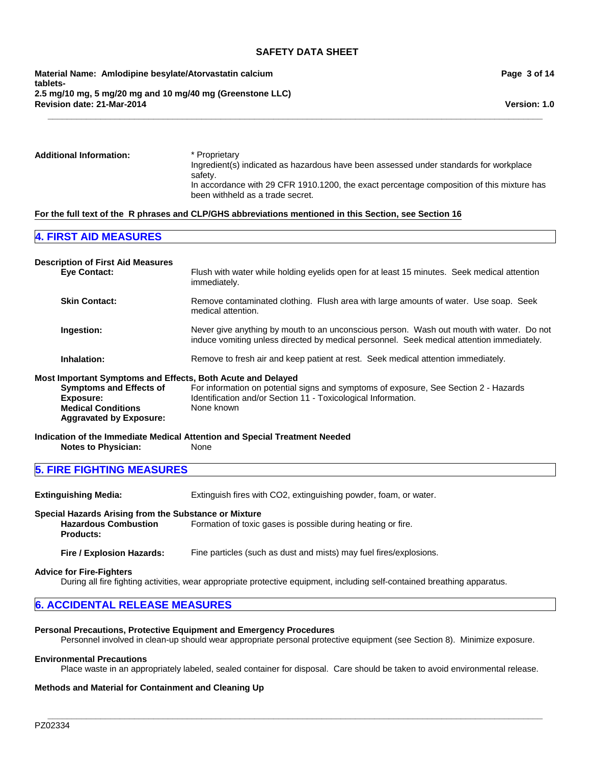**Revision date: 21-Mar-2014 Material Name: Amlodipine besylate/Atorvastatin calcium tablets-2.5 mg/10 mg, 5 mg/20 mg and 10 mg/40 mg (Greenstone LLC)** **Page 3 of 14**

**Version: 1.0**

| <b>Additional Information:</b> | * Proprietary<br>Ingredient(s) indicated as hazardous have been assessed under standards for workplace<br>safety.             |
|--------------------------------|-------------------------------------------------------------------------------------------------------------------------------|
|                                | In accordance with 29 CFR 1910.1200, the exact percentage composition of this mixture has<br>been withheld as a trade secret. |

**\_\_\_\_\_\_\_\_\_\_\_\_\_\_\_\_\_\_\_\_\_\_\_\_\_\_\_\_\_\_\_\_\_\_\_\_\_\_\_\_\_\_\_\_\_\_\_\_\_\_\_\_\_\_\_\_\_\_\_\_\_\_\_\_\_\_\_\_\_\_\_\_\_\_\_\_\_\_\_\_\_\_\_\_\_\_\_\_\_\_\_\_\_\_\_\_\_\_\_\_\_\_\_**

#### **For the full text of the R phrases and CLP/GHS abbreviations mentioned in this Section, see Section 16**

# **4. FIRST AID MEASURES**

| <b>Description of First Aid Measures</b>                                                                   |                                                                                                                                                                                       |
|------------------------------------------------------------------------------------------------------------|---------------------------------------------------------------------------------------------------------------------------------------------------------------------------------------|
| <b>Eve Contact:</b>                                                                                        | Flush with water while holding eyelids open for at least 15 minutes. Seek medical attention<br>immediately.                                                                           |
| <b>Skin Contact:</b>                                                                                       | Remove contaminated clothing. Flush area with large amounts of water. Use soap. Seek<br>medical attention.                                                                            |
| Ingestion:                                                                                                 | Never give anything by mouth to an unconscious person. Wash out mouth with water. Do not<br>induce vomiting unless directed by medical personnel. Seek medical attention immediately. |
| Inhalation:                                                                                                | Remove to fresh air and keep patient at rest. Seek medical attention immediately.                                                                                                     |
| Most Important Symptoms and Effects, Both Acute and Delayed                                                |                                                                                                                                                                                       |
| <b>Symptoms and Effects of</b><br>Exposure:<br><b>Medical Conditions</b><br><b>Aggravated by Exposure:</b> | For information on potential signs and symptoms of exposure, See Section 2 - Hazards<br>Identification and/or Section 11 - Toxicological Information.<br>None known                   |
|                                                                                                            | Indication of the Immediate Medical Attention and Special Treatment Needed                                                                                                            |

**Notes to Physician:** None

# **5. FIRE FIGHTING MEASURES**

**Extinguishing Media:** Extinguish fires with CO2, extinguishing powder, foam, or water.

#### **Special Hazards Arising from the Substance or Mixture Hazardous Combustion Products:** Formation of toxic gases is possible during heating or fire.

**Fire / Explosion Hazards:** Fine particles (such as dust and mists) may fuel fires/explosions.

# **Advice for Fire-Fighters**

During all fire fighting activities, wear appropriate protective equipment, including self-contained breathing apparatus.

# **6. ACCIDENTAL RELEASE MEASURES**

#### **Personal Precautions, Protective Equipment and Emergency Procedures**

Personnel involved in clean-up should wear appropriate personal protective equipment (see Section 8). Minimize exposure.

#### **Environmental Precautions**

Place waste in an appropriately labeled, sealed container for disposal. Care should be taken to avoid environmental release.

**\_\_\_\_\_\_\_\_\_\_\_\_\_\_\_\_\_\_\_\_\_\_\_\_\_\_\_\_\_\_\_\_\_\_\_\_\_\_\_\_\_\_\_\_\_\_\_\_\_\_\_\_\_\_\_\_\_\_\_\_\_\_\_\_\_\_\_\_\_\_\_\_\_\_\_\_\_\_\_\_\_\_\_\_\_\_\_\_\_\_\_\_\_\_\_\_\_\_\_\_\_\_\_**

# **Methods and Material for Containment and Cleaning Up**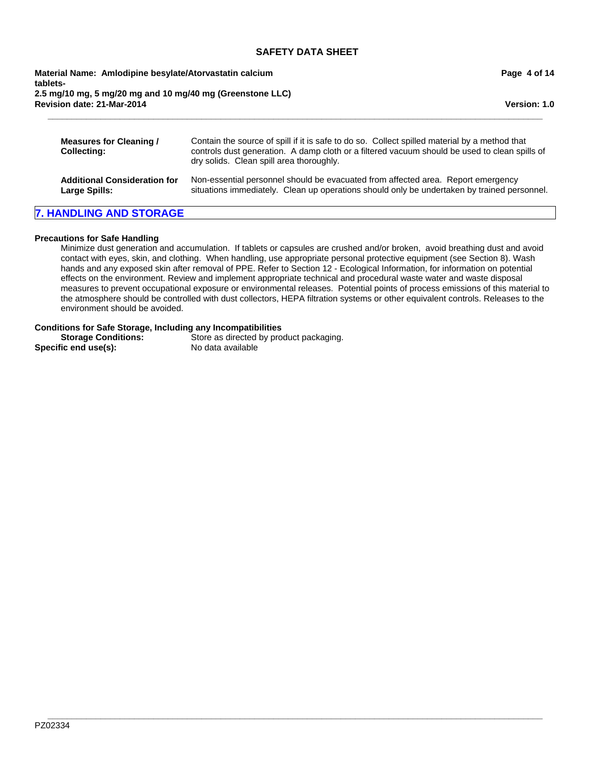**Revision date: 21-Mar-2014 Material Name: Amlodipine besylate/Atorvastatin calcium tablets-2.5 mg/10 mg, 5 mg/20 mg and 10 mg/40 mg (Greenstone LLC)** **Page 4 of 14**

**Version: 1.0**

| Measures for Cleaning /<br><b>Collecting:</b> | Contain the source of spill if it is safe to do so. Collect spilled material by a method that<br>controls dust generation. A damp cloth or a filtered vacuum should be used to clean spills of<br>dry solids. Clean spill area thoroughly. |
|-----------------------------------------------|--------------------------------------------------------------------------------------------------------------------------------------------------------------------------------------------------------------------------------------------|
| <b>Additional Consideration for</b>           | Non-essential personnel should be evacuated from affected area. Report emergency                                                                                                                                                           |
| <b>Large Spills:</b>                          | situations immediately. Clean up operations should only be undertaken by trained personnel.                                                                                                                                                |

**\_\_\_\_\_\_\_\_\_\_\_\_\_\_\_\_\_\_\_\_\_\_\_\_\_\_\_\_\_\_\_\_\_\_\_\_\_\_\_\_\_\_\_\_\_\_\_\_\_\_\_\_\_\_\_\_\_\_\_\_\_\_\_\_\_\_\_\_\_\_\_\_\_\_\_\_\_\_\_\_\_\_\_\_\_\_\_\_\_\_\_\_\_\_\_\_\_\_\_\_\_\_\_**

# **7. HANDLING AND STORAGE**

# **Precautions for Safe Handling**

Minimize dust generation and accumulation. If tablets or capsules are crushed and/or broken, avoid breathing dust and avoid contact with eyes, skin, and clothing. When handling, use appropriate personal protective equipment (see Section 8). Wash hands and any exposed skin after removal of PPE. Refer to Section 12 - Ecological Information, for information on potential effects on the environment. Review and implement appropriate technical and procedural waste water and waste disposal measures to prevent occupational exposure or environmental releases. Potential points of process emissions of this material to the atmosphere should be controlled with dust collectors, HEPA filtration systems or other equivalent controls. Releases to the environment should be avoided.

**\_\_\_\_\_\_\_\_\_\_\_\_\_\_\_\_\_\_\_\_\_\_\_\_\_\_\_\_\_\_\_\_\_\_\_\_\_\_\_\_\_\_\_\_\_\_\_\_\_\_\_\_\_\_\_\_\_\_\_\_\_\_\_\_\_\_\_\_\_\_\_\_\_\_\_\_\_\_\_\_\_\_\_\_\_\_\_\_\_\_\_\_\_\_\_\_\_\_\_\_\_\_\_**

# **Conditions for Safe Storage, Including any Incompatibilities**

| <b>Storage Conditions:</b> | Store as directed by product packaging. |
|----------------------------|-----------------------------------------|
| Specific end use(s):       | No data available                       |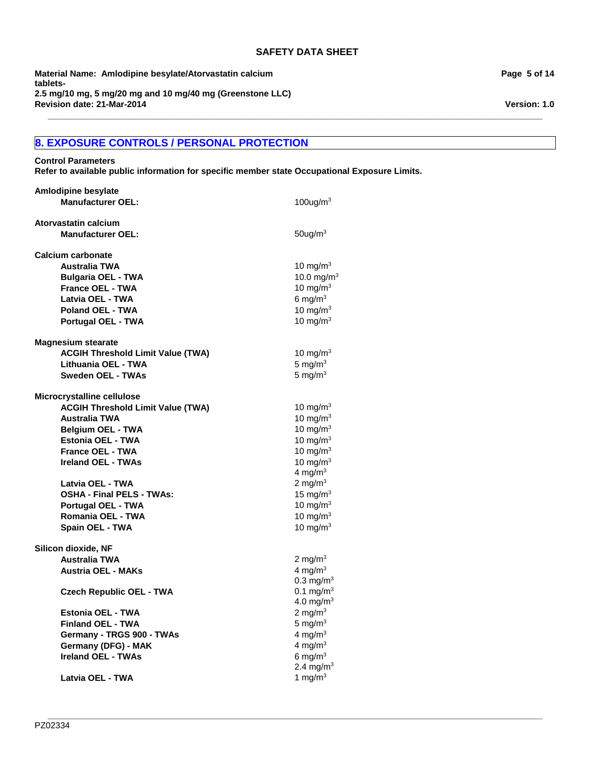**\_\_\_\_\_\_\_\_\_\_\_\_\_\_\_\_\_\_\_\_\_\_\_\_\_\_\_\_\_\_\_\_\_\_\_\_\_\_\_\_\_\_\_\_\_\_\_\_\_\_\_\_\_\_\_\_\_\_\_\_\_\_\_\_\_\_\_\_\_\_\_\_\_\_\_\_\_\_\_\_\_\_\_\_\_\_\_\_\_\_\_\_\_\_\_\_\_\_\_\_\_\_\_**

**\_\_\_\_\_\_\_\_\_\_\_\_\_\_\_\_\_\_\_\_\_\_\_\_\_\_\_\_\_\_\_\_\_\_\_\_\_\_\_\_\_\_\_\_\_\_\_\_\_\_\_\_\_\_\_\_\_\_\_\_\_\_\_\_\_\_\_\_\_\_\_\_\_\_\_\_\_\_\_\_\_\_\_\_\_\_\_\_\_\_\_\_\_\_\_\_\_\_\_\_\_\_\_**

**Revision date: 21-Mar-2014 Material Name: Amlodipine besylate/Atorvastatin calcium tablets-2.5 mg/10 mg, 5 mg/20 mg and 10 mg/40 mg (Greenstone LLC)**

# **8. EXPOSURE CONTROLS / PERSONAL PROTECTION**

**Control Parameters**

**Refer to available public information for specific member state Occupational Exposure Limits.**

| <b>Amlodipine besylate</b>               |                         |
|------------------------------------------|-------------------------|
| <b>Manufacturer OEL:</b>                 | $100$ ug/m <sup>3</sup> |
| Atorvastatin calcium                     |                         |
| <b>Manufacturer OEL:</b>                 | $50$ ug/m $3$           |
| <b>Calcium carbonate</b>                 |                         |
| <b>Australia TWA</b>                     | 10 mg/m $3$             |
| <b>Bulgaria OEL - TWA</b>                | 10.0 mg/m $3$           |
| <b>France OEL - TWA</b>                  | 10 mg/m $3$             |
| Latvia OEL - TWA                         | 6 mg/m $3$              |
| <b>Poland OEL - TWA</b>                  | 10 mg/m $3$             |
| Portugal OEL - TWA                       | 10 mg/m $3$             |
| <b>Magnesium stearate</b>                |                         |
| <b>ACGIH Threshold Limit Value (TWA)</b> | 10 mg/m <sup>3</sup>    |
| Lithuania OEL - TWA                      | 5 mg/ $m3$              |
| <b>Sweden OEL - TWAs</b>                 | 5 mg/ $m3$              |
| Microcrystalline cellulose               |                         |
| <b>ACGIH Threshold Limit Value (TWA)</b> | 10 mg/m $3$             |
| <b>Australia TWA</b>                     | 10 mg/m $3$             |
| <b>Belaium OEL - TWA</b>                 | 10 mg/m $3$             |
| <b>Estonia OEL - TWA</b>                 | 10 mg/m $3$             |
| <b>France OEL - TWA</b>                  | 10 mg/m $3$             |
| <b>Ireland OEL - TWAs</b>                | 10 mg/m $3$             |
|                                          | 4 mg/ $m3$              |
| Latvia OEL - TWA                         | 2 mg/m $3$              |
| <b>OSHA - Final PELS - TWAs:</b>         | 15 mg/m $3$             |
| <b>Portugal OEL - TWA</b>                | 10 mg/m $3$             |
| Romania OEL - TWA                        | 10 mg/m $3$             |
| Spain OEL - TWA                          | 10 mg/m $3$             |
| Silicon dioxide, NF                      |                         |
| <b>Australia TWA</b>                     | 2 mg/m $3$              |
| <b>Austria OEL - MAKs</b>                | 4 mg/m $3$              |
|                                          | $0.3 \text{ mg/m}^3$    |
| <b>Czech Republic OEL - TWA</b>          | 0.1 mg/m <sup>3</sup>   |
|                                          | $4.0 \text{ mg/m}^3$    |
| <b>Estonia OEL - TWA</b>                 | 2 mg/m $3$              |
| <b>Finland OEL - TWA</b>                 | 5 mg/ $m3$              |
| Germany - TRGS 900 - TWAs                | 4 mg/m $3$              |
| <b>Germany (DFG) - MAK</b>               | 4 mg/m $3$              |
| <b>Ireland OEL - TWAs</b>                | 6 mg/m $3$              |
|                                          | 2.4 mg/m <sup>3</sup>   |
| Latvia OEL - TWA                         | 1 mg/m $3$              |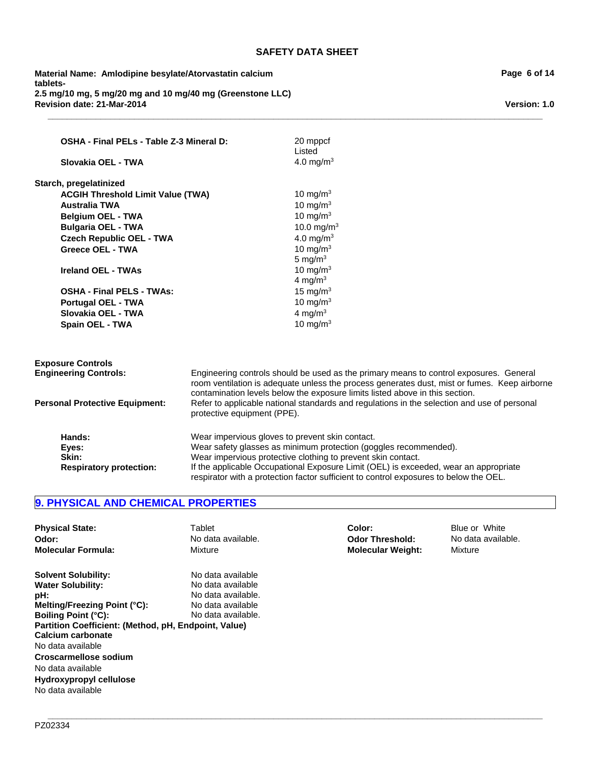**\_\_\_\_\_\_\_\_\_\_\_\_\_\_\_\_\_\_\_\_\_\_\_\_\_\_\_\_\_\_\_\_\_\_\_\_\_\_\_\_\_\_\_\_\_\_\_\_\_\_\_\_\_\_\_\_\_\_\_\_\_\_\_\_\_\_\_\_\_\_\_\_\_\_\_\_\_\_\_\_\_\_\_\_\_\_\_\_\_\_\_\_\_\_\_\_\_\_\_\_\_\_\_**

**Revision date: 21-Mar-2014 Material Name: Amlodipine besylate/Atorvastatin calcium tablets-2.5 mg/10 mg, 5 mg/20 mg and 10 mg/40 mg (Greenstone LLC)**

| OSHA - Final PELs - Table Z-3 Mineral D:<br>Slovakia OEL - TWA |                             | 20 mppcf<br>Listed<br>4.0 mg/m <sup>3</sup>                                                                                                                                                                                                                            |
|----------------------------------------------------------------|-----------------------------|------------------------------------------------------------------------------------------------------------------------------------------------------------------------------------------------------------------------------------------------------------------------|
| Starch, pregelatinized                                         |                             |                                                                                                                                                                                                                                                                        |
| <b>ACGIH Threshold Limit Value (TWA)</b>                       |                             | 10 mg/m $3$                                                                                                                                                                                                                                                            |
| <b>Australia TWA</b>                                           |                             | 10 mg/m $3$                                                                                                                                                                                                                                                            |
| <b>Belgium OEL - TWA</b>                                       |                             | 10 mg/m $3$                                                                                                                                                                                                                                                            |
| <b>Bulgaria OEL - TWA</b>                                      |                             | 10.0 mg/m <sup>3</sup>                                                                                                                                                                                                                                                 |
| <b>Czech Republic OEL - TWA</b>                                |                             | 4.0 mg/m <sup>3</sup>                                                                                                                                                                                                                                                  |
| <b>Greece OEL - TWA</b>                                        |                             | 10 mg/m $3$                                                                                                                                                                                                                                                            |
|                                                                |                             | 5 mg/ $m3$                                                                                                                                                                                                                                                             |
| <b>Ireland OEL - TWAs</b>                                      |                             | 10 mg/m $3$                                                                                                                                                                                                                                                            |
|                                                                |                             | 4 mg/m $3$                                                                                                                                                                                                                                                             |
| <b>OSHA - Final PELS - TWAs:</b>                               |                             | 15 mg/m $3$                                                                                                                                                                                                                                                            |
| <b>Portugal OEL - TWA</b>                                      |                             | 10 mg/m $3$                                                                                                                                                                                                                                                            |
| Slovakia OEL - TWA                                             |                             | 4 mg/ $m3$                                                                                                                                                                                                                                                             |
| Spain OEL - TWA                                                |                             | 10 mg/ $m3$                                                                                                                                                                                                                                                            |
| <b>Exposure Controls</b>                                       |                             |                                                                                                                                                                                                                                                                        |
| <b>Engineering Controls:</b>                                   |                             | Engineering controls should be used as the primary means to control exposures. General<br>room ventilation is adequate unless the process generates dust, mist or fumes. Keep airborne<br>contamination levels below the exposure limits listed above in this section. |
| <b>Personal Protective Equipment:</b>                          | protective equipment (PPE). | Refer to applicable national standards and regulations in the selection and use of personal                                                                                                                                                                            |
| Hands:                                                         |                             | Wear impervious gloves to prevent skin contact.                                                                                                                                                                                                                        |
| Eyes:                                                          |                             | Wear safety glasses as minimum protection (goggles recommended).                                                                                                                                                                                                       |
| Skin:                                                          |                             | Wear impervious protective clothing to prevent skin contact.                                                                                                                                                                                                           |
| <b>Respiratory protection:</b>                                 |                             | If the applicable Occupational Exposure Limit (OEL) is exceeded, wear an appropriate<br>respirator with a protection factor sufficient to control exposures to below the OEL.                                                                                          |

# **9. PHYSICAL AND CHEMICAL PROPERTIES**

| <b>Physical State:</b>                               | Tablet             | Color:                   | Blue or White      |
|------------------------------------------------------|--------------------|--------------------------|--------------------|
| Odor:                                                | No data available. | <b>Odor Threshold:</b>   | No data available. |
| <b>Molecular Formula:</b>                            | Mixture            | <b>Molecular Weight:</b> | Mixture            |
| <b>Solvent Solubility:</b>                           | No data available  |                          |                    |
| <b>Water Solubility:</b>                             | No data available  |                          |                    |
| pH:                                                  | No data available. |                          |                    |
| Melting/Freezing Point (°C):                         | No data available  |                          |                    |
| <b>Boiling Point (°C):</b>                           | No data available. |                          |                    |
| Partition Coefficient: (Method, pH, Endpoint, Value) |                    |                          |                    |
| Calcium carbonate                                    |                    |                          |                    |
| No data available                                    |                    |                          |                    |
| Croscarmellose sodium                                |                    |                          |                    |
| No data available                                    |                    |                          |                    |
| Hydroxypropyl cellulose                              |                    |                          |                    |
| No data available                                    |                    |                          |                    |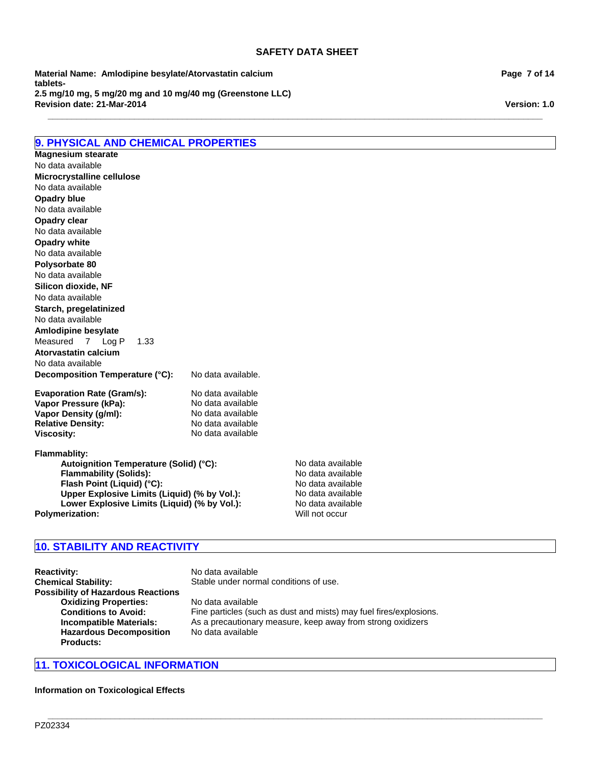**\_\_\_\_\_\_\_\_\_\_\_\_\_\_\_\_\_\_\_\_\_\_\_\_\_\_\_\_\_\_\_\_\_\_\_\_\_\_\_\_\_\_\_\_\_\_\_\_\_\_\_\_\_\_\_\_\_\_\_\_\_\_\_\_\_\_\_\_\_\_\_\_\_\_\_\_\_\_\_\_\_\_\_\_\_\_\_\_\_\_\_\_\_\_\_\_\_\_\_\_\_\_\_**

**Revision date: 21-Mar-2014 Material Name: Amlodipine besylate/Atorvastatin calcium tablets-2.5 mg/10 mg, 5 mg/20 mg and 10 mg/40 mg (Greenstone LLC)**

# **9. PHYSICAL AND CHEMICAL PROPERTIES**

**Decomposition Temperature (°C):** No data available. **Evaporation Rate (Gram/s):** No data available<br> **Vapor Pressure (kPa):** No data available **Vapor Pressure (kPa):** No data available<br> **Vapor Density (q/ml):** No data available **Vapor Density (g/ml): Relative Density:** No data available **Viscosity:** No data available **Flammablity: Autoignition Temperature (Solid) (°C):** No data available **Flammability (Solids):** No data available<br> **Flash Point (Liquid) (°C):** No data available **Flash Point (Liquid) (°C):**<br> **Upper Explosive Limits (Liquid) (% by Vol.):** No data available **Upper Explosive Limits (Liquid) (% by Vol.):** No data available<br>
Lower Explosive Limits (Liquid) (% by Vol.): No data available **Opadry clear** Measured7Log P1.33 No data available **Atorvastatin calcium** No data available No data available **Opadry white Microcrystalline cellulose** No data available **Polysorbate 80** No data available No data available **Silicon dioxide, NF Opadry blue** No data available **Magnesium stearate Starch, pregelatinized** No data available No data available **Amlodipine besylate**

**Lower Explosive Limits (Liquid) (% by Vol.):** No data availa<br> **A Prization:** Will not occur

# **10. STABILITY AND REACTIVITY**

**Reactivity:** No data available **Chemical Stability:** Stable under normal conditions of use. **Possibility of Hazardous Reactions Oxidizing Properties:** No data available **Hazardous Decomposition Products:**

**Conditions to Avoid:** Fine particles (such as dust and mists) may fuel fires/explosions. **Incompatible Materials:** As a precautionary measure, keep away from strong oxidizers No data available

**\_\_\_\_\_\_\_\_\_\_\_\_\_\_\_\_\_\_\_\_\_\_\_\_\_\_\_\_\_\_\_\_\_\_\_\_\_\_\_\_\_\_\_\_\_\_\_\_\_\_\_\_\_\_\_\_\_\_\_\_\_\_\_\_\_\_\_\_\_\_\_\_\_\_\_\_\_\_\_\_\_\_\_\_\_\_\_\_\_\_\_\_\_\_\_\_\_\_\_\_\_\_\_**

# **11. TOXICOLOGICAL INFORMATION**

**Information on Toxicological Effects**

**Page 7 of 14**

**Version: 1.0**

**Polymerization:**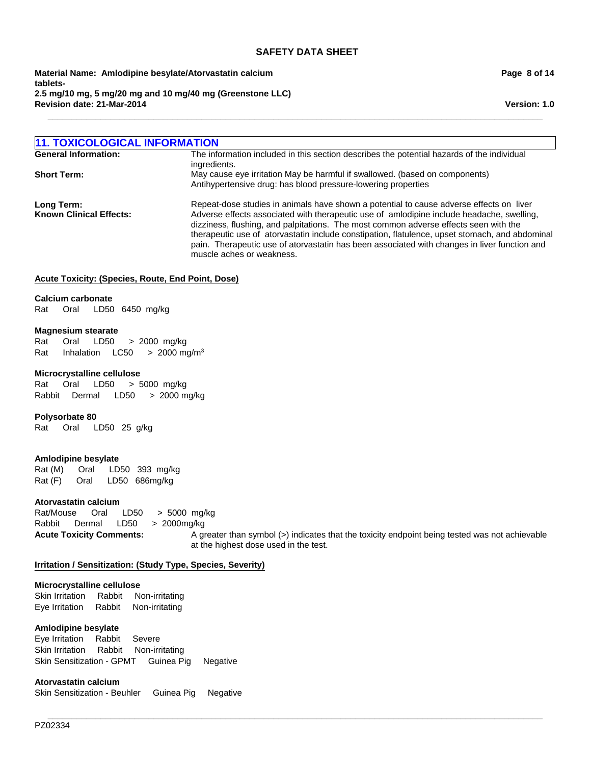**Revision date: 21-Mar-2014 Material Name: Amlodipine besylate/Atorvastatin calcium tablets-2.5 mg/10 mg, 5 mg/20 mg and 10 mg/40 mg (Greenstone LLC)**

**Page 8 of 14**

**Version: 1.0**

| <b>11. TOXICOLOGICAL INFORMATION</b>         |                                                                                                                                                                                                                                                                                                                                                                                                                                                                                                             |
|----------------------------------------------|-------------------------------------------------------------------------------------------------------------------------------------------------------------------------------------------------------------------------------------------------------------------------------------------------------------------------------------------------------------------------------------------------------------------------------------------------------------------------------------------------------------|
| <b>General Information:</b>                  | The information included in this section describes the potential hazards of the individual<br>ingredients.                                                                                                                                                                                                                                                                                                                                                                                                  |
| <b>Short Term:</b>                           | May cause eye irritation May be harmful if swallowed. (based on components)<br>Antihypertensive drug: has blood pressure-lowering properties                                                                                                                                                                                                                                                                                                                                                                |
| Long Term:<br><b>Known Clinical Effects:</b> | Repeat-dose studies in animals have shown a potential to cause adverse effects on liver<br>Adverse effects associated with therapeutic use of amlodipine include headache, swelling,<br>dizziness, flushing, and palpitations. The most common adverse effects seen with the<br>therapeutic use of atorvastatin include constipation, flatulence, upset stomach, and abdominal<br>pain. Therapeutic use of atorvastatin has been associated with changes in liver function and<br>muscle aches or weakness. |

**\_\_\_\_\_\_\_\_\_\_\_\_\_\_\_\_\_\_\_\_\_\_\_\_\_\_\_\_\_\_\_\_\_\_\_\_\_\_\_\_\_\_\_\_\_\_\_\_\_\_\_\_\_\_\_\_\_\_\_\_\_\_\_\_\_\_\_\_\_\_\_\_\_\_\_\_\_\_\_\_\_\_\_\_\_\_\_\_\_\_\_\_\_\_\_\_\_\_\_\_\_\_\_**

**\_\_\_\_\_\_\_\_\_\_\_\_\_\_\_\_\_\_\_\_\_\_\_\_\_\_\_\_\_\_\_\_\_\_\_\_\_\_\_\_\_\_\_\_\_\_\_\_\_\_\_\_\_\_\_\_\_\_\_\_\_\_\_\_\_\_\_\_\_\_\_\_\_\_\_\_\_\_\_\_\_\_\_\_\_\_\_\_\_\_\_\_\_\_\_\_\_\_\_\_\_\_\_**

#### **Acute Toxicity: (Species, Route, End Point, Dose)**

#### **Calcium carbonate**

Rat Oral LD50 6450mg/kg

#### **Magnesium stearate**

Rat Oral LD50 >2000mg/kg Rat InhalationLC50 >2000 mg/m3

#### **Microcrystalline cellulose**

Rat Oral LD50 >5000mg/kg RabbitDermal LD50 >2000 mg/kg

#### **Polysorbate 80**

Rat Oral LD50 25g/kg

#### **Amlodipine besylate**

Rat (M) Oral LD50 393mg/kg Rat (F) Oral LD50 686mg/kg

#### **Atorvastatin calcium**

Rat/Mouse Oral LD50 >5000mg/kg Rabbit Dermal LD50 >2000mg/kg

**Acute Toxicity Comments:** A greater than symbol (>) indicates that the toxicity endpoint being tested was not achievable at the highest dose used in the test.

#### **Irritation / Sensitization: (Study Type, Species, Severity)**

# **Microcrystalline cellulose**

Skin IrritationRabbitNon-irritating Eye IrritationRabbitNon-irritating

#### **Amlodipine besylate**

Eye IrritationRabbitSevere Skin IrritationRabbitNon-irritating Skin Sensitization - GPMTGuinea PigNegative

**Atorvastatin calcium**

Skin Sensitization - BeuhlerGuinea PigNegative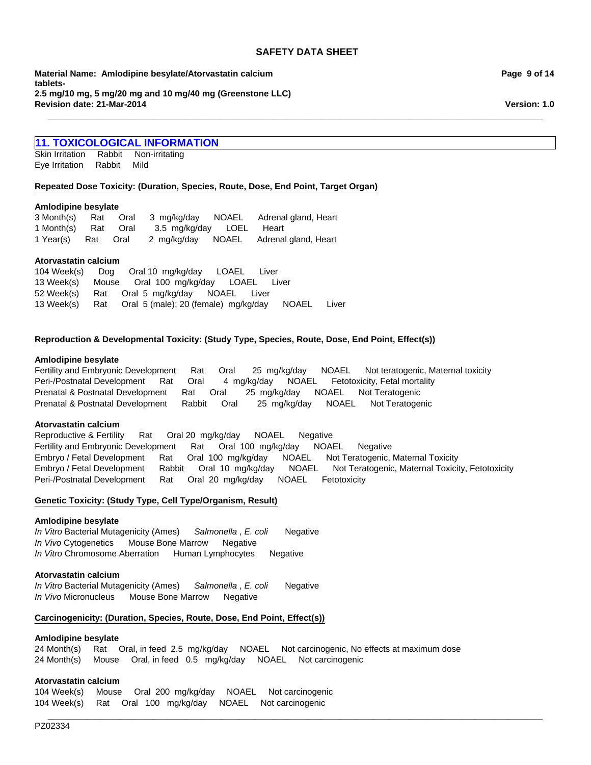**\_\_\_\_\_\_\_\_\_\_\_\_\_\_\_\_\_\_\_\_\_\_\_\_\_\_\_\_\_\_\_\_\_\_\_\_\_\_\_\_\_\_\_\_\_\_\_\_\_\_\_\_\_\_\_\_\_\_\_\_\_\_\_\_\_\_\_\_\_\_\_\_\_\_\_\_\_\_\_\_\_\_\_\_\_\_\_\_\_\_\_\_\_\_\_\_\_\_\_\_\_\_\_**

**Revision date: 21-Mar-2014 Material Name: Amlodipine besylate/Atorvastatin calcium tablets-2.5 mg/10 mg, 5 mg/20 mg and 10 mg/40 mg (Greenstone LLC)**

# **11. TOXICOLOGICAL INFORMATION**

Skin IrritationRabbitNon-irritating Eye IrritationRabbitMild

#### **Repeated Dose Toxicity: (Duration, Species, Route, Dose, End Point, Target Organ)**

#### **Amlodipine besylate**

|                     |  |                          | 3 Month(s) Rat Oral 3 mg/kg/day NOAEL Adrenal gland, Heart |
|---------------------|--|--------------------------|------------------------------------------------------------|
| 1 Month(s) Rat Oral |  | 3.5 mg/kg/day LOEL Heart |                                                            |
| 1 Year(s) Rat Oral  |  |                          | 2 mg/kg/day NOAEL Adrenal gland, Heart                     |

# **Atorvastatin calcium**

|  | 104 Week(s) Dog Oral 10 mg/kg/day LOAEL<br>Liver                |  |
|--|-----------------------------------------------------------------|--|
|  | 13 Week(s) Mouse Oral 100 mg/kg/day LOAEL Liver                 |  |
|  | 52 Week(s) Rat Oral 5 mg/kg/day NOAEL Liver                     |  |
|  | 13 Week(s) Rat Oral 5 (male); 20 (female) mg/kg/day NOAEL Liver |  |

# **Reproduction & Developmental Toxicity: (Study Type, Species, Route, Dose, End Point, Effect(s))**

#### **Amlodipine besylate**

Fertility and Embryonic DevelopmentRatOral25mg/kg/dayNOAELNot teratogenic, Maternal toxicity Peri-/Postnatal DevelopmentRatOral4mg/kg/dayNOAELFetotoxicity, Fetal mortality Prenatal & Postnatal DevelopmentRatOral25mg/kg/dayNOAELNot Teratogenic Prenatal & Postnatal DevelopmentRabbitOral25mg/kg/dayNOAELNot Teratogenic

#### **Atorvastatin calcium**

Fertility and Embryonic DevelopmentRatOral100mg/kg/dayNOAELNegative Embryo / Fetal DevelopmentRatOral100mg/kg/dayNOAELNot Teratogenic, Maternal Toxicity Embryo / Fetal DevelopmentRabbitOral10mg/kg/dayNOAELNot Teratogenic, Maternal Toxicity, Fetotoxicity Peri-/Postnatal DevelopmentRatOral20mg/kg/dayNOAELFetotoxicity Reproductive & FertilityRatOral 20mg/kg/dayNOAELNegative

#### **Genetic Toxicity: (Study Type, Cell Type/Organism, Result)**

#### **Amlodipine besylate**

*In Vitro* Bacterial Mutagenicity (Ames)*Salmonella* , *E. coli* Negative *In Vivo* CytogeneticsMouse Bone MarrowNegative *In Vitro* Chromosome AberrationHuman LymphocytesNegative

#### **Atorvastatin calcium**

*In Vitro* Bacterial Mutagenicity (Ames)*Salmonella* , *E. coli* Negative *In Vivo* MicronucleusMouse Bone MarrowNegative

#### **Carcinogenicity: (Duration, Species, Route, Dose, End Point, Effect(s))**

#### **Amlodipine besylate**

24 Month(s)RatOral, in feed2.5mg/kg/dayNOAELNot carcinogenic, No effects at maximum dose 24 Month(s)MouseOral, in feed0.5mg/kg/dayNOAELNot carcinogenic

**\_\_\_\_\_\_\_\_\_\_\_\_\_\_\_\_\_\_\_\_\_\_\_\_\_\_\_\_\_\_\_\_\_\_\_\_\_\_\_\_\_\_\_\_\_\_\_\_\_\_\_\_\_\_\_\_\_\_\_\_\_\_\_\_\_\_\_\_\_\_\_\_\_\_\_\_\_\_\_\_\_\_\_\_\_\_\_\_\_\_\_\_\_\_\_\_\_\_\_\_\_\_\_**

# **Atorvastatin calcium**

104 Week(s)MouseOral200mg/kg/dayNOAELNot carcinogenic 104 Week(s)RatOral100mg/kg/dayNOAELNot carcinogenic

**Page 9 of 14**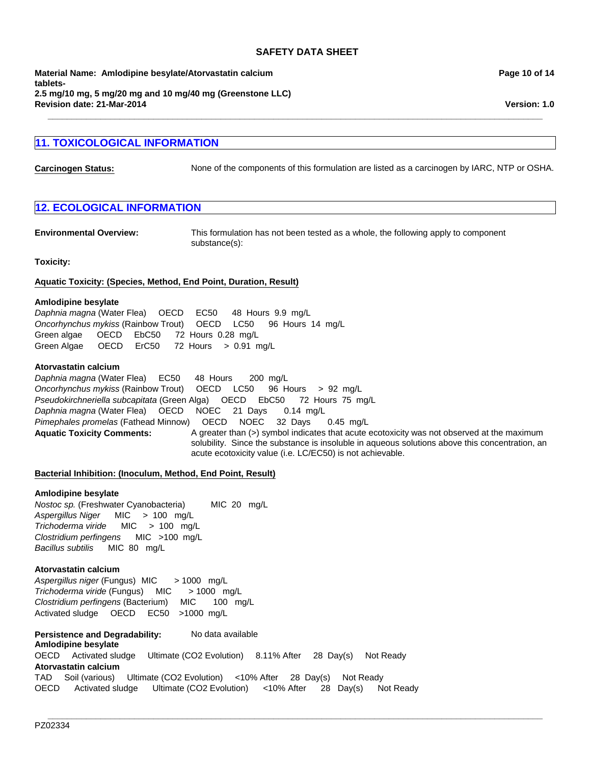**\_\_\_\_\_\_\_\_\_\_\_\_\_\_\_\_\_\_\_\_\_\_\_\_\_\_\_\_\_\_\_\_\_\_\_\_\_\_\_\_\_\_\_\_\_\_\_\_\_\_\_\_\_\_\_\_\_\_\_\_\_\_\_\_\_\_\_\_\_\_\_\_\_\_\_\_\_\_\_\_\_\_\_\_\_\_\_\_\_\_\_\_\_\_\_\_\_\_\_\_\_\_\_**

**Revision date: 21-Mar-2014 Material Name: Amlodipine besylate/Atorvastatin calcium tablets-2.5 mg/10 mg, 5 mg/20 mg and 10 mg/40 mg (Greenstone LLC)**

# **11. TOXICOLOGICAL INFORMATION**

**Carcinogen Status:** None of the components of this formulation are listed as a carcinogen by IARC, NTP or OSHA.

# **12. ECOLOGICAL INFORMATION**

**Environmental Overview:** This formulation has not been tested as a whole, the following apply to component substance(s):

#### **Toxicity:**

#### **Aquatic Toxicity: (Species, Method, End Point, Duration, Result)**

#### **Amlodipine besylate**

*Daphnia magna* (Water Flea)OECDEC50 48Hours9.9mg/L *Oncorhynchus mykiss* (Rainbow Trout)OECDLC50 96Hours14mg/L Green algae OECDEbC50 72Hours0.28mg/L Green Algae OECDErC50 72Hours>0.91mg/L

#### **Atorvastatin calcium**

Aquatic Toxicity Comments: A greater than (>) symbol indicates that acute ecotoxicity was not observed at the maximum solubility. Since the substance is insoluble in aqueous solutions above this concentration, an acute ecotoxicity value (i.e. LC/EC50) is not achievable. *Daphnia magna* (Water Flea)EC50 48Hours200mg/L *Oncorhynchus mykiss* (Rainbow Trout)OECDLC50 96Hours>92mg/L *Pseudokirchneriella subcapitata* (Green Alga)OECDEbC50 72Hours75mg/L *Daphnia magna* (Water Flea)OECDNOEC21Days0.14mg/L *Pimephales promelas* (Fathead Minnow)OECDNOEC32Days0.45mg/L

**\_\_\_\_\_\_\_\_\_\_\_\_\_\_\_\_\_\_\_\_\_\_\_\_\_\_\_\_\_\_\_\_\_\_\_\_\_\_\_\_\_\_\_\_\_\_\_\_\_\_\_\_\_\_\_\_\_\_\_\_\_\_\_\_\_\_\_\_\_\_\_\_\_\_\_\_\_\_\_\_\_\_\_\_\_\_\_\_\_\_\_\_\_\_\_\_\_\_\_\_\_\_\_**

#### **Bacterial Inhibition: (Inoculum, Method, End Point, Result)**

#### **Amlodipine besylate**

*Clostridium perfingens* MIC>100mg/L *Bacillus subtilis* MIC80mg/L *Nostoc sp.* (Freshwater Cyanobacteria) MIC20mg/L *Aspergillus Niger* MIC>100mg/L *Trichoderma viride* MIC>100mg/L

#### **Atorvastatin calcium**

*Aspergillus niger* (Fungus) MIC> 1000mg/L *Trichoderma viride* (Fungus)MIC> 1000mg/L *Clostridium perfingens* (Bacterium)MIC100mg/L Activated sludgeOECDEC50 >1000mg/L

**Persistence and Degradability:** No data available **Amlodipine besylate** OECDActivated sludgeUltimate (CO2 Evolution)8.11% After28Day(s)Not Ready **Atorvastatin calcium** TADSoil (various)Ultimate (CO2 Evolution)<10% After28Day(s)Not Ready OECDActivated sludgeUltimate (CO2 Evolution)<10% After28Day(s)Not Ready **Page 10 of 14**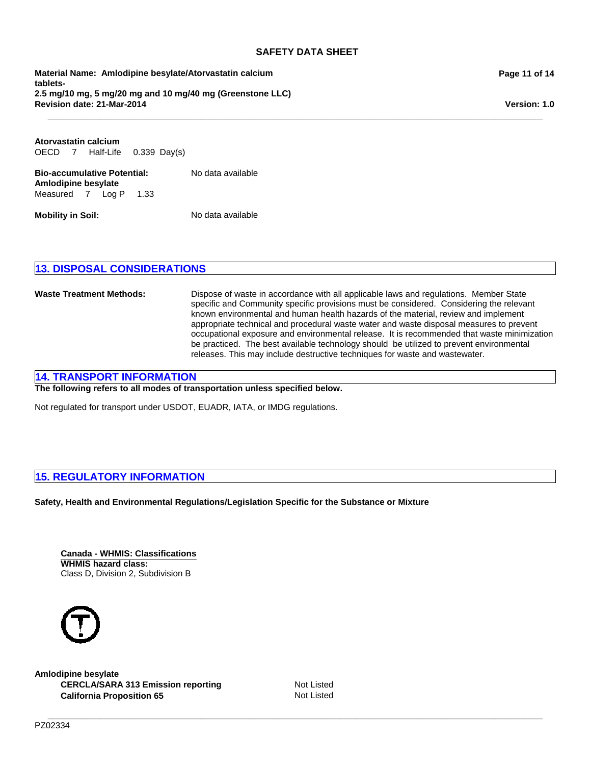**\_\_\_\_\_\_\_\_\_\_\_\_\_\_\_\_\_\_\_\_\_\_\_\_\_\_\_\_\_\_\_\_\_\_\_\_\_\_\_\_\_\_\_\_\_\_\_\_\_\_\_\_\_\_\_\_\_\_\_\_\_\_\_\_\_\_\_\_\_\_\_\_\_\_\_\_\_\_\_\_\_\_\_\_\_\_\_\_\_\_\_\_\_\_\_\_\_\_\_\_\_\_\_**

**Revision date: 21-Mar-2014 Material Name: Amlodipine besylate/Atorvastatin calcium tablets-2.5 mg/10 mg, 5 mg/20 mg and 10 mg/40 mg (Greenstone LLC)**

**Bio-accumulative Potential:** No data available **Amlodipine besylate** Measured7Log P1.33 OECD7Half-Life0.339Day(s) **Atorvastatin calcium**

**Mobility in Soil:** No data available

# **13. DISPOSAL CONSIDERATIONS**

**Waste Treatment Methods:** Dispose of waste in accordance with all applicable laws and regulations. Member State specific and Community specific provisions must be considered. Considering the relevant known environmental and human health hazards of the material, review and implement appropriate technical and procedural waste water and waste disposal measures to prevent occupational exposure and environmental release. It is recommended that waste minimization be practiced. The best available technology should be utilized to prevent environmental releases. This may include destructive techniques for waste and wastewater.

# **14. TRANSPORT INFORMATION**

**The following refers to all modes of transportation unless specified below.**

Not regulated for transport under USDOT, EUADR, IATA, or IMDG regulations.

# **15. REGULATORY INFORMATION**

**Safety, Health and Environmental Regulations/Legislation Specific for the Substance or Mixture**

**Canada - WHMIS: Classifications WHMIS hazard class:** Class D, Division 2, Subdivision B



**Amlodipine besylate** CERCLA/SARA 313 Emission reporting Not Listed **California Proposition 65** Not Listed

**\_\_\_\_\_\_\_\_\_\_\_\_\_\_\_\_\_\_\_\_\_\_\_\_\_\_\_\_\_\_\_\_\_\_\_\_\_\_\_\_\_\_\_\_\_\_\_\_\_\_\_\_\_\_\_\_\_\_\_\_\_\_\_\_\_\_\_\_\_\_\_\_\_\_\_\_\_\_\_\_\_\_\_\_\_\_\_\_\_\_\_\_\_\_\_\_\_\_\_\_\_\_\_**

# **Page 11 of 14**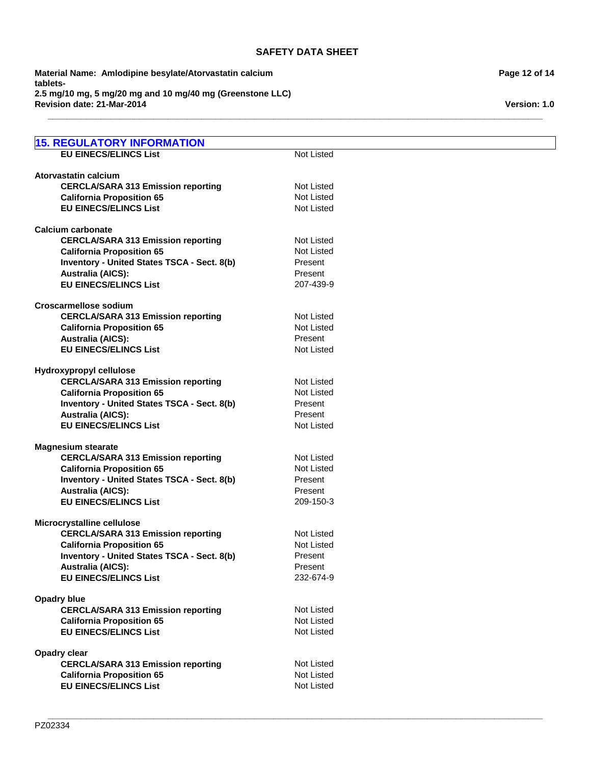**\_\_\_\_\_\_\_\_\_\_\_\_\_\_\_\_\_\_\_\_\_\_\_\_\_\_\_\_\_\_\_\_\_\_\_\_\_\_\_\_\_\_\_\_\_\_\_\_\_\_\_\_\_\_\_\_\_\_\_\_\_\_\_\_\_\_\_\_\_\_\_\_\_\_\_\_\_\_\_\_\_\_\_\_\_\_\_\_\_\_\_\_\_\_\_\_\_\_\_\_\_\_\_**

**Revision date: 21-Mar-2014 Material Name: Amlodipine besylate/Atorvastatin calcium tablets-2.5 mg/10 mg, 5 mg/20 mg and 10 mg/40 mg (Greenstone LLC)**

| <b>15. REGULATORY INFORMATION</b>                        |                    |
|----------------------------------------------------------|--------------------|
| <b>EU EINECS/ELINCS List</b>                             | Not Listed         |
|                                                          |                    |
| Atorvastatin calcium                                     |                    |
| <b>CERCLA/SARA 313 Emission reporting</b>                | <b>Not Listed</b>  |
| <b>California Proposition 65</b>                         | <b>Not Listed</b>  |
| <b>EU EINECS/ELINCS List</b>                             | <b>Not Listed</b>  |
|                                                          |                    |
| <b>Calcium carbonate</b>                                 |                    |
| <b>CERCLA/SARA 313 Emission reporting</b>                | <b>Not Listed</b>  |
| <b>California Proposition 65</b>                         | <b>Not Listed</b>  |
| <b>Inventory - United States TSCA - Sect. 8(b)</b>       | Present            |
| <b>Australia (AICS):</b>                                 | Present            |
| <b>EU EINECS/ELINCS List</b>                             | 207-439-9          |
| <b>Croscarmellose sodium</b>                             |                    |
| <b>CERCLA/SARA 313 Emission reporting</b>                | <b>Not Listed</b>  |
| <b>California Proposition 65</b>                         | <b>Not Listed</b>  |
| <b>Australia (AICS):</b>                                 | Present            |
| <b>EU EINECS/ELINCS List</b>                             | <b>Not Listed</b>  |
|                                                          |                    |
| Hydroxypropyl cellulose                                  |                    |
| <b>CERCLA/SARA 313 Emission reporting</b>                | <b>Not Listed</b>  |
| <b>California Proposition 65</b>                         | <b>Not Listed</b>  |
| Inventory - United States TSCA - Sect. 8(b)              | Present            |
| <b>Australia (AICS):</b>                                 | Present            |
| <b>EU EINECS/ELINCS List</b>                             | <b>Not Listed</b>  |
|                                                          |                    |
| <b>Magnesium stearate</b>                                | <b>Not Listed</b>  |
| <b>CERCLA/SARA 313 Emission reporting</b>                | <b>Not Listed</b>  |
| <b>California Proposition 65</b>                         |                    |
| Inventory - United States TSCA - Sect. 8(b)              | Present<br>Present |
| <b>Australia (AICS):</b><br><b>EU EINECS/ELINCS List</b> | 209-150-3          |
|                                                          |                    |
| Microcrystalline cellulose                               |                    |
| <b>CERCLA/SARA 313 Emission reporting</b>                | <b>Not Listed</b>  |
| <b>California Proposition 65</b>                         | Not Listed         |
| Inventory - United States TSCA - Sect. 8(b)              | Present            |
| <b>Australia (AICS):</b>                                 | Present            |
| <b>EU EINECS/ELINCS List</b>                             | 232-674-9          |
|                                                          |                    |
| <b>Opadry blue</b>                                       |                    |
| <b>CERCLA/SARA 313 Emission reporting</b>                | Not Listed         |
| <b>California Proposition 65</b>                         | <b>Not Listed</b>  |
| <b>EU EINECS/ELINCS List</b>                             | Not Listed         |
| <b>Opadry clear</b>                                      |                    |
| <b>CERCLA/SARA 313 Emission reporting</b>                | <b>Not Listed</b>  |
| <b>California Proposition 65</b>                         | <b>Not Listed</b>  |
| <b>EU EINECS/ELINCS List</b>                             | <b>Not Listed</b>  |
|                                                          |                    |
|                                                          |                    |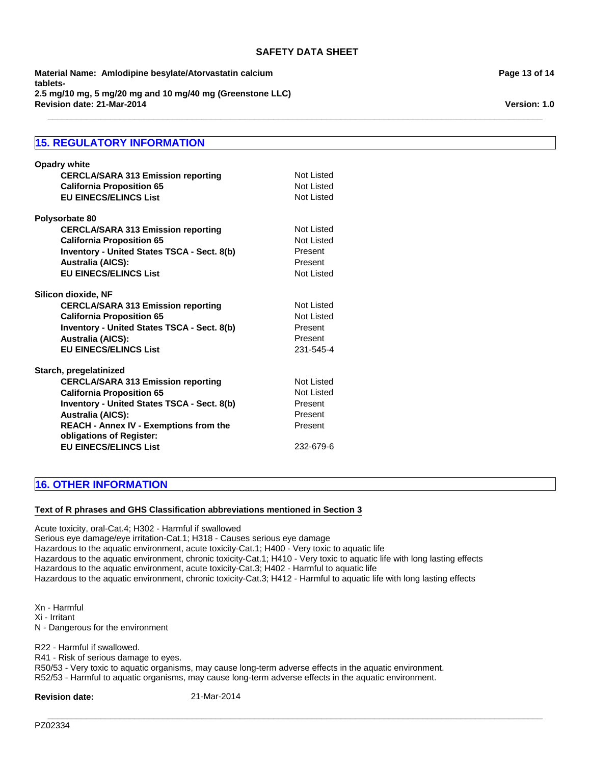**\_\_\_\_\_\_\_\_\_\_\_\_\_\_\_\_\_\_\_\_\_\_\_\_\_\_\_\_\_\_\_\_\_\_\_\_\_\_\_\_\_\_\_\_\_\_\_\_\_\_\_\_\_\_\_\_\_\_\_\_\_\_\_\_\_\_\_\_\_\_\_\_\_\_\_\_\_\_\_\_\_\_\_\_\_\_\_\_\_\_\_\_\_\_\_\_\_\_\_\_\_\_\_**

**Revision date: 21-Mar-2014 Material Name: Amlodipine besylate/Atorvastatin calcium tablets-2.5 mg/10 mg, 5 mg/20 mg and 10 mg/40 mg (Greenstone LLC)**

# **15. REGULATORY INFORMATION**

| <b>Opadry white</b><br><b>CERCLA/SARA 313 Emission reporting</b><br><b>California Proposition 65</b><br><b>EU EINECS/ELINCS List</b> | Not Listed<br>Not Listed<br>Not Listed |
|--------------------------------------------------------------------------------------------------------------------------------------|----------------------------------------|
| Polysorbate 80                                                                                                                       |                                        |
| <b>CERCLA/SARA 313 Emission reporting</b>                                                                                            | Not Listed                             |
| <b>California Proposition 65</b>                                                                                                     | Not Listed                             |
| <b>Inventory - United States TSCA - Sect. 8(b)</b>                                                                                   | Present                                |
| <b>Australia (AICS):</b>                                                                                                             | Present                                |
| <b>EU EINECS/ELINCS List</b>                                                                                                         | Not Listed                             |
| Silicon dioxide, NF                                                                                                                  |                                        |
| <b>CERCLA/SARA 313 Emission reporting</b>                                                                                            | Not Listed                             |
| <b>California Proposition 65</b>                                                                                                     | Not Listed                             |
| <b>Inventory - United States TSCA - Sect. 8(b)</b>                                                                                   | Present                                |
| <b>Australia (AICS):</b>                                                                                                             | Present                                |
| <b>EU EINECS/ELINCS List</b>                                                                                                         | 231-545-4                              |
| Starch, pregelatinized                                                                                                               |                                        |
| <b>CERCLA/SARA 313 Emission reporting</b>                                                                                            | Not Listed                             |
| <b>California Proposition 65</b>                                                                                                     | Not Listed                             |
| <b>Inventory - United States TSCA - Sect. 8(b)</b>                                                                                   | Present                                |
| <b>Australia (AICS):</b>                                                                                                             | Present                                |
| <b>REACH - Annex IV - Exemptions from the</b><br>obligations of Register:                                                            | Present                                |
| <b>EU EINECS/ELINCS List</b>                                                                                                         | 232-679-6                              |

# **16. OTHER INFORMATION**

# **Text of R phrases and GHS Classification abbreviations mentioned in Section 3**

Acute toxicity, oral-Cat.4; H302 - Harmful if swallowed Serious eye damage/eye irritation-Cat.1; H318 - Causes serious eye damage Hazardous to the aquatic environment, acute toxicity-Cat.1; H400 - Very toxic to aquatic life Hazardous to the aquatic environment, chronic toxicity-Cat.1; H410 - Very toxic to aquatic life with long lasting effects Hazardous to the aquatic environment, acute toxicity-Cat.3; H402 - Harmful to aquatic life Hazardous to the aquatic environment, chronic toxicity-Cat.3; H412 - Harmful to aquatic life with long lasting effects

Xn - Harmful Xi - Irritant N - Dangerous for the environment

R22 - Harmful if swallowed.

R41 - Risk of serious damage to eyes.

R50/53 - Very toxic to aquatic organisms, may cause long-term adverse effects in the aquatic environment. R52/53 - Harmful to aquatic organisms, may cause long-term adverse effects in the aquatic environment.

**\_\_\_\_\_\_\_\_\_\_\_\_\_\_\_\_\_\_\_\_\_\_\_\_\_\_\_\_\_\_\_\_\_\_\_\_\_\_\_\_\_\_\_\_\_\_\_\_\_\_\_\_\_\_\_\_\_\_\_\_\_\_\_\_\_\_\_\_\_\_\_\_\_\_\_\_\_\_\_\_\_\_\_\_\_\_\_\_\_\_\_\_\_\_\_\_\_\_\_\_\_\_\_**

**Revision date:** 21-Mar-2014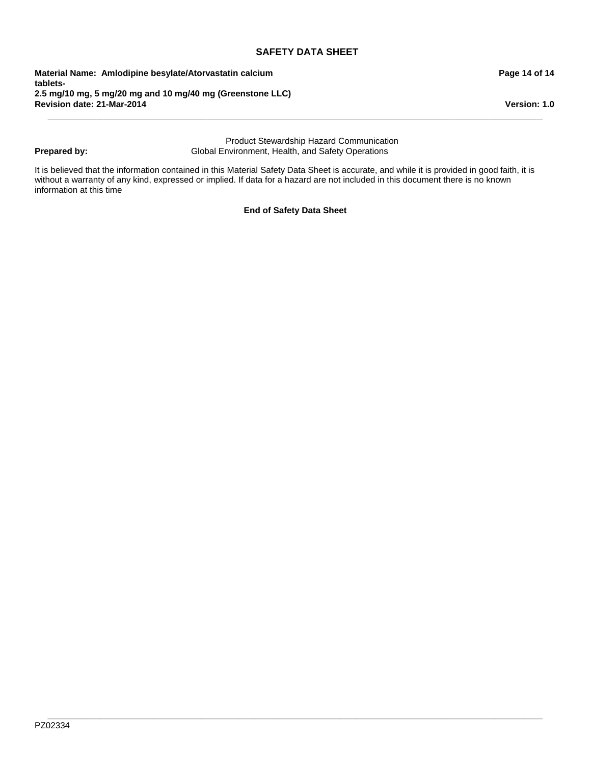**Revision date: 21-Mar-2014 Material Name: Amlodipine besylate/Atorvastatin calcium tablets-2.5 mg/10 mg, 5 mg/20 mg and 10 mg/40 mg (Greenstone LLC)**

# **Prepared by:**

Product Stewardship Hazard Communication Global Environment, Health, and Safety Operations

**\_\_\_\_\_\_\_\_\_\_\_\_\_\_\_\_\_\_\_\_\_\_\_\_\_\_\_\_\_\_\_\_\_\_\_\_\_\_\_\_\_\_\_\_\_\_\_\_\_\_\_\_\_\_\_\_\_\_\_\_\_\_\_\_\_\_\_\_\_\_\_\_\_\_\_\_\_\_\_\_\_\_\_\_\_\_\_\_\_\_\_\_\_\_\_\_\_\_\_\_\_\_\_**

It is believed that the information contained in this Material Safety Data Sheet is accurate, and while it is provided in good faith, it is without a warranty of any kind, expressed or implied. If data for a hazard are not included in this document there is no known information at this time

**End of Safety Data Sheet**

**Version: 1.0**

# **Page 14 of 14**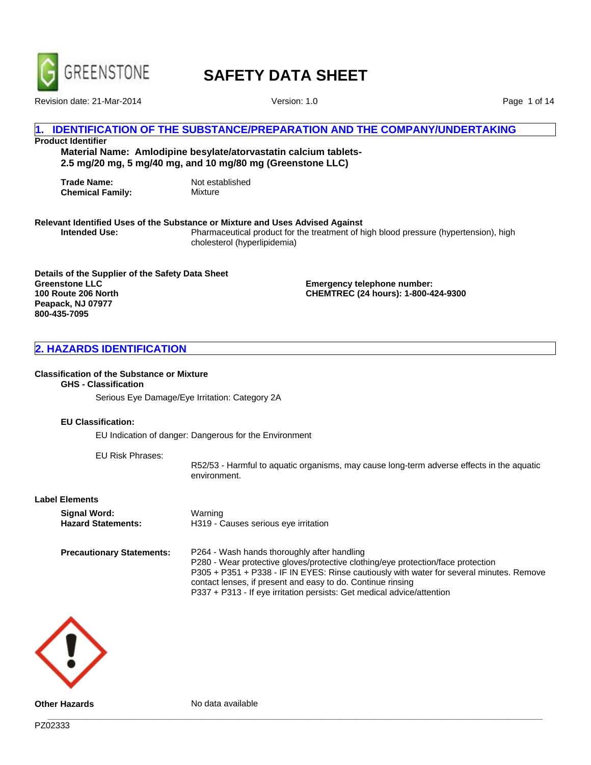

Revision date: 21-Mar-2014 Version: 1.0

Page 1 of 14

# **1. IDENTIFICATION OF THE SUBSTANCE/PREPARATION AND THE COMPANY/UNDERTAKING**

# **Product Identifier**

**Material Name: Amlodipine besylate/atorvastatin calcium tablets-2.5 mg/20 mg, 5 mg/40 mg, and 10 mg/80 mg (Greenstone LLC)**

**Trade Name:** Not established<br> **Chemical Family:** Mixture **Chemical Family:** 

# **Relevant Identified Uses of the Substance or Mixture and Uses Advised Against**

**Intended Use:** Pharmaceutical product for the treatment of high blood pressure (hypertension), high cholesterol (hyperlipidemia)

**Details of the Supplier of the Safety Data Sheet Greenstone LLC 100 Route 206 North Peapack, NJ 07977 800-435-7095**

**Emergency telephone number: CHEMTREC (24 hours): 1-800-424-9300**

# **2. HAZARDS IDENTIFICATION**

#### **Classification of the Substance or Mixture**

# **GHS - Classification**

Serious Eye Damage/Eye Irritation: Category 2A

#### **EU Classification:**

EU Indication of danger: Dangerous for the Environment

EU Risk Phrases:

R52/53 - Harmful to aquatic organisms, may cause long-term adverse effects in the aquatic environment.

#### **Label Elements**

| Signal Word:                     | Warning                                                                                                                                                                                                                                                                                                                                                              |
|----------------------------------|----------------------------------------------------------------------------------------------------------------------------------------------------------------------------------------------------------------------------------------------------------------------------------------------------------------------------------------------------------------------|
| <b>Hazard Statements:</b>        | H319 - Causes serious eye irritation                                                                                                                                                                                                                                                                                                                                 |
| <b>Precautionary Statements:</b> | P264 - Wash hands thoroughly after handling<br>P280 - Wear protective gloves/protective clothing/eye protection/face protection<br>P305 + P351 + P338 - IF IN EYES: Rinse cautiously with water for several minutes. Remove<br>contact lenses, if present and easy to do. Continue rinsing<br>P337 + P313 - If eye irritation persists: Get medical advice/attention |

**\_\_\_\_\_\_\_\_\_\_\_\_\_\_\_\_\_\_\_\_\_\_\_\_\_\_\_\_\_\_\_\_\_\_\_\_\_\_\_\_\_\_\_\_\_\_\_\_\_\_\_\_\_\_\_\_\_\_\_\_\_\_\_\_\_\_\_\_\_\_\_\_\_\_\_\_\_\_\_\_\_\_\_\_\_\_\_\_\_\_\_\_\_\_\_\_\_\_\_\_\_\_\_**



**Other Hazards** No data available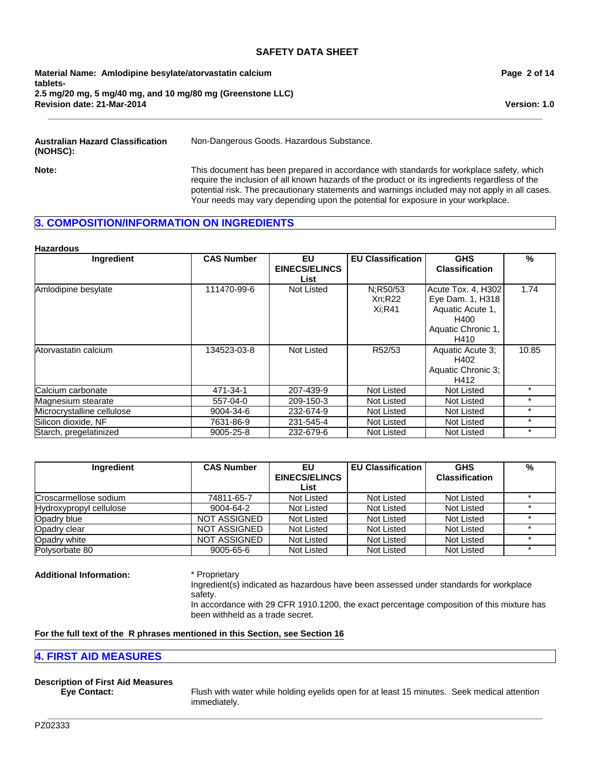**Revision date: 21-Mar-2014 Material Name: Amlodipine besylate/atorvastatin calcium tablets-2.5 mg/20 mg, 5 mg/40 mg, and 10 mg/80 mg (Greenstone LLC)** **Page 2 of 14**

**Version: 1.0**

**Australian Hazard Classification (NOHSC):**

Non-Dangerous Goods. Hazardous Substance.

**\_\_\_\_\_\_\_\_\_\_\_\_\_\_\_\_\_\_\_\_\_\_\_\_\_\_\_\_\_\_\_\_\_\_\_\_\_\_\_\_\_\_\_\_\_\_\_\_\_\_\_\_\_\_\_\_\_\_\_\_\_\_\_\_\_\_\_\_\_\_\_\_\_\_\_\_\_\_\_\_\_\_\_\_\_\_\_\_\_\_\_\_\_\_\_\_\_\_\_\_\_\_\_**

**Note:** This document has been prepared in accordance with standards for workplace safety, which require the inclusion of all known hazards of the product or its ingredients regardless of the potential risk. The precautionary statements and warnings included may not apply in all cases. Your needs may vary depending upon the potential for exposure in your workplace.

# **3. COMPOSITION/INFORMATION ON INGREDIENTS**

#### **Hazardous**

| <b>Ingredient</b>          | <b>CAS Number</b> | EU                   | <b>EU Classification</b> | <b>GHS</b>            | %       |
|----------------------------|-------------------|----------------------|--------------------------|-----------------------|---------|
|                            |                   | <b>EINECS/ELINCS</b> |                          | <b>Classification</b> |         |
|                            |                   | List                 |                          |                       |         |
| Amlodipine besylate        | 111470-99-6       | Not Listed           | N;R50/53                 | Acute Tox. 4, H302    | 1.74    |
|                            |                   |                      | Xn;R22                   | Eye Dam. 1, H318      |         |
|                            |                   |                      | Xi:R41                   | Aquatic Acute 1,      |         |
|                            |                   |                      |                          | H400                  |         |
|                            |                   |                      |                          | Aquatic Chronic 1,    |         |
|                            |                   |                      |                          | H410                  |         |
| Atorvastatin calcium       | 134523-03-8       | Not Listed           | R52/53                   | Aquatic Acute 3;      | 10.85   |
|                            |                   |                      |                          | H402                  |         |
|                            |                   |                      |                          | Aquatic Chronic 3;    |         |
|                            |                   |                      |                          | H412                  |         |
| Calcium carbonate          | 471-34-1          | 207-439-9            | Not Listed               | Not Listed            | $\star$ |
| Magnesium stearate         | 557-04-0          | 209-150-3            | Not Listed               | Not Listed            | $\star$ |
| Microcrystalline cellulose | 9004-34-6         | 232-674-9            | Not Listed               | Not Listed            | $\star$ |
| Silicon dioxide, NF        | 7631-86-9         | 231-545-4            | <b>Not Listed</b>        | Not Listed            | $\star$ |
| Starch, pregelatinized     | 9005-25-8         | 232-679-6            | Not Listed               | <b>Not Listed</b>     | $\star$ |

| Ingredient              | <b>CAS Number</b>   | EU                   | <b>EU Classification</b> | <b>GHS</b>            | % |
|-------------------------|---------------------|----------------------|--------------------------|-----------------------|---|
|                         |                     | <b>EINECS/ELINCS</b> |                          | <b>Classification</b> |   |
|                         |                     | List                 |                          |                       |   |
| Croscarmellose sodium   | 74811-65-7          | Not Listed           | Not Listed               | Not Listed            |   |
| Hydroxypropyl cellulose | 9004-64-2           | Not Listed           | Not Listed               | Not Listed            |   |
| Opadry blue             | <b>NOT ASSIGNED</b> | Not Listed           | Not Listed               | Not Listed            |   |
| Opadry clear            | <b>NOT ASSIGNED</b> | Not Listed           | Not Listed               | Not Listed            |   |
| Opadry white            | NOT ASSIGNED        | Not Listed           | Not Listed               | Not Listed            |   |
| Polysorbate 80          | 9005-65-6           | Not Listed           | Not Listed               | Not Listed            |   |

**\_\_\_\_\_\_\_\_\_\_\_\_\_\_\_\_\_\_\_\_\_\_\_\_\_\_\_\_\_\_\_\_\_\_\_\_\_\_\_\_\_\_\_\_\_\_\_\_\_\_\_\_\_\_\_\_\_\_\_\_\_\_\_\_\_\_\_\_\_\_\_\_\_\_\_\_\_\_\_\_\_\_\_\_\_\_\_\_\_\_\_\_\_\_\_\_\_\_\_\_\_\_\_**

#### **Additional Information:** \* Proprietary

Ingredient(s) indicated as hazardous have been assessed under standards for workplace safety.

In accordance with 29 CFR 1910.1200, the exact percentage composition of this mixture has been withheld as a trade secret.

# **For the full text of the R phrases mentioned in this Section, see Section 16**

# **4. FIRST AID MEASURES**

# **Description of First Aid Measures**

**Eye Contact:** Flush with water while holding eyelids open for at least 15 minutes. Seek medical attention immediately.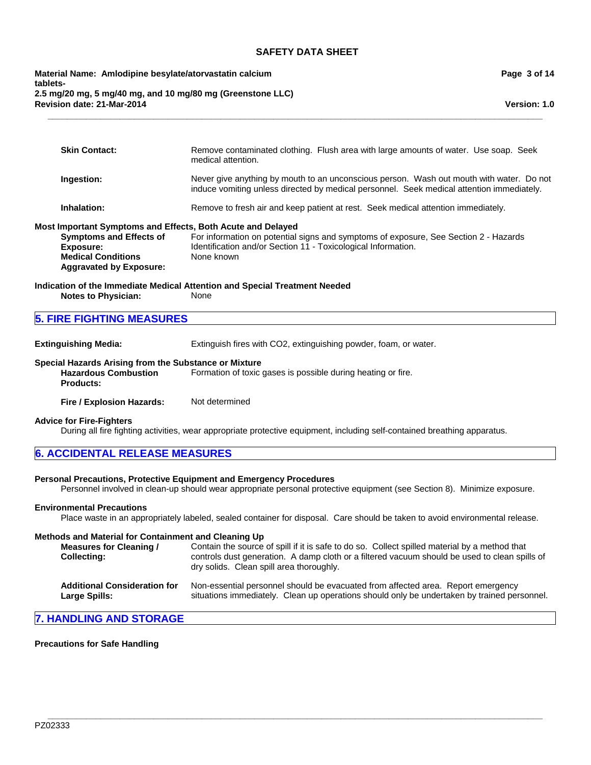**Revision date: 21-Mar-2014 Material Name: Amlodipine besylate/atorvastatin calcium tablets-2.5 mg/20 mg, 5 mg/40 mg, and 10 mg/80 mg (Greenstone LLC)** **Page 3 of 14**

**Version: 1.0**

| <b>Skin Contact:</b>                                                                                                                                                      | Remove contaminated clothing. Flush area with large amounts of water. Use soap. Seek<br>medical attention.                                                                            |
|---------------------------------------------------------------------------------------------------------------------------------------------------------------------------|---------------------------------------------------------------------------------------------------------------------------------------------------------------------------------------|
| Ingestion:                                                                                                                                                                | Never give anything by mouth to an unconscious person. Wash out mouth with water. Do not<br>induce vomiting unless directed by medical personnel. Seek medical attention immediately. |
| Inhalation:                                                                                                                                                               | Remove to fresh air and keep patient at rest. Seek medical attention immediately.                                                                                                     |
| Most Important Symptoms and Effects, Both Acute and Delayed<br><b>Symptoms and Effects of</b><br>Exposure:<br><b>Medical Conditions</b><br><b>Aggravated by Exposure:</b> | For information on potential signs and symptoms of exposure, See Section 2 - Hazards<br>Identification and/or Section 11 - Toxicological Information.<br>None known                   |
| <b>Notes to Physician:</b>                                                                                                                                                | Indication of the Immediate Medical Attention and Special Treatment Needed<br><b>None</b>                                                                                             |
| <b>5. FIRE FIGHTING MEASURES</b>                                                                                                                                          |                                                                                                                                                                                       |

**\_\_\_\_\_\_\_\_\_\_\_\_\_\_\_\_\_\_\_\_\_\_\_\_\_\_\_\_\_\_\_\_\_\_\_\_\_\_\_\_\_\_\_\_\_\_\_\_\_\_\_\_\_\_\_\_\_\_\_\_\_\_\_\_\_\_\_\_\_\_\_\_\_\_\_\_\_\_\_\_\_\_\_\_\_\_\_\_\_\_\_\_\_\_\_\_\_\_\_\_\_\_\_**

| <b>Extinguishing Media:</b> | Extinguish fires with CO2, extinguishing powder, foam, or water. |
|-----------------------------|------------------------------------------------------------------|
|                             |                                                                  |

# **Special Hazards Arising from the Substance or Mixture**

**Hazardous Combustion Products:** Formation of toxic gases is possible during heating or fire.

**Fire / Explosion Hazards:** Not determined

#### **Advice for Fire-Fighters**

During all fire fighting activities, wear appropriate protective equipment, including self-contained breathing apparatus.

#### **Personal Precautions, Protective Equipment and Emergency Procedures**

Personnel involved in clean-up should wear appropriate personal protective equipment (see Section 8). Minimize exposure.

#### **Environmental Precautions**

Place waste in an appropriately labeled, sealed container for disposal. Care should be taken to avoid environmental release.

# **Methods and Material for Containment and Cleaning Up**

**Measures for Cleaning / Collecting:** Contain the source of spill if it is safe to do so. Collect spilled material by a method that controls dust generation. A damp cloth or a filtered vacuum should be used to clean spills of dry solids. Clean spill area thoroughly.

**\_\_\_\_\_\_\_\_\_\_\_\_\_\_\_\_\_\_\_\_\_\_\_\_\_\_\_\_\_\_\_\_\_\_\_\_\_\_\_\_\_\_\_\_\_\_\_\_\_\_\_\_\_\_\_\_\_\_\_\_\_\_\_\_\_\_\_\_\_\_\_\_\_\_\_\_\_\_\_\_\_\_\_\_\_\_\_\_\_\_\_\_\_\_\_\_\_\_\_\_\_\_\_**

| <b>Additional Consideration for</b> | Non-essential personnel should be evacuated from affected area. Report emergency            |
|-------------------------------------|---------------------------------------------------------------------------------------------|
| <b>Large Spills:</b>                | situations immediately. Clean up operations should only be undertaken by trained personnel. |

# **7. HANDLING AND STORAGE**

#### **Precautions for Safe Handling**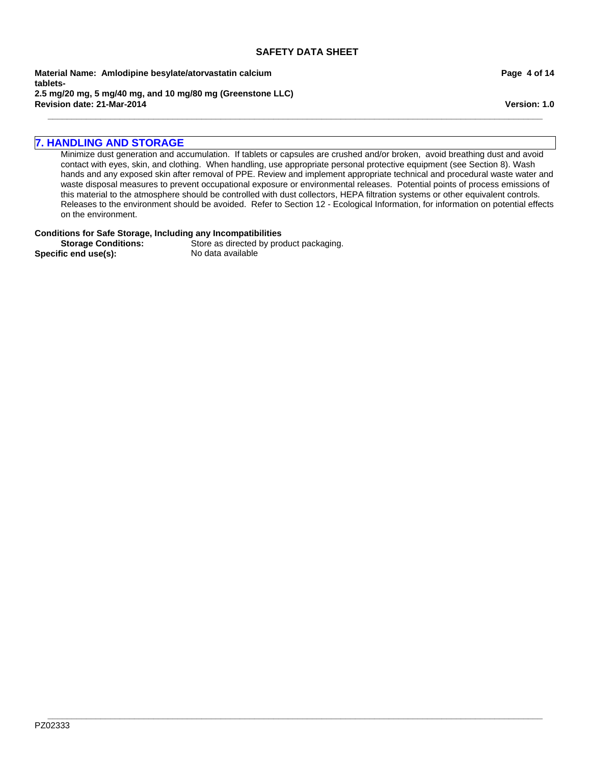**\_\_\_\_\_\_\_\_\_\_\_\_\_\_\_\_\_\_\_\_\_\_\_\_\_\_\_\_\_\_\_\_\_\_\_\_\_\_\_\_\_\_\_\_\_\_\_\_\_\_\_\_\_\_\_\_\_\_\_\_\_\_\_\_\_\_\_\_\_\_\_\_\_\_\_\_\_\_\_\_\_\_\_\_\_\_\_\_\_\_\_\_\_\_\_\_\_\_\_\_\_\_\_**

**Revision date: 21-Mar-2014 Material Name: Amlodipine besylate/atorvastatin calcium tablets-2.5 mg/20 mg, 5 mg/40 mg, and 10 mg/80 mg (Greenstone LLC)** **Page 4 of 14**

**Version: 1.0**

# **7. HANDLING AND STORAGE**

Minimize dust generation and accumulation. If tablets or capsules are crushed and/or broken, avoid breathing dust and avoid contact with eyes, skin, and clothing. When handling, use appropriate personal protective equipment (see Section 8). Wash hands and any exposed skin after removal of PPE. Review and implement appropriate technical and procedural waste water and waste disposal measures to prevent occupational exposure or environmental releases. Potential points of process emissions of this material to the atmosphere should be controlled with dust collectors, HEPA filtration systems or other equivalent controls. Releases to the environment should be avoided. Refer to Section 12 - Ecological Information, for information on potential effects on the environment.

# **Conditions for Safe Storage, Including any Incompatibilities**

**Specific end use(s):** No data available

**Storage Conditions:** Store as directed by product packaging.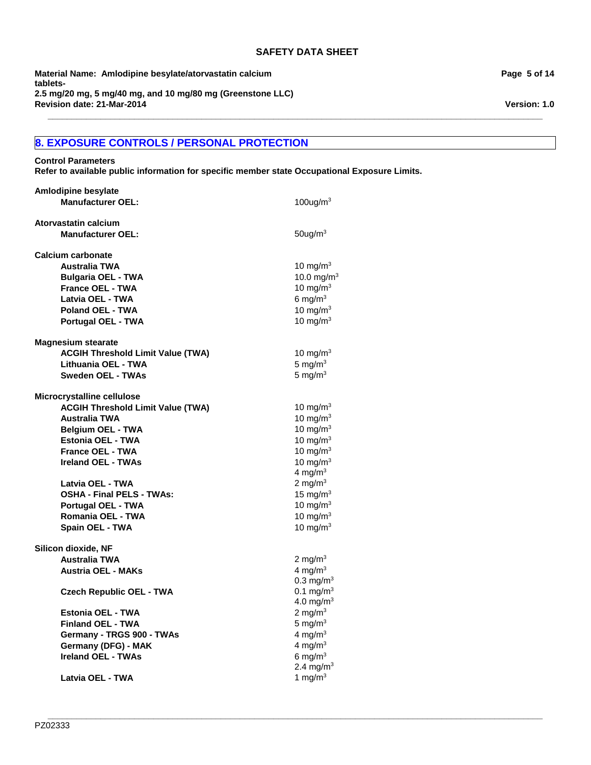**\_\_\_\_\_\_\_\_\_\_\_\_\_\_\_\_\_\_\_\_\_\_\_\_\_\_\_\_\_\_\_\_\_\_\_\_\_\_\_\_\_\_\_\_\_\_\_\_\_\_\_\_\_\_\_\_\_\_\_\_\_\_\_\_\_\_\_\_\_\_\_\_\_\_\_\_\_\_\_\_\_\_\_\_\_\_\_\_\_\_\_\_\_\_\_\_\_\_\_\_\_\_\_**

**Revision date: 21-Mar-2014 Material Name: Amlodipine besylate/atorvastatin calcium tablets-2.5 mg/20 mg, 5 mg/40 mg, and 10 mg/80 mg (Greenstone LLC)**

# **8. EXPOSURE CONTROLS / PERSONAL PROTECTION**

**Control Parameters**

**Refer to available public information for specific member state Occupational Exposure Limits.**

| <b>Amlodipine besylate</b>               |                       |
|------------------------------------------|-----------------------|
| <b>Manufacturer OEL:</b>                 | 100ug/m $3$           |
| Atorvastatin calcium                     |                       |
| <b>Manufacturer OEL:</b>                 | $50$ ug/m $3$         |
| <b>Calcium carbonate</b>                 |                       |
| <b>Australia TWA</b>                     | 10 mg/m $3$           |
| <b>Bulgaria OEL - TWA</b>                | 10.0 mg/ $m^3$        |
| <b>France OEL - TWA</b>                  | 10 mg/m $3$           |
| Latvia OEL - TWA                         | 6 mg/ $m3$            |
| <b>Poland OEL - TWA</b>                  | 10 mg/m $3$           |
| Portugal OEL - TWA                       | 10 mg/m $3$           |
| <b>Magnesium stearate</b>                |                       |
| <b>ACGIH Threshold Limit Value (TWA)</b> | 10 mg/m $3$           |
| Lithuania OEL - TWA                      | 5 mg/ $m3$            |
| <b>Sweden OEL - TWAs</b>                 | 5 mg/ $m3$            |
| Microcrystalline cellulose               |                       |
| <b>ACGIH Threshold Limit Value (TWA)</b> | 10 mg/m <sup>3</sup>  |
| <b>Australia TWA</b>                     | 10 mg/ $m3$           |
| <b>Belgium OEL - TWA</b>                 | 10 mg/m $3$           |
| Estonia OEL - TWA                        | 10 mg/m $3$           |
| France OEL - TWA                         | 10 mg/m $3$           |
| <b>Ireland OEL - TWAs</b>                | 10 mg/m $3$           |
|                                          | 4 mg/ $m3$            |
| Latvia OEL - TWA                         | 2 mg/m $3$            |
| <b>OSHA - Final PELS - TWAs:</b>         | 15 mg/ $m3$           |
| <b>Portugal OEL - TWA</b>                | 10 mg/m $3$           |
| Romania OEL - TWA                        | 10 mg/m $3$           |
| Spain OEL - TWA                          | 10 mg/m $3$           |
| Silicon dioxide, NF                      |                       |
| <b>Australia TWA</b>                     | 2 mg/m $3$            |
| <b>Austria OEL - MAKs</b>                | 4 mg/ $m3$            |
|                                          | $0.3 \text{ mg/m}^3$  |
| <b>Czech Republic OEL - TWA</b>          | $0.1 \text{ mg/m}^3$  |
|                                          | 4.0 mg/m <sup>3</sup> |
| <b>Estonia OEL - TWA</b>                 | 2 mg/m $3$            |
| <b>Finland OEL - TWA</b>                 | 5 mg/ $m3$            |
| Germany - TRGS 900 - TWAs                | 4 mg/ $m3$            |
| Germany (DFG) - MAK                      | 4 mg/m $3$            |
| <b>Ireland OEL - TWAs</b>                | 6 mg/ $m3$            |
|                                          | 2.4 mg/m <sup>3</sup> |
| Latvia OEL - TWA                         | 1 mg/m $3$            |

**Page 5 of 14**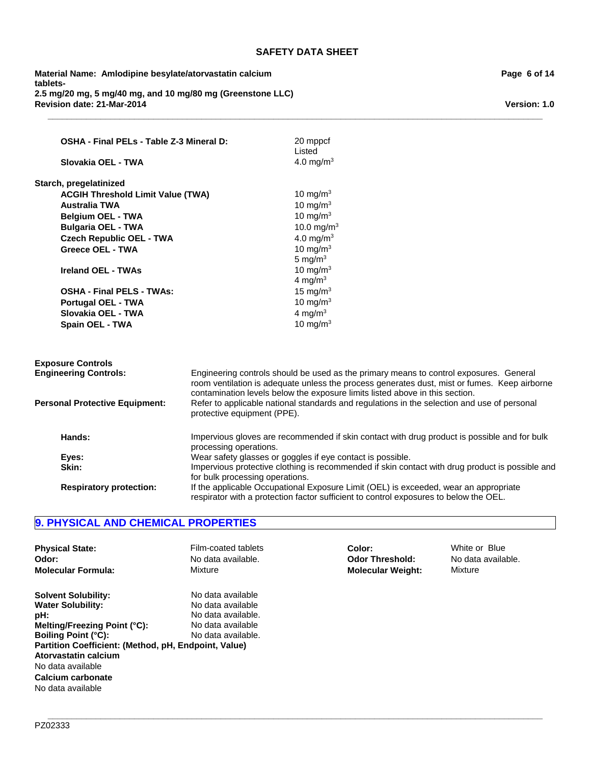**\_\_\_\_\_\_\_\_\_\_\_\_\_\_\_\_\_\_\_\_\_\_\_\_\_\_\_\_\_\_\_\_\_\_\_\_\_\_\_\_\_\_\_\_\_\_\_\_\_\_\_\_\_\_\_\_\_\_\_\_\_\_\_\_\_\_\_\_\_\_\_\_\_\_\_\_\_\_\_\_\_\_\_\_\_\_\_\_\_\_\_\_\_\_\_\_\_\_\_\_\_\_\_**

**Revision date: 21-Mar-2014 Material Name: Amlodipine besylate/atorvastatin calcium tablets-2.5 mg/20 mg, 5 mg/40 mg, and 10 mg/80 mg (Greenstone LLC)**

| OSHA - Final PELs - Table Z-3 Mineral D: |                                                                                                                                                                                                                                                                        | 20 mppcf<br>Listed                                                                                                                                                            |
|------------------------------------------|------------------------------------------------------------------------------------------------------------------------------------------------------------------------------------------------------------------------------------------------------------------------|-------------------------------------------------------------------------------------------------------------------------------------------------------------------------------|
| Slovakia OEL - TWA                       |                                                                                                                                                                                                                                                                        | 4.0 mg/m <sup>3</sup>                                                                                                                                                         |
| Starch, pregelatinized                   |                                                                                                                                                                                                                                                                        |                                                                                                                                                                               |
| <b>ACGIH Threshold Limit Value (TWA)</b> |                                                                                                                                                                                                                                                                        | 10 mg/m $3$                                                                                                                                                                   |
| <b>Australia TWA</b>                     |                                                                                                                                                                                                                                                                        | 10 mg/m $3$                                                                                                                                                                   |
| <b>Belgium OEL - TWA</b>                 |                                                                                                                                                                                                                                                                        | 10 mg/m $3$                                                                                                                                                                   |
| <b>Bulgaria OEL - TWA</b>                |                                                                                                                                                                                                                                                                        | 10.0 mg/m <sup>3</sup>                                                                                                                                                        |
| <b>Czech Republic OEL - TWA</b>          |                                                                                                                                                                                                                                                                        | 4.0 mg/ $m3$                                                                                                                                                                  |
| <b>Greece OEL - TWA</b>                  |                                                                                                                                                                                                                                                                        | 10 mg/m $3$                                                                                                                                                                   |
|                                          |                                                                                                                                                                                                                                                                        | 5 mg/ $m3$                                                                                                                                                                    |
| <b>Ireland OEL - TWAs</b>                |                                                                                                                                                                                                                                                                        | 10 mg/m $3$                                                                                                                                                                   |
|                                          |                                                                                                                                                                                                                                                                        | 4 mg/m $3$                                                                                                                                                                    |
| <b>OSHA - Final PELS - TWAs:</b>         |                                                                                                                                                                                                                                                                        | 15 mg/m $3$                                                                                                                                                                   |
| <b>Portugal OEL - TWA</b>                |                                                                                                                                                                                                                                                                        | 10 mg/m $3$                                                                                                                                                                   |
| Slovakia OEL - TWA                       |                                                                                                                                                                                                                                                                        | 4 mg/m $3$                                                                                                                                                                    |
| Spain OEL - TWA                          |                                                                                                                                                                                                                                                                        | 10 mg/m $3$                                                                                                                                                                   |
|                                          |                                                                                                                                                                                                                                                                        |                                                                                                                                                                               |
| <b>Exposure Controls</b>                 |                                                                                                                                                                                                                                                                        |                                                                                                                                                                               |
| <b>Engineering Controls:</b>             | Engineering controls should be used as the primary means to control exposures. General<br>room ventilation is adequate unless the process generates dust, mist or fumes. Keep airborne<br>contamination levels below the exposure limits listed above in this section. |                                                                                                                                                                               |
| <b>Personal Protective Equipment:</b>    | protective equipment (PPE).                                                                                                                                                                                                                                            | Refer to applicable national standards and regulations in the selection and use of personal                                                                                   |
| Hands:                                   | processing operations.                                                                                                                                                                                                                                                 | Impervious gloves are recommended if skin contact with drug product is possible and for bulk                                                                                  |
| Eyes:                                    |                                                                                                                                                                                                                                                                        | Wear safety glasses or goggles if eye contact is possible.                                                                                                                    |
| Skin:                                    | Impervious protective clothing is recommended if skin contact with drug product is possible and                                                                                                                                                                        |                                                                                                                                                                               |
|                                          | for bulk processing operations.                                                                                                                                                                                                                                        |                                                                                                                                                                               |
| <b>Respiratory protection:</b>           |                                                                                                                                                                                                                                                                        | If the applicable Occupational Exposure Limit (OEL) is exceeded, wear an appropriate<br>respirator with a protection factor sufficient to control exposures to below the OEL. |

# **9. PHYSICAL AND CHEMICAL PROPERTIES**

| <b>Physical State:</b>                                                                                                                                                                                                                                                     | Film-coated tablets                                                                                     | Color:                   | White or Blue      |
|----------------------------------------------------------------------------------------------------------------------------------------------------------------------------------------------------------------------------------------------------------------------------|---------------------------------------------------------------------------------------------------------|--------------------------|--------------------|
| Odor:                                                                                                                                                                                                                                                                      | No data available.                                                                                      | <b>Odor Threshold:</b>   | No data available. |
| <b>Molecular Formula:</b>                                                                                                                                                                                                                                                  | Mixture                                                                                                 | <b>Molecular Weight:</b> | Mixture            |
| <b>Solvent Solubility:</b><br><b>Water Solubility:</b><br>pH:<br>Melting/Freezing Point (°C):<br><b>Boiling Point (°C):</b><br>Partition Coefficient: (Method, pH, Endpoint, Value)<br>Atorvastatin calcium<br>No data available<br>Calcium carbonate<br>No data available | No data available<br>No data available<br>No data available.<br>No data available<br>No data available. |                          |                    |

**Page 6 of 14**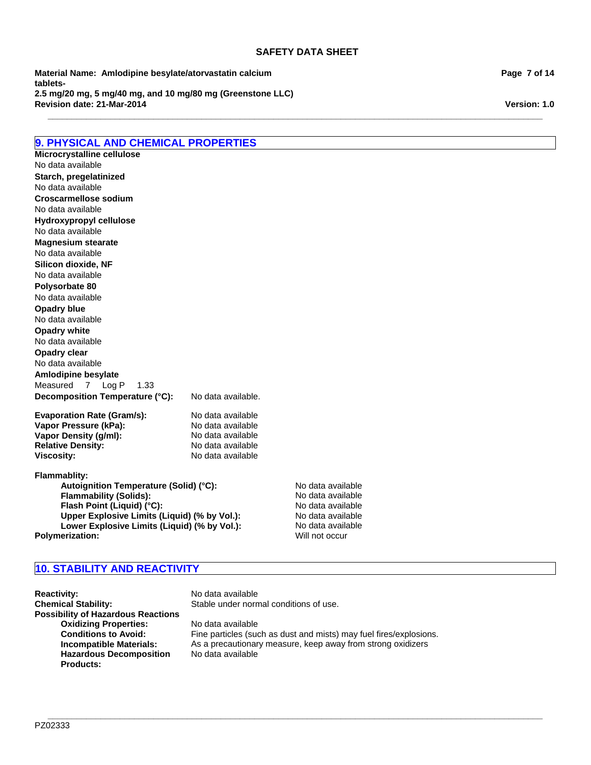**\_\_\_\_\_\_\_\_\_\_\_\_\_\_\_\_\_\_\_\_\_\_\_\_\_\_\_\_\_\_\_\_\_\_\_\_\_\_\_\_\_\_\_\_\_\_\_\_\_\_\_\_\_\_\_\_\_\_\_\_\_\_\_\_\_\_\_\_\_\_\_\_\_\_\_\_\_\_\_\_\_\_\_\_\_\_\_\_\_\_\_\_\_\_\_\_\_\_\_\_\_\_\_**

**Revision date: 21-Mar-2014 Material Name: Amlodipine besylate/atorvastatin calcium tablets-2.5 mg/20 mg, 5 mg/40 mg, and 10 mg/80 mg (Greenstone LLC)**

# **9. PHYSICAL AND CHEMICAL PROPERTIES**

**Decomposition Temperature (°C):** No data available. **Evaporation Rate (Gram/s):** No data available<br> **Vapor Pressure (kPa):** No data available **Vapor Pressure (kPa):** No data available<br> **Vapor Density (g/ml):** No data available **Vapor Density (g/ml):** No data available<br> **Relative Density:** No data available **Relative Density: Viscosity:** No data available **Flammablity:** Autoignition Temperature (Solid) (°C):<br>
Flammability (Solids): No data available No data available No data available **Opadry white Hydroxypropyl cellulose** No data available No data available **Opadry clear** No data available No data available **Amlodipine besylate Magnesium stearate** Measured7Log P1.33 **Starch, pregelatinized** No data available **Silicon dioxide, NF** No data available No data available **Polysorbate 80 Croscarmellose sodium** No data available **Microcrystalline cellulose Opadry blue**

**Flammability (Solids):** No data available<br> **Flash Point (Liquid) (°C):** No data available **Flash Point (Liquid) (°C):**<br> **Upper Explosive Limits (Liquid) (% by Vol.):** No data available **Upper Explosive Limits (Liquid) (% by Vol.):** No data available<br> **Lower Explosive Limits (Liquid) (% by Vol.):** No data available **Lower Explosive Limits (Liquid) (% by Vol.):** No data available rization: Will not occur **Polymerization:** 

# **10. STABILITY AND REACTIVITY**

**Reactivity:** No data available **Chemical Stability:** Stable under normal conditions of use. **Possibility of Hazardous Reactions Oxidizing Properties:** No data available **Hazardous Decomposition Products:**

**Conditions to Avoid:** Fine particles (such as dust and mists) may fuel fires/explosions. **Incompatible Materials:** As a precautionary measure, keep away from strong oxidizers No data available

**\_\_\_\_\_\_\_\_\_\_\_\_\_\_\_\_\_\_\_\_\_\_\_\_\_\_\_\_\_\_\_\_\_\_\_\_\_\_\_\_\_\_\_\_\_\_\_\_\_\_\_\_\_\_\_\_\_\_\_\_\_\_\_\_\_\_\_\_\_\_\_\_\_\_\_\_\_\_\_\_\_\_\_\_\_\_\_\_\_\_\_\_\_\_\_\_\_\_\_\_\_\_\_**

**Page 7 of 14**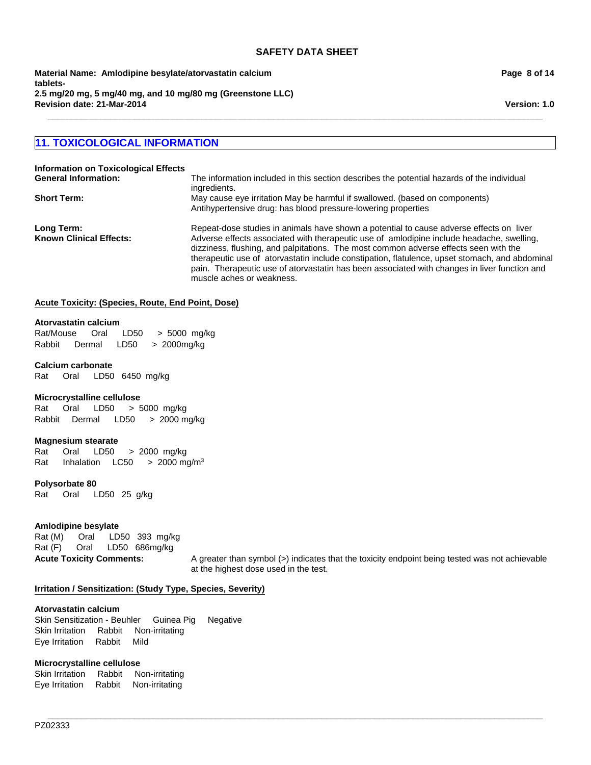**Material Name: Amlodipine besylate/atorvastatin calcium tablets-2.5 mg/20 mg, 5 mg/40 mg, and 10 mg/80 mg (Greenstone LLC) Revision date: 21-Mar-2014**

# **11. TOXICOLOGICAL INFORMATION**

| <b>Information on Toxicological Effects</b>  |                                                                                                                                                                                                                                                                                                                                                                                                                                                                                                             |
|----------------------------------------------|-------------------------------------------------------------------------------------------------------------------------------------------------------------------------------------------------------------------------------------------------------------------------------------------------------------------------------------------------------------------------------------------------------------------------------------------------------------------------------------------------------------|
| <b>General Information:</b>                  | The information included in this section describes the potential hazards of the individual<br>ingredients.                                                                                                                                                                                                                                                                                                                                                                                                  |
| <b>Short Term:</b>                           | May cause eye irritation May be harmful if swallowed. (based on components)<br>Antihypertensive drug: has blood pressure-lowering properties                                                                                                                                                                                                                                                                                                                                                                |
| Long Term:<br><b>Known Clinical Effects:</b> | Repeat-dose studies in animals have shown a potential to cause adverse effects on liver<br>Adverse effects associated with therapeutic use of amlodipine include headache, swelling,<br>dizziness, flushing, and palpitations. The most common adverse effects seen with the<br>therapeutic use of atorvastatin include constipation, flatulence, upset stomach, and abdominal<br>pain. Therapeutic use of atorvastatin has been associated with changes in liver function and<br>muscle aches or weakness. |

**\_\_\_\_\_\_\_\_\_\_\_\_\_\_\_\_\_\_\_\_\_\_\_\_\_\_\_\_\_\_\_\_\_\_\_\_\_\_\_\_\_\_\_\_\_\_\_\_\_\_\_\_\_\_\_\_\_\_\_\_\_\_\_\_\_\_\_\_\_\_\_\_\_\_\_\_\_\_\_\_\_\_\_\_\_\_\_\_\_\_\_\_\_\_\_\_\_\_\_\_\_\_\_**

**\_\_\_\_\_\_\_\_\_\_\_\_\_\_\_\_\_\_\_\_\_\_\_\_\_\_\_\_\_\_\_\_\_\_\_\_\_\_\_\_\_\_\_\_\_\_\_\_\_\_\_\_\_\_\_\_\_\_\_\_\_\_\_\_\_\_\_\_\_\_\_\_\_\_\_\_\_\_\_\_\_\_\_\_\_\_\_\_\_\_\_\_\_\_\_\_\_\_\_\_\_\_\_**

# **Acute Toxicity: (Species, Route, End Point, Dose)**

#### **Atorvastatin calcium**

Rat/Mouse Oral LD50 >5000mg/kg Rabbit Dermal LD50 >2000mg/kg

# **Calcium carbonate**

Rat Oral LD50 6450mg/kg

#### **Microcrystalline cellulose**

Rat Oral LD50 >5000mg/kg RabbitDermal LD50 >2000 mg/kg

#### **Magnesium stearate**

Rat Oral LD50 >2000mg/kg Rat InhalationLC50 >2000 mg/m3

**Polysorbate 80**

Rat Oral LD50 25g/kg

# **Amlodipine besylate**

Rat (M) Oral LD50 393mg/kg Rat (F) Oral LD50 686mg/kg

**Acute Toxicity Comments:** A greater than symbol (>) indicates that the toxicity endpoint being tested was not achievable at the highest dose used in the test.

# **Irritation / Sensitization: (Study Type, Species, Severity)**

#### **Atorvastatin calcium**

Skin Sensitization - BeuhlerGuinea PigNegative Skin IrritationRabbitNon-irritating Eye IrritationRabbitMild

# **Microcrystalline cellulose**

Skin IrritationRabbitNon-irritating Eye IrritationRabbitNon-irritating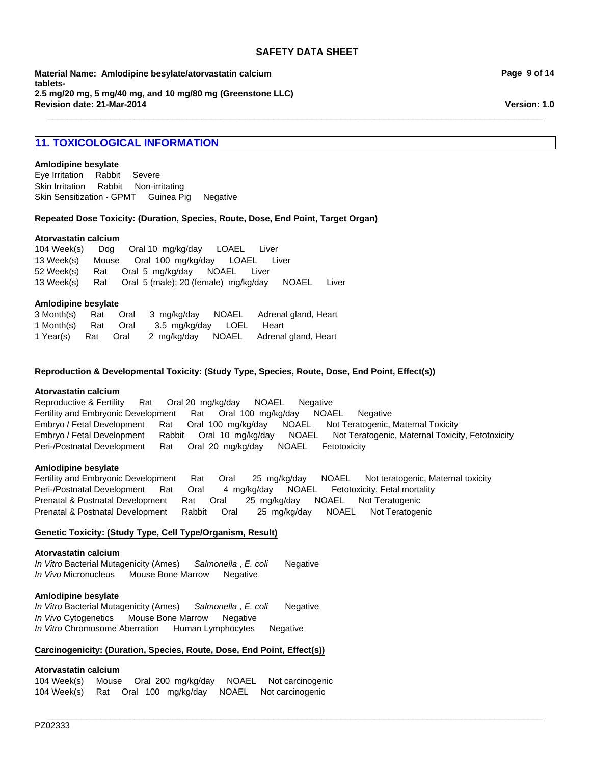**\_\_\_\_\_\_\_\_\_\_\_\_\_\_\_\_\_\_\_\_\_\_\_\_\_\_\_\_\_\_\_\_\_\_\_\_\_\_\_\_\_\_\_\_\_\_\_\_\_\_\_\_\_\_\_\_\_\_\_\_\_\_\_\_\_\_\_\_\_\_\_\_\_\_\_\_\_\_\_\_\_\_\_\_\_\_\_\_\_\_\_\_\_\_\_\_\_\_\_\_\_\_\_**

**Material Name: Amlodipine besylate/atorvastatin calcium tablets-2.5 mg/20 mg, 5 mg/40 mg, and 10 mg/80 mg (Greenstone LLC) Revision date: 21-Mar-2014**

# **11. TOXICOLOGICAL INFORMATION**

#### **Amlodipine besylate**

Skin IrritationRabbitNon-irritating Skin Sensitization - GPMTGuinea PigNegative Eye IrritationRabbitSevere

#### **Repeated Dose Toxicity: (Duration, Species, Route, Dose, End Point, Target Organ)**

#### **Atorvastatin calcium**

13 Week(s)RatOral5 (male); 20 (female)mg/kg/dayNOAELLiver 104 Week(s)DogOral 10mg/kg/dayLOAELLiver 13 Week(s)MouseOral100mg/kg/dayLOAELLiver 52 Week(s)RatOral5mg/kg/dayNOAELLiver

#### **Amlodipine besylate**

|                     |  |                          | 3 Month(s) Rat Oral 3 mg/kg/day NOAEL Adrenal gland, Heart |
|---------------------|--|--------------------------|------------------------------------------------------------|
| 1 Month(s) Rat Oral |  | 3.5 mg/kg/day LOEL Heart |                                                            |
| 1 Year(s) Rat Oral  |  |                          | 2 mg/kg/day NOAEL Adrenal gland, Heart                     |

#### **Reproduction & Developmental Toxicity: (Study Type, Species, Route, Dose, End Point, Effect(s))**

#### **Atorvastatin calcium**

Peri-/Postnatal DevelopmentRatOral20mg/kg/dayNOAELFetotoxicity Reproductive & FertilityRatOral 20mg/kg/dayNOAELNegative Fertility and Embryonic DevelopmentRatOral100mg/kg/dayNOAELNegative Embryo / Fetal DevelopmentRatOral100mg/kg/dayNOAELNot Teratogenic, Maternal Toxicity Embryo / Fetal DevelopmentRabbitOral10mg/kg/dayNOAELNot Teratogenic, Maternal Toxicity, Fetotoxicity

#### **Amlodipine besylate**

Fertility and Embryonic DevelopmentRatOral25mg/kg/dayNOAELNot teratogenic, Maternal toxicity Peri-/Postnatal DevelopmentRatOral4mg/kg/dayNOAELFetotoxicity, Fetal mortality Prenatal & Postnatal DevelopmentRatOral25mg/kg/dayNOAELNot Teratogenic Prenatal & Postnatal DevelopmentRabbitOral25mg/kg/dayNOAELNot Teratogenic

**\_\_\_\_\_\_\_\_\_\_\_\_\_\_\_\_\_\_\_\_\_\_\_\_\_\_\_\_\_\_\_\_\_\_\_\_\_\_\_\_\_\_\_\_\_\_\_\_\_\_\_\_\_\_\_\_\_\_\_\_\_\_\_\_\_\_\_\_\_\_\_\_\_\_\_\_\_\_\_\_\_\_\_\_\_\_\_\_\_\_\_\_\_\_\_\_\_\_\_\_\_\_\_**

# **Genetic Toxicity: (Study Type, Cell Type/Organism, Result)**

#### **Atorvastatin calcium**

*In Vitro* Bacterial Mutagenicity (Ames)*Salmonella* , *E. coli* Negative *In Vivo* MicronucleusMouse Bone MarrowNegative

#### **Amlodipine besylate**

*In Vitro* Bacterial Mutagenicity (Ames)*Salmonella* , *E. coli* Negative *In Vivo* CytogeneticsMouse Bone MarrowNegative *In Vitro* Chromosome AberrationHuman LymphocytesNegative

#### **Carcinogenicity: (Duration, Species, Route, Dose, End Point, Effect(s))**

# **Atorvastatin calcium**

104 Week(s)MouseOral200mg/kg/dayNOAELNot carcinogenic 104 Week(s)RatOral100mg/kg/dayNOAELNot carcinogenic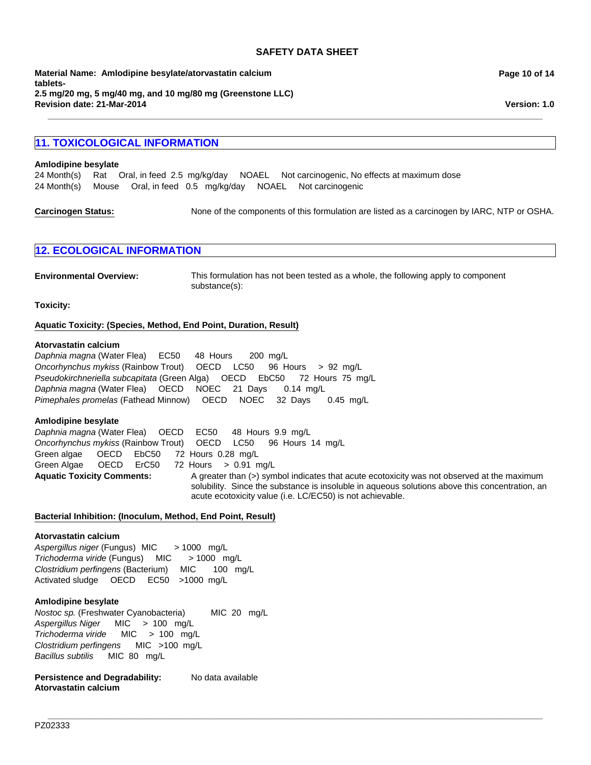**\_\_\_\_\_\_\_\_\_\_\_\_\_\_\_\_\_\_\_\_\_\_\_\_\_\_\_\_\_\_\_\_\_\_\_\_\_\_\_\_\_\_\_\_\_\_\_\_\_\_\_\_\_\_\_\_\_\_\_\_\_\_\_\_\_\_\_\_\_\_\_\_\_\_\_\_\_\_\_\_\_\_\_\_\_\_\_\_\_\_\_\_\_\_\_\_\_\_\_\_\_\_\_**

**Revision date: 21-Mar-2014 Material Name: Amlodipine besylate/atorvastatin calcium tablets-2.5 mg/20 mg, 5 mg/40 mg, and 10 mg/80 mg (Greenstone LLC)**

# **11. TOXICOLOGICAL INFORMATION**

#### **Amlodipine besylate**

24 Month(s)RatOral, in feed2.5mg/kg/dayNOAELNot carcinogenic, No effects at maximum dose 24 Month(s)MouseOral, in feed0.5mg/kg/dayNOAELNot carcinogenic

**Carcinogen Status:** None of the components of this formulation are listed as a carcinogen by IARC, NTP or OSHA.

# **12. ECOLOGICAL INFORMATION**

**Environmental Overview:** This formulation has not been tested as a whole, the following apply to component substance(s):

**Toxicity:**

# **Aquatic Toxicity: (Species, Method, End Point, Duration, Result)**

#### **Atorvastatin calcium**

*Pseudokirchneriella subcapitata* (Green Alga)OECDEbC50 72Hours75mg/L *Daphnia magna* (Water Flea)OECDNOEC21Days0.14mg/L *Pimephales promelas* (Fathead Minnow)OECDNOEC32Days0.45mg/L *Daphnia magna* (Water Flea)EC50 48Hours200mg/L *Oncorhynchus mykiss* (Rainbow Trout)OECDLC50 96Hours>92mg/L

# **Amlodipine besylate**

Aquatic Toxicity Comments: A greater than (>) symbol indicates that acute ecotoxicity was not observed at the maximum solubility. Since the substance is insoluble in aqueous solutions above this concentration, an acute ecotoxicity value (i.e. LC/EC50) is not achievable. *Daphnia magna* (Water Flea)OECDEC50 48Hours9.9mg/L *Oncorhynchus mykiss* (Rainbow Trout)OECDLC50 96Hours14mg/L Green algae OECDEbC50 72Hours0.28mg/L Green Algae OECDErC50 72Hours>0.91mg/L

**\_\_\_\_\_\_\_\_\_\_\_\_\_\_\_\_\_\_\_\_\_\_\_\_\_\_\_\_\_\_\_\_\_\_\_\_\_\_\_\_\_\_\_\_\_\_\_\_\_\_\_\_\_\_\_\_\_\_\_\_\_\_\_\_\_\_\_\_\_\_\_\_\_\_\_\_\_\_\_\_\_\_\_\_\_\_\_\_\_\_\_\_\_\_\_\_\_\_\_\_\_\_\_**

# **Bacterial Inhibition: (Inoculum, Method, End Point, Result)**

# **Atorvastatin calcium**

*Aspergillus niger* (Fungus) MIC> 1000mg/L *Trichoderma viride* (Fungus)MIC> 1000mg/L *Clostridium perfingens* (Bacterium)MIC100mg/L Activated sludgeOECDEC50 >1000mg/L

# **Amlodipine besylate**

*Nostoc sp.* (Freshwater Cyanobacteria) MIC20mg/L *Aspergillus Niger* MIC>100mg/L *Trichoderma viride* MIC>100mg/L *Clostridium perfingens* MIC>100mg/L *Bacillus subtilis* MIC80mg/L

Persistence and Degradability: No data available **Atorvastatin calcium**

**Page 10 of 14**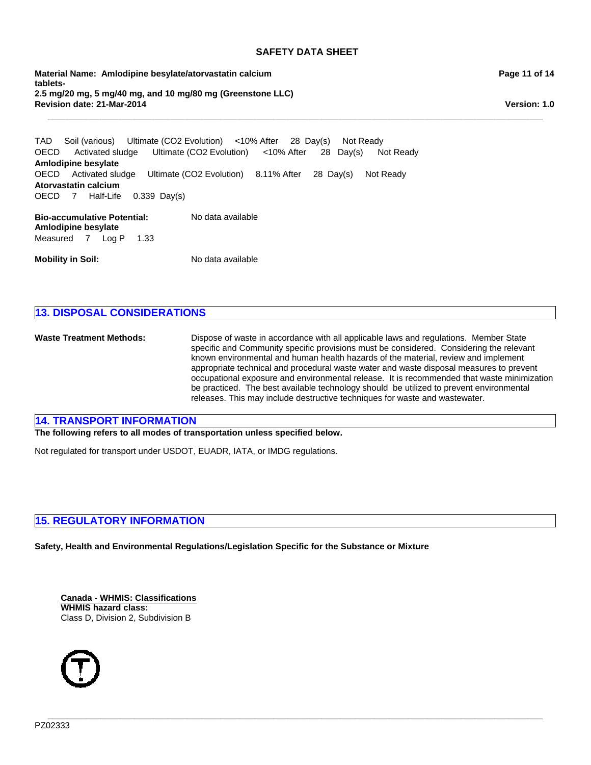**\_\_\_\_\_\_\_\_\_\_\_\_\_\_\_\_\_\_\_\_\_\_\_\_\_\_\_\_\_\_\_\_\_\_\_\_\_\_\_\_\_\_\_\_\_\_\_\_\_\_\_\_\_\_\_\_\_\_\_\_\_\_\_\_\_\_\_\_\_\_\_\_\_\_\_\_\_\_\_\_\_\_\_\_\_\_\_\_\_\_\_\_\_\_\_\_\_\_\_\_\_\_\_**

**Revision date: 21-Mar-2014 Material Name: Amlodipine besylate/atorvastatin calcium tablets-2.5 mg/20 mg, 5 mg/40 mg, and 10 mg/80 mg (Greenstone LLC)** **Page 11 of 14**

**Version: 1.0**

**Bio-accumulative Potential:** No data available OECDActivated sludgeUltimate (CO2 Evolution)8.11% After28Day(s)Not Ready **Atorvastatin calcium** TADSoil (various)Ultimate (CO2 Evolution)<10% After28Day(s)Not Ready OECD7Half-Life0.339Day(s) OECDActivated sludgeUltimate (CO2 Evolution)<10% After28Day(s)Not Ready **Amlodipine besylate**

**Amlodipine besylate** Measured7Log P1.33

**Mobility in Soil:** No data available

# **13. DISPOSAL CONSIDERATIONS**

**Waste Treatment Methods:** Dispose of waste in accordance with all applicable laws and regulations. Member State specific and Community specific provisions must be considered. Considering the relevant known environmental and human health hazards of the material, review and implement appropriate technical and procedural waste water and waste disposal measures to prevent occupational exposure and environmental release. It is recommended that waste minimization be practiced. The best available technology should be utilized to prevent environmental releases. This may include destructive techniques for waste and wastewater.

**\_\_\_\_\_\_\_\_\_\_\_\_\_\_\_\_\_\_\_\_\_\_\_\_\_\_\_\_\_\_\_\_\_\_\_\_\_\_\_\_\_\_\_\_\_\_\_\_\_\_\_\_\_\_\_\_\_\_\_\_\_\_\_\_\_\_\_\_\_\_\_\_\_\_\_\_\_\_\_\_\_\_\_\_\_\_\_\_\_\_\_\_\_\_\_\_\_\_\_\_\_\_\_**

# **14. TRANSPORT INFORMATION**

**The following refers to all modes of transportation unless specified below.**

Not regulated for transport under USDOT, EUADR, IATA, or IMDG regulations.

# **15. REGULATORY INFORMATION**

**Safety, Health and Environmental Regulations/Legislation Specific for the Substance or Mixture**

**Canada - WHMIS: Classifications WHMIS hazard class:** Class D, Division 2, Subdivision B

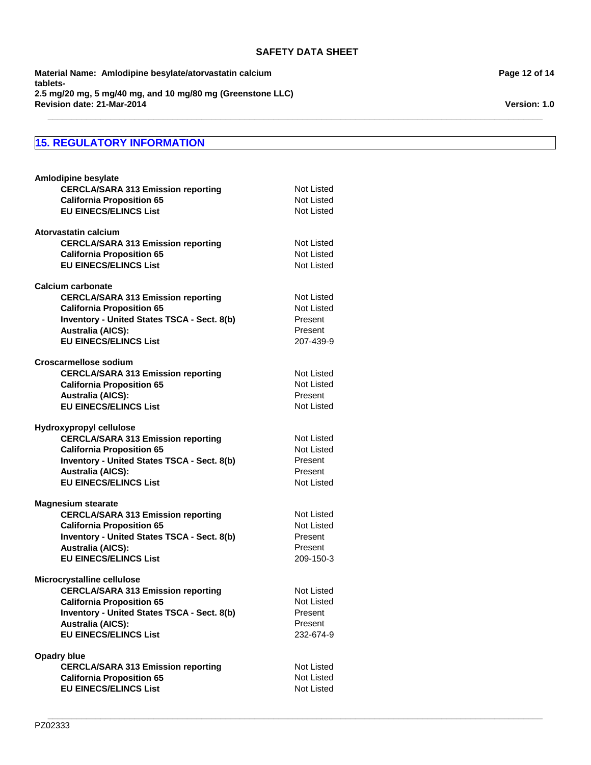**\_\_\_\_\_\_\_\_\_\_\_\_\_\_\_\_\_\_\_\_\_\_\_\_\_\_\_\_\_\_\_\_\_\_\_\_\_\_\_\_\_\_\_\_\_\_\_\_\_\_\_\_\_\_\_\_\_\_\_\_\_\_\_\_\_\_\_\_\_\_\_\_\_\_\_\_\_\_\_\_\_\_\_\_\_\_\_\_\_\_\_\_\_\_\_\_\_\_\_\_\_\_\_**

**\_\_\_\_\_\_\_\_\_\_\_\_\_\_\_\_\_\_\_\_\_\_\_\_\_\_\_\_\_\_\_\_\_\_\_\_\_\_\_\_\_\_\_\_\_\_\_\_\_\_\_\_\_\_\_\_\_\_\_\_\_\_\_\_\_\_\_\_\_\_\_\_\_\_\_\_\_\_\_\_\_\_\_\_\_\_\_\_\_\_\_\_\_\_\_\_\_\_\_\_\_\_\_**

**Revision date: 21-Mar-2014 Material Name: Amlodipine besylate/atorvastatin calcium tablets-2.5 mg/20 mg, 5 mg/40 mg, and 10 mg/80 mg (Greenstone LLC)**

# **15. REGULATORY INFORMATION**

| <b>Amlodipine besylate</b>                                       |                          |
|------------------------------------------------------------------|--------------------------|
| <b>CERCLA/SARA 313 Emission reporting</b>                        | Not Listed               |
| <b>California Proposition 65</b><br><b>EU EINECS/ELINCS List</b> | Not Listed<br>Not Listed |
|                                                                  |                          |
| Atorvastatin calcium                                             |                          |
| <b>CERCLA/SARA 313 Emission reporting</b>                        | Not Listed               |
| <b>California Proposition 65</b>                                 | Not Listed               |
| <b>EU EINECS/ELINCS List</b>                                     | <b>Not Listed</b>        |
| Calcium carbonate                                                |                          |
| <b>CERCLA/SARA 313 Emission reporting</b>                        | Not Listed               |
| <b>California Proposition 65</b>                                 | <b>Not Listed</b>        |
| <b>Inventory - United States TSCA - Sect. 8(b)</b>               | Present                  |
| <b>Australia (AICS):</b>                                         | Present                  |
| <b>EU EINECS/ELINCS List</b>                                     | 207-439-9                |
| Croscarmellose sodium                                            |                          |
| <b>CERCLA/SARA 313 Emission reporting</b>                        | Not Listed               |
| <b>California Proposition 65</b>                                 | <b>Not Listed</b>        |
| <b>Australia (AICS):</b>                                         | Present                  |
| <b>EU EINECS/ELINCS List</b>                                     | Not Listed               |
| Hydroxypropyl cellulose                                          |                          |
| <b>CERCLA/SARA 313 Emission reporting</b>                        | Not Listed               |
| <b>California Proposition 65</b>                                 | Not Listed               |
| <b>Inventory - United States TSCA - Sect. 8(b)</b>               | Present                  |
| <b>Australia (AICS):</b>                                         | Present                  |
| <b>EU EINECS/ELINCS List</b>                                     | <b>Not Listed</b>        |
| <b>Magnesium stearate</b>                                        |                          |
| <b>CERCLA/SARA 313 Emission reporting</b>                        | Not Listed               |
| <b>California Proposition 65</b>                                 | <b>Not Listed</b>        |
| Inventory - United States TSCA - Sect. 8(b)                      | Present                  |
| <b>Australia (AICS):</b>                                         | Present                  |
| <b>EU EINECS/ELINCS List</b>                                     | 209-150-3                |
| Microcrystalline cellulose                                       |                          |
| <b>CERCLA/SARA 313 Emission reporting</b>                        | Not Listed               |
| <b>California Proposition 65</b>                                 | Not Listed               |
| <b>Inventory - United States TSCA - Sect. 8(b)</b>               | Present                  |
| <b>Australia (AICS):</b>                                         | Present                  |
| <b>EU EINECS/ELINCS List</b>                                     | 232-674-9                |
| <b>Opadry blue</b>                                               |                          |
| <b>CERCLA/SARA 313 Emission reporting</b>                        | Not Listed               |
| <b>California Proposition 65</b>                                 | Not Listed               |
| <b>EU EINECS/ELINCS List</b>                                     | Not Listed               |
|                                                                  |                          |

**Page 12 of 14**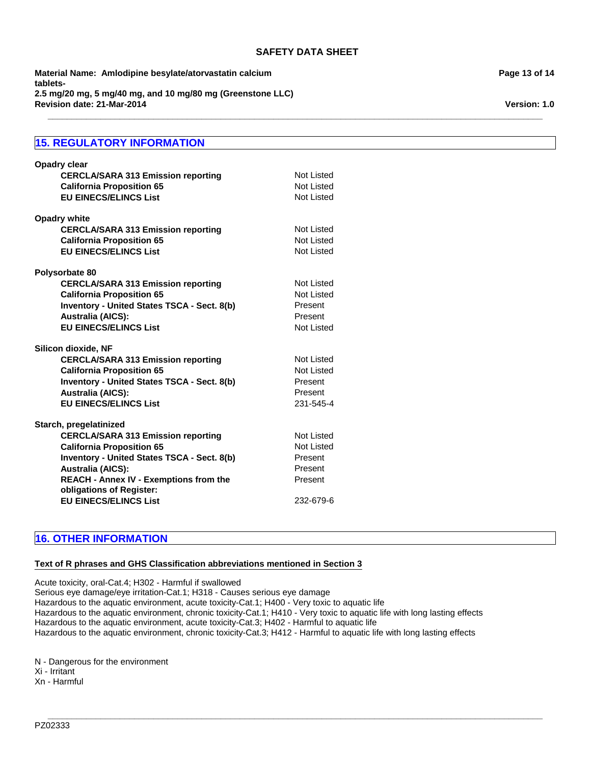**\_\_\_\_\_\_\_\_\_\_\_\_\_\_\_\_\_\_\_\_\_\_\_\_\_\_\_\_\_\_\_\_\_\_\_\_\_\_\_\_\_\_\_\_\_\_\_\_\_\_\_\_\_\_\_\_\_\_\_\_\_\_\_\_\_\_\_\_\_\_\_\_\_\_\_\_\_\_\_\_\_\_\_\_\_\_\_\_\_\_\_\_\_\_\_\_\_\_\_\_\_\_\_**

**Revision date: 21-Mar-2014 Material Name: Amlodipine besylate/atorvastatin calcium tablets-2.5 mg/20 mg, 5 mg/40 mg, and 10 mg/80 mg (Greenstone LLC)**

# **15. REGULATORY INFORMATION**

| <b>Opadry clear</b><br><b>CERCLA/SARA 313 Emission reporting</b><br><b>California Proposition 65</b><br><b>EU EINECS/ELINCS List</b>                                                                                                                                                            | Not Listed<br>Not Listed<br>Not Listed                                        |
|-------------------------------------------------------------------------------------------------------------------------------------------------------------------------------------------------------------------------------------------------------------------------------------------------|-------------------------------------------------------------------------------|
| <b>Opadry white</b><br><b>CERCLA/SARA 313 Emission reporting</b><br><b>California Proposition 65</b><br><b>EU EINECS/ELINCS List</b>                                                                                                                                                            | Not Listed<br>Not Listed<br>Not Listed                                        |
| Polysorbate 80<br><b>CERCLA/SARA 313 Emission reporting</b><br><b>California Proposition 65</b><br><b>Inventory - United States TSCA - Sect. 8(b)</b><br><b>Australia (AICS):</b><br><b>EU EINECS/ELINCS List</b>                                                                               | Not Listed<br>Not Listed<br>Present<br>Present<br>Not Listed                  |
| Silicon dioxide, NF<br><b>CERCLA/SARA 313 Emission reporting</b><br><b>California Proposition 65</b><br>Inventory - United States TSCA - Sect. 8(b)<br><b>Australia (AICS):</b><br><b>EU EINECS/ELINCS List</b>                                                                                 | Not Listed<br>Not Listed<br>Present<br>Present<br>231-545-4                   |
| Starch, pregelatinized<br><b>CERCLA/SARA 313 Emission reporting</b><br><b>California Proposition 65</b><br>Inventory - United States TSCA - Sect. 8(b)<br><b>Australia (AICS):</b><br><b>REACH - Annex IV - Exemptions from the</b><br>obligations of Register:<br><b>EU EINECS/ELINCS List</b> | Not Listed<br><b>Not Listed</b><br>Present<br>Present<br>Present<br>232-679-6 |

# **16. OTHER INFORMATION**

# **Text of R phrases and GHS Classification abbreviations mentioned in Section 3**

Acute toxicity, oral-Cat.4; H302 - Harmful if swallowed Serious eye damage/eye irritation-Cat.1; H318 - Causes serious eye damage Hazardous to the aquatic environment, acute toxicity-Cat.1; H400 - Very toxic to aquatic life Hazardous to the aquatic environment, chronic toxicity-Cat.1; H410 - Very toxic to aquatic life with long lasting effects Hazardous to the aquatic environment, acute toxicity-Cat.3; H402 - Harmful to aquatic life Hazardous to the aquatic environment, chronic toxicity-Cat.3; H412 - Harmful to aquatic life with long lasting effects

**\_\_\_\_\_\_\_\_\_\_\_\_\_\_\_\_\_\_\_\_\_\_\_\_\_\_\_\_\_\_\_\_\_\_\_\_\_\_\_\_\_\_\_\_\_\_\_\_\_\_\_\_\_\_\_\_\_\_\_\_\_\_\_\_\_\_\_\_\_\_\_\_\_\_\_\_\_\_\_\_\_\_\_\_\_\_\_\_\_\_\_\_\_\_\_\_\_\_\_\_\_\_\_**

N - Dangerous for the environment Xi - Irritant

Xn - Harmful

**Page 13 of 14**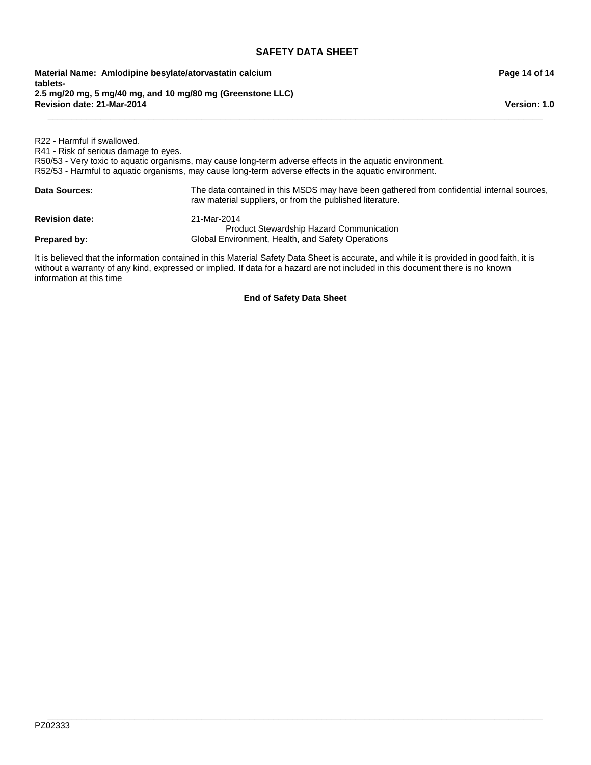**Revision date: 21-Mar-2014 Material Name: Amlodipine besylate/atorvastatin calcium tablets-2.5 mg/20 mg, 5 mg/40 mg, and 10 mg/80 mg (Greenstone LLC)**

R22 - Harmful if swallowed. R41 - Risk of serious damage to eyes. R50/53 - Very toxic to aquatic organisms, may cause long-term adverse effects in the aquatic environment. R52/53 - Harmful to aquatic organisms, may cause long-term adverse effects in the aquatic environment. Data Sources: The data contained in this MSDS may have been gathered from confidential internal sources, raw material suppliers, or from the published literature. **Revision date:** 21-Mar-2014 **Prepared by:** Product Stewardship Hazard Communication Global Environment, Health, and Safety Operations

**\_\_\_\_\_\_\_\_\_\_\_\_\_\_\_\_\_\_\_\_\_\_\_\_\_\_\_\_\_\_\_\_\_\_\_\_\_\_\_\_\_\_\_\_\_\_\_\_\_\_\_\_\_\_\_\_\_\_\_\_\_\_\_\_\_\_\_\_\_\_\_\_\_\_\_\_\_\_\_\_\_\_\_\_\_\_\_\_\_\_\_\_\_\_\_\_\_\_\_\_\_\_\_**

It is believed that the information contained in this Material Safety Data Sheet is accurate, and while it is provided in good faith, it is without a warranty of any kind, expressed or implied. If data for a hazard are not included in this document there is no known information at this time

**End of Safety Data Sheet**

**\_\_\_\_\_\_\_\_\_\_\_\_\_\_\_\_\_\_\_\_\_\_\_\_\_\_\_\_\_\_\_\_\_\_\_\_\_\_\_\_\_\_\_\_\_\_\_\_\_\_\_\_\_\_\_\_\_\_\_\_\_\_\_\_\_\_\_\_\_\_\_\_\_\_\_\_\_\_\_\_\_\_\_\_\_\_\_\_\_\_\_\_\_\_\_\_\_\_\_\_\_\_\_** PZ02333

# **Page 14 of 14**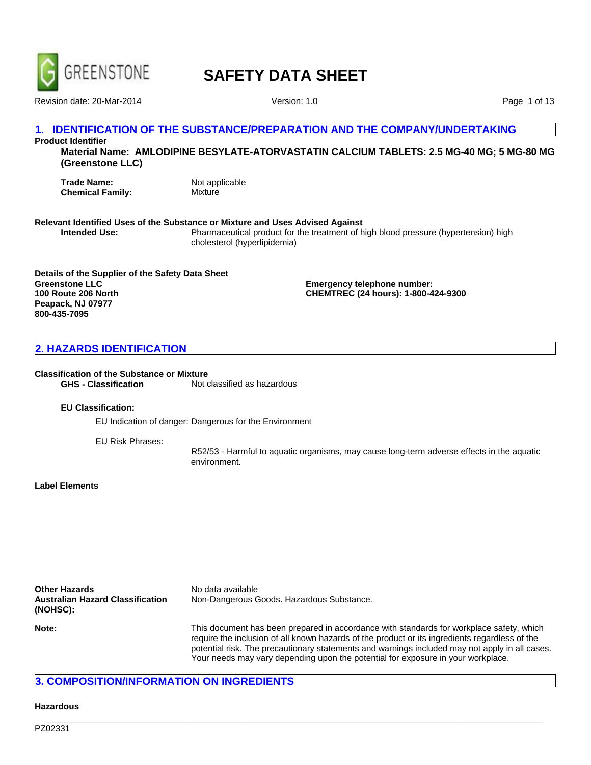

Revision date: 20-Mar-2014 **Version: 1.0** 

Page 1 of 13

# **IDENTIFICATION OF THE SUBSTANCE/PREPARATION AND THE COMPANY/UNDERTAKING**

**Product Identifier Material Name: AMLODIPINE BESYLATE-ATORVASTATIN CALCIUM TABLETS: 2.5 MG-40 MG; 5 MG-80 MG (Greenstone LLC)**

**Trade Name:** Not applicable<br> **Chemical Family:** Mixture **Chemical Family:** 

# **Relevant Identified Uses of the Substance or Mixture and Uses Advised Against**

**Intended Use:** Pharmaceutical product for the treatment of high blood pressure (hypertension) high cholesterol (hyperlipidemia)

**Details of the Supplier of the Safety Data Sheet Greenstone LLC 100 Route 206 North Peapack, NJ 07977 800-435-7095**

**Emergency telephone number: CHEMTREC (24 hours): 1-800-424-9300**

# **2. HAZARDS IDENTIFICATION**

# **Classification of the Substance or Mixture**

Not classified as hazardous

#### **EU Classification:**

EU Indication of danger: Dangerous for the Environment

EU Risk Phrases:

R52/53 - Harmful to aquatic organisms, may cause long-term adverse effects in the aquatic environment.

**Label Elements**

| Other Hazards                                | No data available                                                                                                                                                                                                                                                                                                                                                                |  |  |  |
|----------------------------------------------|----------------------------------------------------------------------------------------------------------------------------------------------------------------------------------------------------------------------------------------------------------------------------------------------------------------------------------------------------------------------------------|--|--|--|
| Australian Hazard Classification<br>(NOHSC): | Non-Dangerous Goods. Hazardous Substance.                                                                                                                                                                                                                                                                                                                                        |  |  |  |
| Note:                                        | This document has been prepared in accordance with standards for workplace safety, which<br>require the inclusion of all known hazards of the product or its ingredients regardless of the<br>potential risk. The precautionary statements and warnings included may not apply in all cases.<br>Your needs may vary depending upon the potential for exposure in your workplace. |  |  |  |

**\_\_\_\_\_\_\_\_\_\_\_\_\_\_\_\_\_\_\_\_\_\_\_\_\_\_\_\_\_\_\_\_\_\_\_\_\_\_\_\_\_\_\_\_\_\_\_\_\_\_\_\_\_\_\_\_\_\_\_\_\_\_\_\_\_\_\_\_\_\_\_\_\_\_\_\_\_\_\_\_\_\_\_\_\_\_\_\_\_\_\_\_\_\_\_\_\_\_\_\_\_\_\_**

# **3. COMPOSITION/INFORMATION ON INGREDIENTS**

# **Hazardous**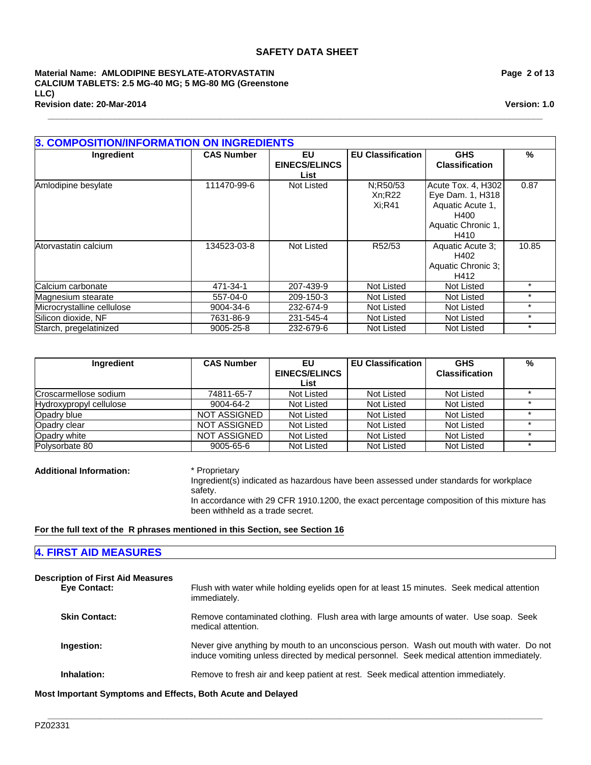**\_\_\_\_\_\_\_\_\_\_\_\_\_\_\_\_\_\_\_\_\_\_\_\_\_\_\_\_\_\_\_\_\_\_\_\_\_\_\_\_\_\_\_\_\_\_\_\_\_\_\_\_\_\_\_\_\_\_\_\_\_\_\_\_\_\_\_\_\_\_\_\_\_\_\_\_\_\_\_\_\_\_\_\_\_\_\_\_\_\_\_\_\_\_\_\_\_\_\_\_\_\_\_**

#### **Revision date: 20-Mar-2014 Material Name: AMLODIPINE BESYLATE-ATORVASTATIN CALCIUM TABLETS: 2.5 MG-40 MG; 5 MG-80 MG (Greenstone LLC)**

**Page 2 of 13**

**Version: 1.0**

| <b>3. COMPOSITION/INFORMATION ON INGREDIENTS</b> |                   |                      |                          |                       |         |  |
|--------------------------------------------------|-------------------|----------------------|--------------------------|-----------------------|---------|--|
| <b>Ingredient</b>                                | <b>CAS Number</b> | EU                   | <b>EU Classification</b> | <b>GHS</b>            | %       |  |
|                                                  |                   | <b>EINECS/ELINCS</b> |                          | <b>Classification</b> |         |  |
|                                                  |                   | List                 |                          |                       |         |  |
| Amlodipine besylate                              | 111470-99-6       | Not Listed           | N:R50/53                 | Acute Tox. 4, H302    | 0.87    |  |
|                                                  |                   |                      | Xn:R22                   | Eye Dam. 1, H318      |         |  |
|                                                  |                   |                      | Xi:R41                   | Aquatic Acute 1,      |         |  |
|                                                  |                   |                      |                          | H400                  |         |  |
|                                                  |                   |                      |                          | Aquatic Chronic 1,    |         |  |
|                                                  |                   |                      |                          | H410                  |         |  |
| Atorvastatin calcium                             | 134523-03-8       | Not Listed           | R52/53                   | Aquatic Acute 3;      | 10.85   |  |
|                                                  |                   |                      |                          | H402                  |         |  |
|                                                  |                   |                      |                          | Aquatic Chronic 3;    |         |  |
|                                                  |                   |                      |                          | H412                  |         |  |
| Calcium carbonate                                | 471-34-1          | 207-439-9            | Not Listed               | Not Listed            | $\star$ |  |
| Magnesium stearate                               | 557-04-0          | 209-150-3            | Not Listed               | Not Listed            | $\ast$  |  |
| Microcrystalline cellulose                       | 9004-34-6         | 232-674-9            | Not Listed               | Not Listed            | $\ast$  |  |
| Silicon dioxide, NF                              | 7631-86-9         | 231-545-4            | Not Listed               | Not Listed            | $\ast$  |  |
| Starch, pregelatinized                           | 9005-25-8         | 232-679-6            | Not Listed               | Not Listed            | $\ast$  |  |

| Ingredient              | <b>CAS Number</b>   | EU                   | <b>EU Classification</b> | <b>GHS</b>            | % |
|-------------------------|---------------------|----------------------|--------------------------|-----------------------|---|
|                         |                     | <b>EINECS/ELINCS</b> |                          | <b>Classification</b> |   |
|                         |                     | List                 |                          |                       |   |
| Croscarmellose sodium   | 74811-65-7          | Not Listed           | Not Listed               | Not Listed            |   |
| Hydroxypropyl cellulose | 9004-64-2           | Not Listed           | Not Listed               | Not Listed            |   |
| Opadry blue             | NOT ASSIGNED        | Not Listed           | Not Listed               | Not Listed            |   |
| Opadry clear            | <b>NOT ASSIGNED</b> | Not Listed           | Not Listed               | Not Listed            |   |
| Opadry white            | <b>NOT ASSIGNED</b> | Not Listed           | Not Listed               | Not Listed            |   |
| Polysorbate 80          | 9005-65-6           | Not Listed           | Not Listed               | Not Listed            |   |

**Additional Information:** \* Proprietary

Ingredient(s) indicated as hazardous have been assessed under standards for workplace safety.

In accordance with 29 CFR 1910.1200, the exact percentage composition of this mixture has been withheld as a trade secret.

# **For the full text of the R phrases mentioned in this Section, see Section 16**

# **4. FIRST AID MEASURES**

| <b>Description of First Aid Measures</b><br>Eye Contact: | Flush with water while holding eyelids open for at least 15 minutes. Seek medical attention<br>immediately.                                                                           |
|----------------------------------------------------------|---------------------------------------------------------------------------------------------------------------------------------------------------------------------------------------|
| <b>Skin Contact:</b>                                     | Remove contaminated clothing. Flush area with large amounts of water. Use soap. Seek<br>medical attention.                                                                            |
| Ingestion:                                               | Never give anything by mouth to an unconscious person. Wash out mouth with water. Do not<br>induce vomiting unless directed by medical personnel. Seek medical attention immediately. |
| Inhalation:                                              | Remove to fresh air and keep patient at rest. Seek medical attention immediately.                                                                                                     |

**\_\_\_\_\_\_\_\_\_\_\_\_\_\_\_\_\_\_\_\_\_\_\_\_\_\_\_\_\_\_\_\_\_\_\_\_\_\_\_\_\_\_\_\_\_\_\_\_\_\_\_\_\_\_\_\_\_\_\_\_\_\_\_\_\_\_\_\_\_\_\_\_\_\_\_\_\_\_\_\_\_\_\_\_\_\_\_\_\_\_\_\_\_\_\_\_\_\_\_\_\_\_\_**

**Most Important Symptoms and Effects, Both Acute and Delayed**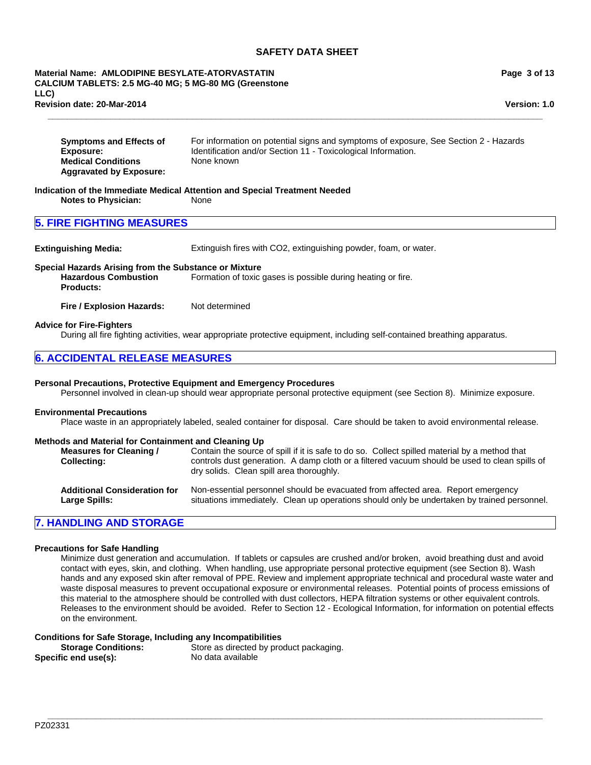#### **Material Name: AMLODIPINE BESYLATE-ATORVASTATIN CALCIUM TABLETS: 2.5 MG-40 MG; 5 MG-80 MG (Greenstone LLC) Revision date: 20-Mar-2014**

**Page 3 of 13**

**Version: 1.0**

| <b>Symptoms and Effects of</b> | For information on potential signs and symptoms of exposure, See Section 2 - Hazards |
|--------------------------------|--------------------------------------------------------------------------------------|
| Exposure:                      | Identification and/or Section 11 - Toxicological Information.                        |
| <b>Medical Conditions</b>      | None known                                                                           |
| <b>Aggravated by Exposure:</b> |                                                                                      |

**\_\_\_\_\_\_\_\_\_\_\_\_\_\_\_\_\_\_\_\_\_\_\_\_\_\_\_\_\_\_\_\_\_\_\_\_\_\_\_\_\_\_\_\_\_\_\_\_\_\_\_\_\_\_\_\_\_\_\_\_\_\_\_\_\_\_\_\_\_\_\_\_\_\_\_\_\_\_\_\_\_\_\_\_\_\_\_\_\_\_\_\_\_\_\_\_\_\_\_\_\_\_\_**

**Indication of the Immediate Medical Attention and Special Treatment Needed Notes to Physician:** 

# **5. FIRE FIGHTING MEASURES**

**Extinguishing Media:** Extinguish fires with CO2, extinguishing powder, foam, or water.

# **Special Hazards Arising from the Substance or Mixture**

**Hazardous Combustion Products:** Formation of toxic gases is possible during heating or fire.

**Fire / Explosion Hazards:** Not determined

#### **Advice for Fire-Fighters**

During all fire fighting activities, wear appropriate protective equipment, including self-contained breathing apparatus.

# **6. ACCIDENTAL RELEASE MEASURES**

#### **Personal Precautions, Protective Equipment and Emergency Procedures**

Personnel involved in clean-up should wear appropriate personal protective equipment (see Section 8). Minimize exposure.

# **Environmental Precautions**

Place waste in an appropriately labeled, sealed container for disposal. Care should be taken to avoid environmental release.

#### **Methods and Material for Containment and Cleaning Up**

| <b>Measures for Cleaning /</b><br><b>Collecting:</b> | Contain the source of spill if it is safe to do so. Collect spilled material by a method that<br>controls dust generation. A damp cloth or a filtered vacuum should be used to clean spills of<br>dry solids. Clean spill area thoroughly. |
|------------------------------------------------------|--------------------------------------------------------------------------------------------------------------------------------------------------------------------------------------------------------------------------------------------|
| <b>Additional Consideration for</b>                  | Non-essential personnel should be evacuated from affected area. Report emergency                                                                                                                                                           |
| Large Spills:                                        | situations immediately. Clean up operations should only be undertaken by trained personnel.                                                                                                                                                |

# **7. HANDLING AND STORAGE**

#### **Precautions for Safe Handling**

Minimize dust generation and accumulation. If tablets or capsules are crushed and/or broken, avoid breathing dust and avoid contact with eyes, skin, and clothing. When handling, use appropriate personal protective equipment (see Section 8). Wash hands and any exposed skin after removal of PPE. Review and implement appropriate technical and procedural waste water and waste disposal measures to prevent occupational exposure or environmental releases. Potential points of process emissions of this material to the atmosphere should be controlled with dust collectors, HEPA filtration systems or other equivalent controls. Releases to the environment should be avoided. Refer to Section 12 - Ecological Information, for information on potential effects on the environment.

**\_\_\_\_\_\_\_\_\_\_\_\_\_\_\_\_\_\_\_\_\_\_\_\_\_\_\_\_\_\_\_\_\_\_\_\_\_\_\_\_\_\_\_\_\_\_\_\_\_\_\_\_\_\_\_\_\_\_\_\_\_\_\_\_\_\_\_\_\_\_\_\_\_\_\_\_\_\_\_\_\_\_\_\_\_\_\_\_\_\_\_\_\_\_\_\_\_\_\_\_\_\_\_**

#### **Conditions for Safe Storage, Including any Incompatibilities**

| <b>Storage Conditions:</b> | Store as directed by product packaging. |
|----------------------------|-----------------------------------------|
| Specific end use(s):       | No data available                       |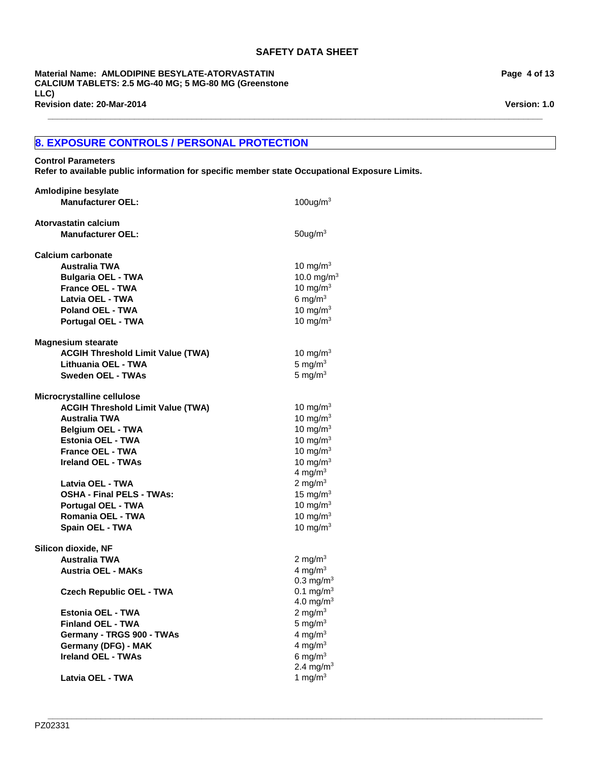**\_\_\_\_\_\_\_\_\_\_\_\_\_\_\_\_\_\_\_\_\_\_\_\_\_\_\_\_\_\_\_\_\_\_\_\_\_\_\_\_\_\_\_\_\_\_\_\_\_\_\_\_\_\_\_\_\_\_\_\_\_\_\_\_\_\_\_\_\_\_\_\_\_\_\_\_\_\_\_\_\_\_\_\_\_\_\_\_\_\_\_\_\_\_\_\_\_\_\_\_\_\_\_**

**Revision date: 20-Mar-2014 Material Name: AMLODIPINE BESYLATE-ATORVASTATIN CALCIUM TABLETS: 2.5 MG-40 MG; 5 MG-80 MG (Greenstone LLC)**

# **8. EXPOSURE CONTROLS / PERSONAL PROTECTION**

#### **Control Parameters**

**Refer to available public information for specific member state Occupational Exposure Limits.**

| <b>Amlodipine besylate</b>               |                       |
|------------------------------------------|-----------------------|
| <b>Manufacturer OEL:</b>                 | 100ug/m $3$           |
| Atorvastatin calcium                     |                       |
|                                          |                       |
| <b>Manufacturer OEL:</b>                 | $50$ ug/m $3$         |
| <b>Calcium carbonate</b>                 |                       |
| <b>Australia TWA</b>                     | 10 mg/m $3$           |
| <b>Bulgaria OEL - TWA</b>                | 10.0 mg/ $m^3$        |
| <b>France OEL - TWA</b>                  | 10 mg/m $3$           |
| Latvia OEL - TWA                         | 6 mg/ $m3$            |
| Poland OEL - TWA                         | 10 mg/m $3$           |
| Portugal OEL - TWA                       | 10 mg/m $3$           |
| <b>Magnesium stearate</b>                |                       |
| <b>ACGIH Threshold Limit Value (TWA)</b> | 10 mg/m $3$           |
| Lithuania OEL - TWA                      | 5 mg/ $m3$            |
| <b>Sweden OEL - TWAs</b>                 | 5 mg/ $m3$            |
|                                          |                       |
| Microcrystalline cellulose               |                       |
| <b>ACGIH Threshold Limit Value (TWA)</b> | 10 mg/m <sup>3</sup>  |
| Australia TWA                            | 10 mg/ $m3$           |
| <b>Belgium OEL - TWA</b>                 | 10 mg/m $3$           |
| Estonia OEL - TWA                        | 10 mg/m $3$           |
| France OEL - TWA                         | 10 mg/m $3$           |
| Ireland OEL - TWAs                       | 10 mg/m $3$           |
|                                          | 4 mg/ $m3$            |
| Latvia OEL - TWA                         | 2 mg/m $3$            |
| <b>OSHA - Final PELS - TWAs:</b>         | 15 mg/ $m3$           |
| <b>Portugal OEL - TWA</b>                | 10 mg/m $3$           |
| Romania OEL - TWA                        | 10 mg/m $3$           |
| Spain OEL - TWA                          | 10 mg/m $3$           |
| Silicon dioxide, NF                      |                       |
| <b>Australia TWA</b>                     | 2 mg/m $3$            |
| <b>Austria OEL - MAKs</b>                | 4 mg/ $m3$            |
|                                          | $0.3 \text{ mg/m}^3$  |
| <b>Czech Republic OEL - TWA</b>          | $0.1 \text{ mg/m}^3$  |
|                                          | 4.0 mg/m <sup>3</sup> |
| <b>Estonia OEL - TWA</b>                 | 2 mg/m $3$            |
| <b>Finland OEL - TWA</b>                 | 5 mg/ $m3$            |
| Germany - TRGS 900 - TWAs                | 4 mg/ $m3$            |
| Germany (DFG) - MAK                      | 4 mg/m $3$            |
| <b>Ireland OEL - TWAs</b>                | 6 mg/ $m3$            |
|                                          | 2.4 mg/m <sup>3</sup> |
| Latvia OEL - TWA                         | 1 mg/m $3$            |

**Page 4 of 13**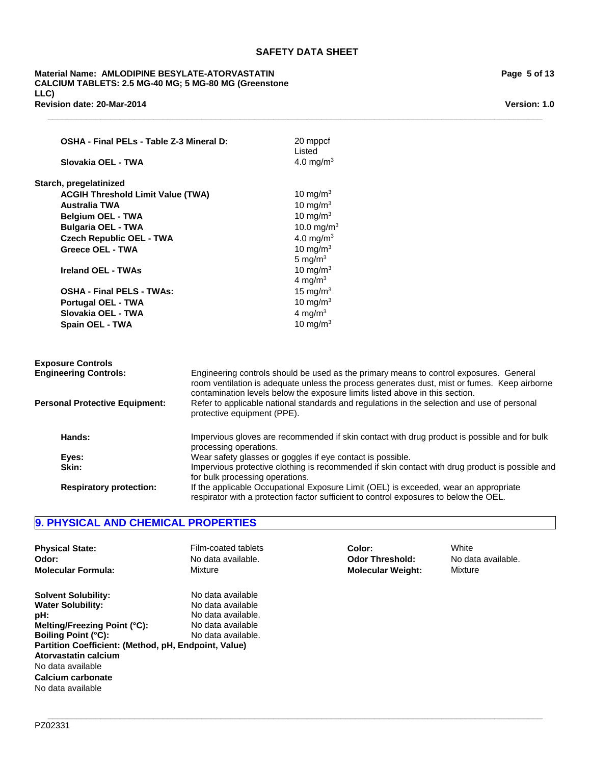**\_\_\_\_\_\_\_\_\_\_\_\_\_\_\_\_\_\_\_\_\_\_\_\_\_\_\_\_\_\_\_\_\_\_\_\_\_\_\_\_\_\_\_\_\_\_\_\_\_\_\_\_\_\_\_\_\_\_\_\_\_\_\_\_\_\_\_\_\_\_\_\_\_\_\_\_\_\_\_\_\_\_\_\_\_\_\_\_\_\_\_\_\_\_\_\_\_\_\_\_\_\_\_**

**Revision date: 20-Mar-2014 Material Name: AMLODIPINE BESYLATE-ATORVASTATIN CALCIUM TABLETS: 2.5 MG-40 MG; 5 MG-80 MG (Greenstone LLC)**

| OSHA - Final PELs - Table Z-3 Mineral D:<br>Slovakia OEL - TWA                                         |                             | 20 mppcf<br>Listed<br>4.0 mg/m <sup>3</sup>                                                     |  |  |
|--------------------------------------------------------------------------------------------------------|-----------------------------|-------------------------------------------------------------------------------------------------|--|--|
|                                                                                                        |                             |                                                                                                 |  |  |
| <b>ACGIH Threshold Limit Value (TWA)</b>                                                               |                             | 10 mg/m $3$                                                                                     |  |  |
| <b>Australia TWA</b>                                                                                   |                             | 10 mg/m $3$                                                                                     |  |  |
| <b>Belgium OEL - TWA</b>                                                                               |                             | 10 mg/m $3$                                                                                     |  |  |
| <b>Bulgaria OEL - TWA</b>                                                                              |                             | 10.0 mg/m <sup>3</sup>                                                                          |  |  |
| <b>Czech Republic OEL - TWA</b>                                                                        |                             | 4.0 mg/m <sup>3</sup>                                                                           |  |  |
| Greece OEL - TWA                                                                                       |                             | 10 mg/m $3$                                                                                     |  |  |
|                                                                                                        |                             | 5 mg/ $m3$                                                                                      |  |  |
| <b>Ireland OEL - TWAs</b>                                                                              |                             | 10 mg/m $3$                                                                                     |  |  |
|                                                                                                        |                             | 4 mg/m $3$                                                                                      |  |  |
| <b>OSHA - Final PELS - TWAs:</b>                                                                       |                             | 15 mg/m $3$                                                                                     |  |  |
| <b>Portugal OEL - TWA</b>                                                                              |                             | 10 mg/m $3$                                                                                     |  |  |
| Slovakia OEL - TWA                                                                                     |                             | 4 mg/ $m3$                                                                                      |  |  |
| <b>Spain OEL - TWA</b>                                                                                 |                             | 10 mg/m $3$                                                                                     |  |  |
|                                                                                                        |                             |                                                                                                 |  |  |
| <b>Exposure Controls</b>                                                                               |                             |                                                                                                 |  |  |
| <b>Engineering Controls:</b>                                                                           |                             | Engineering controls should be used as the primary means to control exposures. General          |  |  |
|                                                                                                        |                             | room ventilation is adequate unless the process generates dust, mist or fumes. Keep airborne    |  |  |
|                                                                                                        |                             | contamination levels below the exposure limits listed above in this section.                    |  |  |
| <b>Personal Protective Equipment:</b>                                                                  | protective equipment (PPE). | Refer to applicable national standards and regulations in the selection and use of personal     |  |  |
|                                                                                                        |                             |                                                                                                 |  |  |
| Impervious gloves are recommended if skin contact with drug product is possible and for bulk<br>Hands: |                             |                                                                                                 |  |  |
| processing operations.                                                                                 |                             |                                                                                                 |  |  |
| Wear safety glasses or goggles if eye contact is possible.<br>Eyes:                                    |                             |                                                                                                 |  |  |
| Skin:<br>for bulk processing operations.                                                               |                             | Impervious protective clothing is recommended if skin contact with drug product is possible and |  |  |
|                                                                                                        |                             | If the applicable Occupational Exposure Limit (OEL) is exceeded, wear an appropriate            |  |  |
| <b>Respiratory protection:</b>                                                                         |                             | respirator with a protection factor sufficient to control exposures to below the OEL.           |  |  |

# **9. PHYSICAL AND CHEMICAL PROPERTIES**

| <b>Physical State:</b>                                                                                                                                                                                                                                                     | Film-coated tablets                                                                                     | Color:                   | White              |
|----------------------------------------------------------------------------------------------------------------------------------------------------------------------------------------------------------------------------------------------------------------------------|---------------------------------------------------------------------------------------------------------|--------------------------|--------------------|
| Odor:                                                                                                                                                                                                                                                                      | No data available.                                                                                      | <b>Odor Threshold:</b>   | No data available. |
| <b>Molecular Formula:</b>                                                                                                                                                                                                                                                  | Mixture                                                                                                 | <b>Molecular Weight:</b> | Mixture            |
| <b>Solvent Solubility:</b><br><b>Water Solubility:</b><br>pH:<br>Melting/Freezing Point (°C):<br><b>Boiling Point (°C):</b><br>Partition Coefficient: (Method, pH, Endpoint, Value)<br>Atorvastatin calcium<br>No data available<br>Calcium carbonate<br>No data available | No data available<br>No data available<br>No data available.<br>No data available<br>No data available. |                          |                    |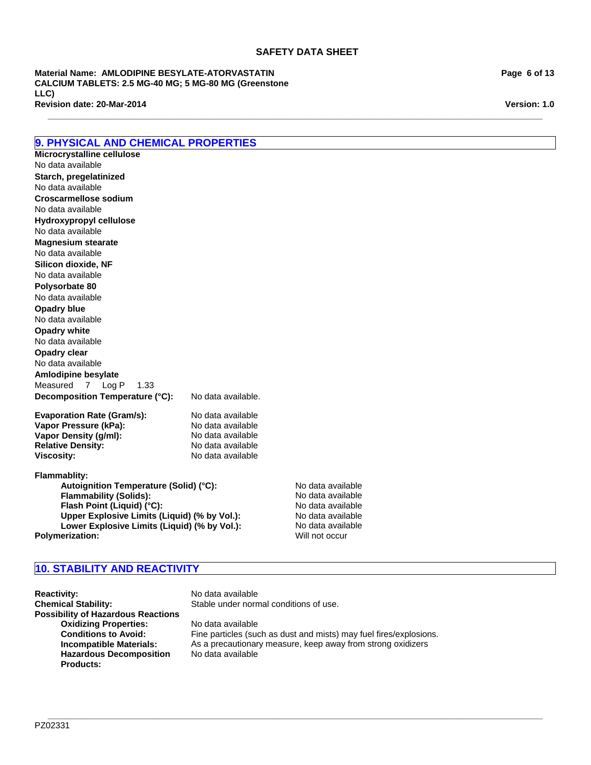**\_\_\_\_\_\_\_\_\_\_\_\_\_\_\_\_\_\_\_\_\_\_\_\_\_\_\_\_\_\_\_\_\_\_\_\_\_\_\_\_\_\_\_\_\_\_\_\_\_\_\_\_\_\_\_\_\_\_\_\_\_\_\_\_\_\_\_\_\_\_\_\_\_\_\_\_\_\_\_\_\_\_\_\_\_\_\_\_\_\_\_\_\_\_\_\_\_\_\_\_\_\_\_**

**Revision date: 20-Mar-2014 Material Name: AMLODIPINE BESYLATE-ATORVASTATIN CALCIUM TABLETS: 2.5 MG-40 MG; 5 MG-80 MG (Greenstone LLC)**

**9. PHYSICAL AND CHEMICAL PROPERTIES**

No data available

No data available

No data available

**Starch, pregelatinized**

**Microcrystalline cellulose**

**Croscarmellose sodium**

**Decomposition Temperature (°C):** No data available. **Evaporation Rate (Gram/s):** No data available<br> **Vapor Pressure (kPa):** No data available **Vapor Pressure (kPa):** No data available<br> **Vapor Density (g/ml):** No data available **Vapor Density (g/ml):** No data available<br> **Relative Density:** No data available **Relative Density: Viscosity:** No data available **Flammablity:** Autoignition Temperature (Solid) (°C):<br>
Flammability (Solids): No data available **Flammability (Solids):** No data available<br> **Flash Point (Liquid) (°C):** No data available **Flash Point (Liquid) (°C):** No data available (°C):<br>
Upper Explosive Limits (Liquid) (% by Vol.): No data available No data available **Opadry white Hydroxypropyl cellulose** No data available **Opadry clear** No data available No data available **Amlodipine besylate Magnesium stearate** Measured7Log P1.33 No data available **Silicon dioxide, NF** No data available **Polysorbate 80** No data available **Opadry blue**

**Upper Explosive Limits (Liquid) (% by Vol.):** No data available<br> **Lower Explosive Limits (Liquid) (% by Vol.):** No data available **Lower Explosive Limits (Liquid) (% by Vol.):** No data available rization: Will not occur **Polymerization:** 

# **10. STABILITY AND REACTIVITY**

**Reactivity:** No data available **Chemical Stability:** Stable under normal conditions of use. **Possibility of Hazardous Reactions Oxidizing Properties:** No data available **Hazardous Decomposition Products:**

**Conditions to Avoid:** Fine particles (such as dust and mists) may fuel fires/explosions. **Incompatible Materials:** As a precautionary measure, keep away from strong oxidizers No data available

**\_\_\_\_\_\_\_\_\_\_\_\_\_\_\_\_\_\_\_\_\_\_\_\_\_\_\_\_\_\_\_\_\_\_\_\_\_\_\_\_\_\_\_\_\_\_\_\_\_\_\_\_\_\_\_\_\_\_\_\_\_\_\_\_\_\_\_\_\_\_\_\_\_\_\_\_\_\_\_\_\_\_\_\_\_\_\_\_\_\_\_\_\_\_\_\_\_\_\_\_\_\_\_** PZ02331

# **Page 6 of 13**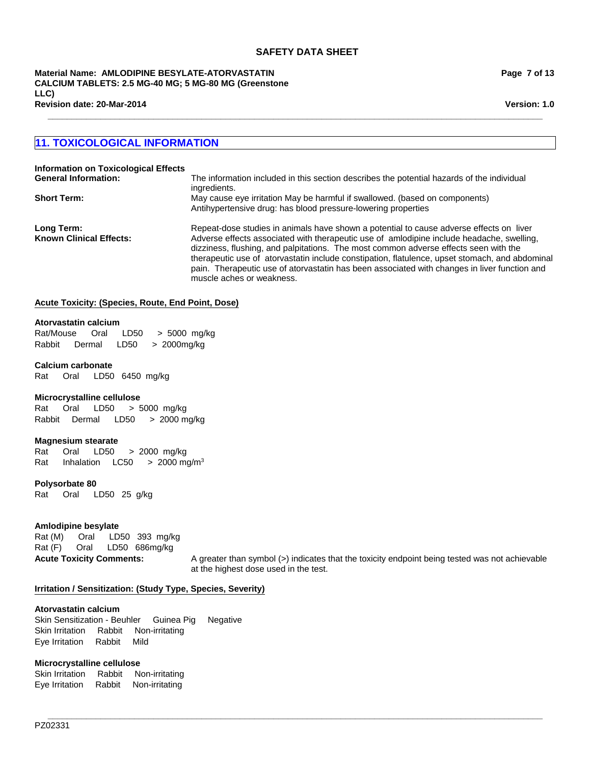**Material Name: AMLODIPINE BESYLATE-ATORVASTATIN CALCIUM TABLETS: 2.5 MG-40 MG; 5 MG-80 MG (Greenstone LLC) Revision date: 20-Mar-2014**

**Page 7 of 13**

**Version: 1.0**

# **11. TOXICOLOGICAL INFORMATION**

| <b>Information on Toxicological Effects</b>  |                                                                                                                                                                                                                                                                                                                                                                                                                                                                                                             |
|----------------------------------------------|-------------------------------------------------------------------------------------------------------------------------------------------------------------------------------------------------------------------------------------------------------------------------------------------------------------------------------------------------------------------------------------------------------------------------------------------------------------------------------------------------------------|
| <b>General Information:</b>                  | The information included in this section describes the potential hazards of the individual<br>ingredients.                                                                                                                                                                                                                                                                                                                                                                                                  |
| <b>Short Term:</b>                           | May cause eye irritation May be harmful if swallowed. (based on components)<br>Antihypertensive drug: has blood pressure-lowering properties                                                                                                                                                                                                                                                                                                                                                                |
| Long Term:<br><b>Known Clinical Effects:</b> | Repeat-dose studies in animals have shown a potential to cause adverse effects on liver<br>Adverse effects associated with therapeutic use of amlodipine include headache, swelling,<br>dizziness, flushing, and palpitations. The most common adverse effects seen with the<br>therapeutic use of atorvastatin include constipation, flatulence, upset stomach, and abdominal<br>pain. Therapeutic use of atorvastatin has been associated with changes in liver function and<br>muscle aches or weakness. |

**\_\_\_\_\_\_\_\_\_\_\_\_\_\_\_\_\_\_\_\_\_\_\_\_\_\_\_\_\_\_\_\_\_\_\_\_\_\_\_\_\_\_\_\_\_\_\_\_\_\_\_\_\_\_\_\_\_\_\_\_\_\_\_\_\_\_\_\_\_\_\_\_\_\_\_\_\_\_\_\_\_\_\_\_\_\_\_\_\_\_\_\_\_\_\_\_\_\_\_\_\_\_\_**

**\_\_\_\_\_\_\_\_\_\_\_\_\_\_\_\_\_\_\_\_\_\_\_\_\_\_\_\_\_\_\_\_\_\_\_\_\_\_\_\_\_\_\_\_\_\_\_\_\_\_\_\_\_\_\_\_\_\_\_\_\_\_\_\_\_\_\_\_\_\_\_\_\_\_\_\_\_\_\_\_\_\_\_\_\_\_\_\_\_\_\_\_\_\_\_\_\_\_\_\_\_\_\_**

# **Acute Toxicity: (Species, Route, End Point, Dose)**

#### **Atorvastatin calcium**

Rat/Mouse Oral LD50 >5000mg/kg Rabbit Dermal LD50 >2000mg/kg

# **Calcium carbonate**

Rat Oral LD50 6450mg/kg

#### **Microcrystalline cellulose**

Rat Oral LD50 >5000mg/kg RabbitDermal LD50 >2000 mg/kg

# **Magnesium stearate**

Rat Oral LD50 >2000mg/kg Rat InhalationLC50 >2000 mg/m3

**Polysorbate 80**

Rat Oral LD50 25g/kg

# **Amlodipine besylate**

Rat (M) Oral LD50 393mg/kg Rat (F) Oral LD50 686mg/kg

**Acute Toxicity Comments:** A greater than symbol (>) indicates that the toxicity endpoint being tested was not achievable at the highest dose used in the test.

#### **Irritation / Sensitization: (Study Type, Species, Severity)**

#### **Atorvastatin calcium**

Skin Sensitization - BeuhlerGuinea PigNegative Skin IrritationRabbitNon-irritating Eye IrritationRabbitMild

# **Microcrystalline cellulose**

Skin IrritationRabbitNon-irritating Eye IrritationRabbitNon-irritating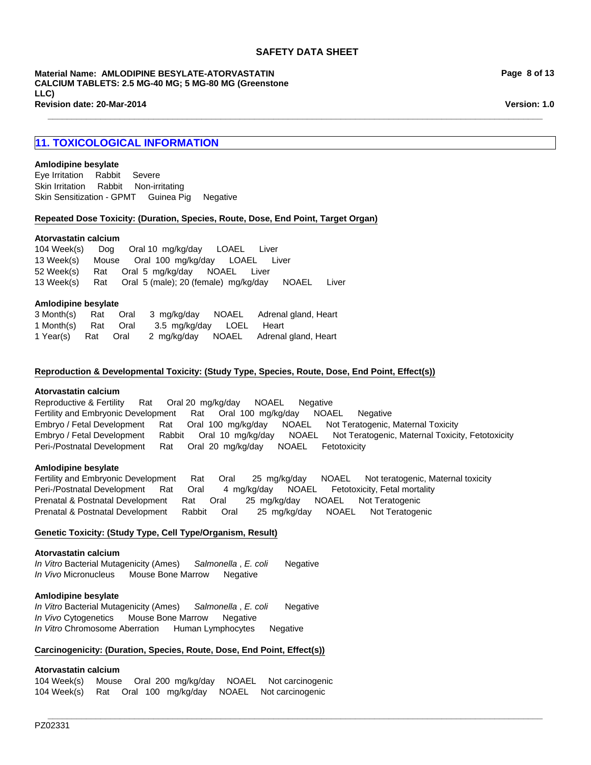**\_\_\_\_\_\_\_\_\_\_\_\_\_\_\_\_\_\_\_\_\_\_\_\_\_\_\_\_\_\_\_\_\_\_\_\_\_\_\_\_\_\_\_\_\_\_\_\_\_\_\_\_\_\_\_\_\_\_\_\_\_\_\_\_\_\_\_\_\_\_\_\_\_\_\_\_\_\_\_\_\_\_\_\_\_\_\_\_\_\_\_\_\_\_\_\_\_\_\_\_\_\_\_**

**Material Name: AMLODIPINE BESYLATE-ATORVASTATIN CALCIUM TABLETS: 2.5 MG-40 MG; 5 MG-80 MG (Greenstone LLC) Revision date: 20-Mar-2014**

# **11. TOXICOLOGICAL INFORMATION**

#### **Amlodipine besylate**

Skin IrritationRabbitNon-irritating Skin Sensitization - GPMTGuinea PigNegative Eye IrritationRabbitSevere

#### **Repeated Dose Toxicity: (Duration, Species, Route, Dose, End Point, Target Organ)**

#### **Atorvastatin calcium**

13 Week(s)RatOral5 (male); 20 (female)mg/kg/dayNOAELLiver 104 Week(s)DogOral 10mg/kg/dayLOAELLiver 13 Week(s)MouseOral100mg/kg/dayLOAELLiver 52 Week(s)RatOral5mg/kg/dayNOAELLiver

#### **Amlodipine besylate**

|                     |  |                          | 3 Month(s) Rat Oral 3 mg/kg/day NOAEL Adrenal gland, Heart |
|---------------------|--|--------------------------|------------------------------------------------------------|
| 1 Month(s) Rat Oral |  | 3.5 mg/kg/day LOEL Heart |                                                            |
| 1 Year(s) Rat Oral  |  |                          | 2 mg/kg/day NOAEL Adrenal gland, Heart                     |

#### **Reproduction & Developmental Toxicity: (Study Type, Species, Route, Dose, End Point, Effect(s))**

#### **Atorvastatin calcium**

Peri-/Postnatal DevelopmentRatOral20mg/kg/dayNOAELFetotoxicity Reproductive & FertilityRatOral 20mg/kg/dayNOAELNegative Fertility and Embryonic DevelopmentRatOral100mg/kg/dayNOAELNegative Embryo / Fetal DevelopmentRatOral100mg/kg/dayNOAELNot Teratogenic, Maternal Toxicity Embryo / Fetal DevelopmentRabbitOral10mg/kg/dayNOAELNot Teratogenic, Maternal Toxicity, Fetotoxicity

#### **Amlodipine besylate**

Fertility and Embryonic DevelopmentRatOral25mg/kg/dayNOAELNot teratogenic, Maternal toxicity Peri-/Postnatal DevelopmentRatOral4mg/kg/dayNOAELFetotoxicity, Fetal mortality Prenatal & Postnatal DevelopmentRatOral25mg/kg/dayNOAELNot Teratogenic Prenatal & Postnatal DevelopmentRabbitOral25mg/kg/dayNOAELNot Teratogenic

**\_\_\_\_\_\_\_\_\_\_\_\_\_\_\_\_\_\_\_\_\_\_\_\_\_\_\_\_\_\_\_\_\_\_\_\_\_\_\_\_\_\_\_\_\_\_\_\_\_\_\_\_\_\_\_\_\_\_\_\_\_\_\_\_\_\_\_\_\_\_\_\_\_\_\_\_\_\_\_\_\_\_\_\_\_\_\_\_\_\_\_\_\_\_\_\_\_\_\_\_\_\_\_**

# **Genetic Toxicity: (Study Type, Cell Type/Organism, Result)**

#### **Atorvastatin calcium**

*In Vitro* Bacterial Mutagenicity (Ames)*Salmonella* , *E. coli* Negative *In Vivo* MicronucleusMouse Bone MarrowNegative

#### **Amlodipine besylate**

*In Vitro* Bacterial Mutagenicity (Ames)*Salmonella* , *E. coli* Negative *In Vivo* CytogeneticsMouse Bone MarrowNegative *In Vitro* Chromosome AberrationHuman LymphocytesNegative

#### **Carcinogenicity: (Duration, Species, Route, Dose, End Point, Effect(s))**

# **Atorvastatin calcium**

104 Week(s)MouseOral200mg/kg/dayNOAELNot carcinogenic 104 Week(s)RatOral100mg/kg/dayNOAELNot carcinogenic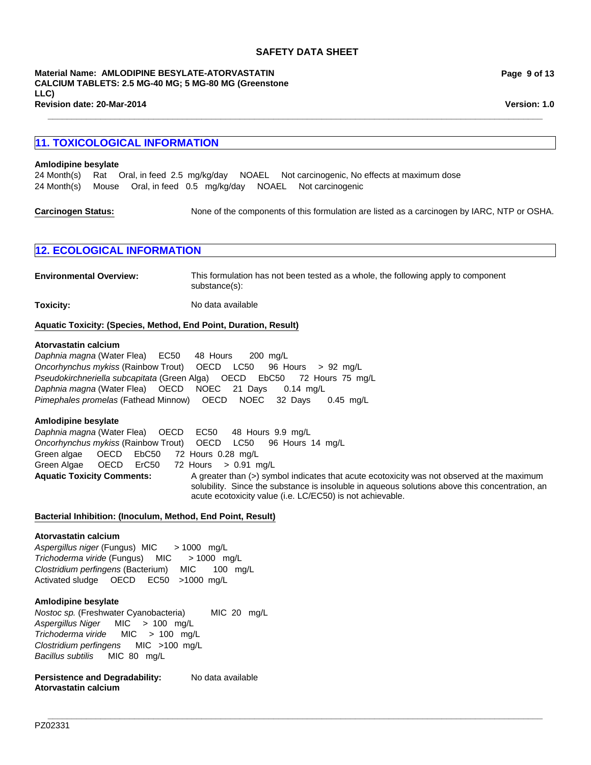**\_\_\_\_\_\_\_\_\_\_\_\_\_\_\_\_\_\_\_\_\_\_\_\_\_\_\_\_\_\_\_\_\_\_\_\_\_\_\_\_\_\_\_\_\_\_\_\_\_\_\_\_\_\_\_\_\_\_\_\_\_\_\_\_\_\_\_\_\_\_\_\_\_\_\_\_\_\_\_\_\_\_\_\_\_\_\_\_\_\_\_\_\_\_\_\_\_\_\_\_\_\_\_**

**Revision date: 20-Mar-2014 Material Name: AMLODIPINE BESYLATE-ATORVASTATIN CALCIUM TABLETS: 2.5 MG-40 MG; 5 MG-80 MG (Greenstone LLC)**

**Page 9 of 13**

**Version: 1.0**

# **11. TOXICOLOGICAL INFORMATION**

#### **Amlodipine besylate**

24 Month(s)RatOral, in feed2.5mg/kg/dayNOAELNot carcinogenic, No effects at maximum dose 24 Month(s)MouseOral, in feed0.5mg/kg/dayNOAELNot carcinogenic

**Carcinogen Status:** None of the components of this formulation are listed as a carcinogen by IARC, NTP or OSHA.

# **12. ECOLOGICAL INFORMATION**

**Environmental Overview:** This formulation has not been tested as a whole, the following apply to component substance(s):

**Toxicity:** No data available

#### **Aquatic Toxicity: (Species, Method, End Point, Duration, Result)**

#### **Atorvastatin calcium**

*Pseudokirchneriella subcapitata* (Green Alga)OECDEbC50 72Hours75mg/L *Daphnia magna* (Water Flea)OECDNOEC21Days0.14mg/L *Pimephales promelas* (Fathead Minnow)OECDNOEC32Days0.45mg/L *Daphnia magna* (Water Flea)EC50 48Hours200mg/L *Oncorhynchus mykiss* (Rainbow Trout)OECDLC50 96Hours>92mg/L

#### **Amlodipine besylate**

Aquatic Toxicity Comments: A greater than (>) symbol indicates that acute ecotoxicity was not observed at the maximum solubility. Since the substance is insoluble in aqueous solutions above this concentration, an acute ecotoxicity value (i.e. LC/EC50) is not achievable. *Daphnia magna* (Water Flea)OECDEC50 48Hours9.9mg/L *Oncorhynchus mykiss* (Rainbow Trout)OECDLC50 96Hours14mg/L Green algae OECDEbC50 72Hours0.28mg/L Green Algae OECDErC50 72Hours>0.91mg/L

**\_\_\_\_\_\_\_\_\_\_\_\_\_\_\_\_\_\_\_\_\_\_\_\_\_\_\_\_\_\_\_\_\_\_\_\_\_\_\_\_\_\_\_\_\_\_\_\_\_\_\_\_\_\_\_\_\_\_\_\_\_\_\_\_\_\_\_\_\_\_\_\_\_\_\_\_\_\_\_\_\_\_\_\_\_\_\_\_\_\_\_\_\_\_\_\_\_\_\_\_\_\_\_**

#### **Bacterial Inhibition: (Inoculum, Method, End Point, Result)**

# **Atorvastatin calcium**

*Aspergillus niger* (Fungus) MIC> 1000mg/L *Trichoderma viride* (Fungus)MIC> 1000mg/L *Clostridium perfingens* (Bacterium)MIC100mg/L Activated sludgeOECDEC50 >1000mg/L

# **Amlodipine besylate**

*Nostoc sp.* (Freshwater Cyanobacteria) MIC20mg/L *Aspergillus Niger* MIC>100mg/L *Trichoderma viride* MIC>100mg/L *Clostridium perfingens* MIC>100mg/L *Bacillus subtilis* MIC80mg/L

Persistence and Degradability: No data available **Atorvastatin calcium**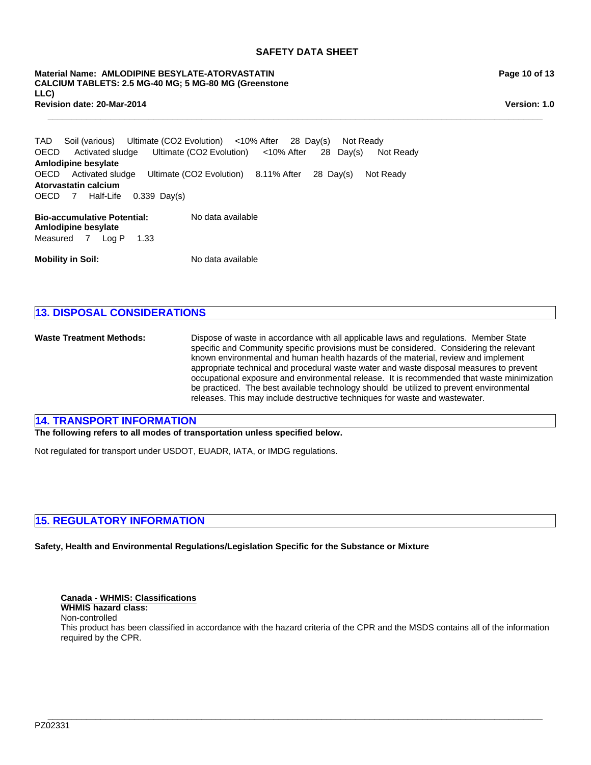**\_\_\_\_\_\_\_\_\_\_\_\_\_\_\_\_\_\_\_\_\_\_\_\_\_\_\_\_\_\_\_\_\_\_\_\_\_\_\_\_\_\_\_\_\_\_\_\_\_\_\_\_\_\_\_\_\_\_\_\_\_\_\_\_\_\_\_\_\_\_\_\_\_\_\_\_\_\_\_\_\_\_\_\_\_\_\_\_\_\_\_\_\_\_\_\_\_\_\_\_\_\_\_**

**Revision date: 20-Mar-2014 Material Name: AMLODIPINE BESYLATE-ATORVASTATIN CALCIUM TABLETS: 2.5 MG-40 MG; 5 MG-80 MG (Greenstone LLC)**

**Page 10 of 13**

**Version: 1.0**

**Bio-accumulative Potential:** No data available OECDActivated sludgeUltimate (CO2 Evolution)8.11% After28Day(s)Not Ready **Atorvastatin calcium** TADSoil (various)Ultimate (CO2 Evolution)<10% After28Day(s)Not Ready OECD7Half-Life0.339Day(s) OECDActivated sludgeUltimate (CO2 Evolution)<10% After28Day(s)Not Ready **Amlodipine besylate**

**Amlodipine besylate** Measured7Log P1.33

**Mobility in Soil:** No data available

# **13. DISPOSAL CONSIDERATIONS**

**Waste Treatment Methods:** Dispose of waste in accordance with all applicable laws and regulations. Member State specific and Community specific provisions must be considered. Considering the relevant known environmental and human health hazards of the material, review and implement appropriate technical and procedural waste water and waste disposal measures to prevent occupational exposure and environmental release. It is recommended that waste minimization be practiced. The best available technology should be utilized to prevent environmental releases. This may include destructive techniques for waste and wastewater.

# **14. TRANSPORT INFORMATION**

**The following refers to all modes of transportation unless specified below.**

Not regulated for transport under USDOT, EUADR, IATA, or IMDG regulations.

# **15. REGULATORY INFORMATION**

**Safety, Health and Environmental Regulations/Legislation Specific for the Substance or Mixture**

# **Canada - WHMIS: Classifications**

**WHMIS hazard class:** Non-controlled

This product has been classified in accordance with the hazard criteria of the CPR and the MSDS contains all of the information required by the CPR.

**\_\_\_\_\_\_\_\_\_\_\_\_\_\_\_\_\_\_\_\_\_\_\_\_\_\_\_\_\_\_\_\_\_\_\_\_\_\_\_\_\_\_\_\_\_\_\_\_\_\_\_\_\_\_\_\_\_\_\_\_\_\_\_\_\_\_\_\_\_\_\_\_\_\_\_\_\_\_\_\_\_\_\_\_\_\_\_\_\_\_\_\_\_\_\_\_\_\_\_\_\_\_\_**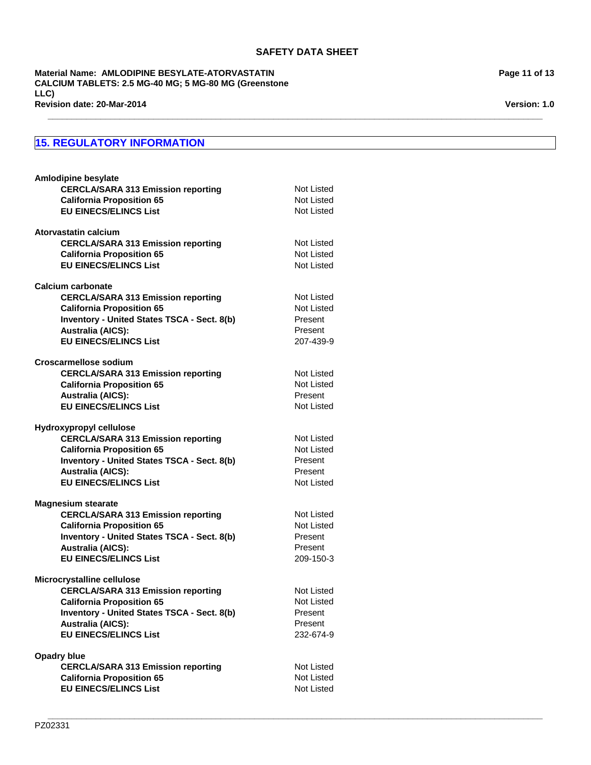**\_\_\_\_\_\_\_\_\_\_\_\_\_\_\_\_\_\_\_\_\_\_\_\_\_\_\_\_\_\_\_\_\_\_\_\_\_\_\_\_\_\_\_\_\_\_\_\_\_\_\_\_\_\_\_\_\_\_\_\_\_\_\_\_\_\_\_\_\_\_\_\_\_\_\_\_\_\_\_\_\_\_\_\_\_\_\_\_\_\_\_\_\_\_\_\_\_\_\_\_\_\_\_**

**\_\_\_\_\_\_\_\_\_\_\_\_\_\_\_\_\_\_\_\_\_\_\_\_\_\_\_\_\_\_\_\_\_\_\_\_\_\_\_\_\_\_\_\_\_\_\_\_\_\_\_\_\_\_\_\_\_\_\_\_\_\_\_\_\_\_\_\_\_\_\_\_\_\_\_\_\_\_\_\_\_\_\_\_\_\_\_\_\_\_\_\_\_\_\_\_\_\_\_\_\_\_\_**

**Revision date: 20-Mar-2014 Material Name: AMLODIPINE BESYLATE-ATORVASTATIN CALCIUM TABLETS: 2.5 MG-40 MG; 5 MG-80 MG (Greenstone LLC)**

# **15. REGULATORY INFORMATION**

| Amlodipine besylate                                                   |                   |
|-----------------------------------------------------------------------|-------------------|
| <b>CERCLA/SARA 313 Emission reporting</b>                             | Not Listed        |
| <b>California Proposition 65</b>                                      | Not Listed        |
| <b>EU EINECS/ELINCS List</b>                                          | Not Listed        |
| Atorvastatin calcium                                                  |                   |
| <b>CERCLA/SARA 313 Emission reporting</b>                             | Not Listed        |
| <b>California Proposition 65</b>                                      | Not Listed        |
| <b>EU EINECS/ELINCS List</b>                                          | Not Listed        |
|                                                                       |                   |
| <b>Calcium carbonate</b><br><b>CERCLA/SARA 313 Emission reporting</b> | Not Listed        |
| <b>California Proposition 65</b>                                      | Not Listed        |
| Inventory - United States TSCA - Sect. 8(b)                           | Present           |
| <b>Australia (AICS):</b>                                              | Present           |
| <b>EU EINECS/ELINCS List</b>                                          | 207-439-9         |
|                                                                       |                   |
| Croscarmellose sodium                                                 |                   |
| <b>CERCLA/SARA 313 Emission reporting</b>                             | <b>Not Listed</b> |
| <b>California Proposition 65</b>                                      | <b>Not Listed</b> |
| <b>Australia (AICS):</b>                                              | Present           |
| <b>EU EINECS/ELINCS List</b>                                          | Not Listed        |
| Hydroxypropyl cellulose                                               |                   |
| <b>CERCLA/SARA 313 Emission reporting</b>                             | Not Listed        |
| <b>California Proposition 65</b>                                      | <b>Not Listed</b> |
| Inventory - United States TSCA - Sect. 8(b)                           | Present           |
| <b>Australia (AICS):</b>                                              | Present           |
| <b>EU EINECS/ELINCS List</b>                                          | Not Listed        |
| <b>Magnesium stearate</b>                                             |                   |
| <b>CERCLA/SARA 313 Emission reporting</b>                             | Not Listed        |
| <b>California Proposition 65</b>                                      | <b>Not Listed</b> |
| Inventory - United States TSCA - Sect. 8(b)                           | Present           |
| <b>Australia (AICS):</b>                                              | Present           |
| <b>EU EINECS/ELINCS List</b>                                          | 209-150-3         |
| Microcrystalline cellulose                                            |                   |
| <b>CERCLA/SARA 313 Emission reporting</b>                             | Not Listed        |
| <b>California Proposition 65</b>                                      | Not Listed        |
| <b>Inventory - United States TSCA - Sect. 8(b)</b>                    | Present           |
| <b>Australia (AICS):</b>                                              | Present           |
| <b>EU EINECS/ELINCS List</b>                                          | 232-674-9         |
|                                                                       |                   |
| Opadry blue                                                           |                   |
| <b>CERCLA/SARA 313 Emission reporting</b>                             | Not Listed        |
| <b>California Proposition 65</b>                                      | Not Listed        |
| <b>EU EINECS/ELINCS List</b>                                          | Not Listed        |
|                                                                       |                   |

**Page 11 of 13**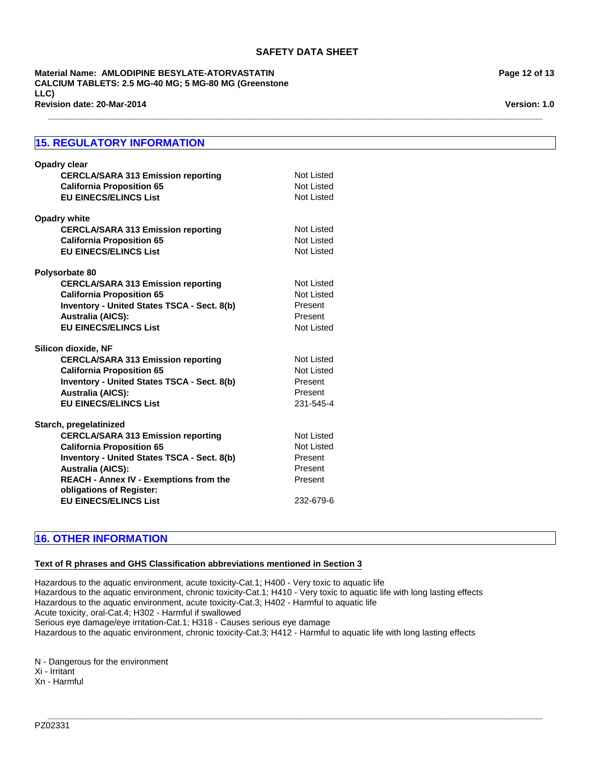**\_\_\_\_\_\_\_\_\_\_\_\_\_\_\_\_\_\_\_\_\_\_\_\_\_\_\_\_\_\_\_\_\_\_\_\_\_\_\_\_\_\_\_\_\_\_\_\_\_\_\_\_\_\_\_\_\_\_\_\_\_\_\_\_\_\_\_\_\_\_\_\_\_\_\_\_\_\_\_\_\_\_\_\_\_\_\_\_\_\_\_\_\_\_\_\_\_\_\_\_\_\_\_**

**Revision date: 20-Mar-2014 Material Name: AMLODIPINE BESYLATE-ATORVASTATIN CALCIUM TABLETS: 2.5 MG-40 MG; 5 MG-80 MG (Greenstone LLC)**

# **15. REGULATORY INFORMATION**

| <b>Opadry clear</b><br><b>CERCLA/SARA 313 Emission reporting</b><br><b>California Proposition 65</b><br><b>EU EINECS/ELINCS List</b>                                                                                                                                                            | Not Listed<br>Not Listed<br>Not Listed                                        |
|-------------------------------------------------------------------------------------------------------------------------------------------------------------------------------------------------------------------------------------------------------------------------------------------------|-------------------------------------------------------------------------------|
| <b>Opadry white</b><br><b>CERCLA/SARA 313 Emission reporting</b><br><b>California Proposition 65</b><br><b>EU EINECS/ELINCS List</b>                                                                                                                                                            | Not Listed<br>Not Listed<br>Not Listed                                        |
| Polysorbate 80<br><b>CERCLA/SARA 313 Emission reporting</b><br><b>California Proposition 65</b><br><b>Inventory - United States TSCA - Sect. 8(b)</b><br><b>Australia (AICS):</b><br><b>EU EINECS/ELINCS List</b>                                                                               | Not Listed<br>Not Listed<br>Present<br>Present<br>Not Listed                  |
| Silicon dioxide, NF<br><b>CERCLA/SARA 313 Emission reporting</b><br><b>California Proposition 65</b><br>Inventory - United States TSCA - Sect. 8(b)<br><b>Australia (AICS):</b><br><b>EU EINECS/ELINCS List</b>                                                                                 | Not Listed<br>Not Listed<br>Present<br>Present<br>231-545-4                   |
| Starch, pregelatinized<br><b>CERCLA/SARA 313 Emission reporting</b><br><b>California Proposition 65</b><br>Inventory - United States TSCA - Sect. 8(b)<br><b>Australia (AICS):</b><br><b>REACH - Annex IV - Exemptions from the</b><br>obligations of Register:<br><b>EU EINECS/ELINCS List</b> | Not Listed<br><b>Not Listed</b><br>Present<br>Present<br>Present<br>232-679-6 |

# **16. OTHER INFORMATION**

# **Text of R phrases and GHS Classification abbreviations mentioned in Section 3**

Hazardous to the aquatic environment, acute toxicity-Cat.1; H400 - Very toxic to aquatic life Hazardous to the aquatic environment, chronic toxicity-Cat.1; H410 - Very toxic to aquatic life with long lasting effects Hazardous to the aquatic environment, acute toxicity-Cat.3; H402 - Harmful to aquatic life Acute toxicity, oral-Cat.4; H302 - Harmful if swallowed Serious eye damage/eye irritation-Cat.1; H318 - Causes serious eye damage Hazardous to the aquatic environment, chronic toxicity-Cat.3; H412 - Harmful to aquatic life with long lasting effects

**\_\_\_\_\_\_\_\_\_\_\_\_\_\_\_\_\_\_\_\_\_\_\_\_\_\_\_\_\_\_\_\_\_\_\_\_\_\_\_\_\_\_\_\_\_\_\_\_\_\_\_\_\_\_\_\_\_\_\_\_\_\_\_\_\_\_\_\_\_\_\_\_\_\_\_\_\_\_\_\_\_\_\_\_\_\_\_\_\_\_\_\_\_\_\_\_\_\_\_\_\_\_\_**

N - Dangerous for the environment Xi - Irritant

Xn - Harmful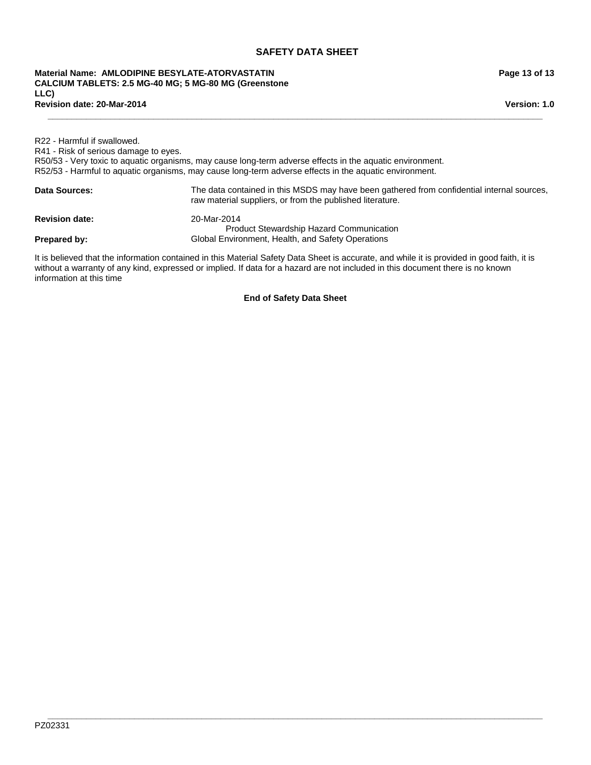#### **Revision date: 20-Mar-2014 Material Name: AMLODIPINE BESYLATE-ATORVASTATIN CALCIUM TABLETS: 2.5 MG-40 MG; 5 MG-80 MG (Greenstone LLC)**

**Page 13 of 13**

**Version: 1.0**

| R22 - Harmful if swallowed.<br>R41 - Risk of serious damage to eyes. | R50/53 - Very toxic to aquatic organisms, may cause long-term adverse effects in the aquatic environment.<br>R52/53 - Harmful to aquatic organisms, may cause long-term adverse effects in the aquatic environment. |
|----------------------------------------------------------------------|---------------------------------------------------------------------------------------------------------------------------------------------------------------------------------------------------------------------|
| <b>Data Sources:</b>                                                 | The data contained in this MSDS may have been gathered from confidential internal sources,<br>raw material suppliers, or from the published literature.                                                             |
| <b>Revision date:</b>                                                | 20-Mar-2014<br><b>Product Stewardship Hazard Communication</b>                                                                                                                                                      |
| Prepared by:                                                         | Global Environment, Health, and Safety Operations                                                                                                                                                                   |
|                                                                      | It is believed that the information contained in this Material Safety Data Sheet is accurate, and while it is provided in good faith, it is                                                                         |

**\_\_\_\_\_\_\_\_\_\_\_\_\_\_\_\_\_\_\_\_\_\_\_\_\_\_\_\_\_\_\_\_\_\_\_\_\_\_\_\_\_\_\_\_\_\_\_\_\_\_\_\_\_\_\_\_\_\_\_\_\_\_\_\_\_\_\_\_\_\_\_\_\_\_\_\_\_\_\_\_\_\_\_\_\_\_\_\_\_\_\_\_\_\_\_\_\_\_\_\_\_\_\_**

It is believed that the information contained in this Material Safety Data Sheet is accurate, and while it is provided in good faith, it is without a warranty of any kind, expressed or implied. If data for a hazard are not included in this document there is no known information at this time

**End of Safety Data Sheet**

**\_\_\_\_\_\_\_\_\_\_\_\_\_\_\_\_\_\_\_\_\_\_\_\_\_\_\_\_\_\_\_\_\_\_\_\_\_\_\_\_\_\_\_\_\_\_\_\_\_\_\_\_\_\_\_\_\_\_\_\_\_\_\_\_\_\_\_\_\_\_\_\_\_\_\_\_\_\_\_\_\_\_\_\_\_\_\_\_\_\_\_\_\_\_\_\_\_\_\_\_\_\_\_**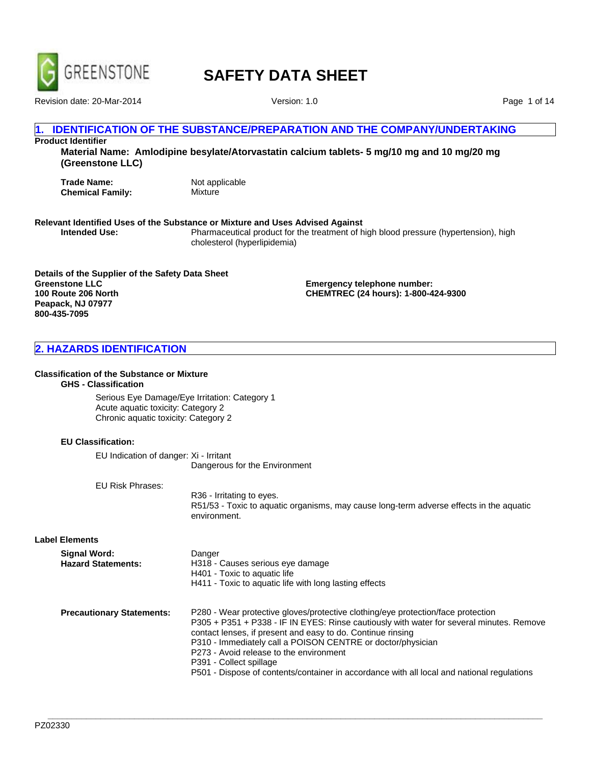

Revision date: 20-Mar-2014 Version: 1.0

Page 1 of 14

# **IDENTIFICATION OF THE SUBSTANCE/PREPARATION AND THE COMPANY/UNDERTAKING**

# **Product Identifier**

**Material Name: Amlodipine besylate/Atorvastatin calcium tablets- 5 mg/10 mg and 10 mg/20 mg (Greenstone LLC)**

**Trade Name:** Not applicable<br> **Chemical Family:** Mixture **Chemical Family:** 

# **Relevant Identified Uses of the Substance or Mixture and Uses Advised Against**

**Intended Use:** Pharmaceutical product for the treatment of high blood pressure (hypertension), high cholesterol (hyperlipidemia)

**Details of the Supplier of the Safety Data Sheet Greenstone LLC 100 Route 206 North Peapack, NJ 07977 800-435-7095**

**Emergency telephone number: CHEMTREC (24 hours): 1-800-424-9300**

# **2. HAZARDS IDENTIFICATION**

#### **Classification of the Substance or Mixture**

# **GHS - Classification**

Serious Eye Damage/Eye Irritation: Category 1 Acute aquatic toxicity: Category 2 Chronic aquatic toxicity: Category 2

#### **EU Classification:**

EU Indication of danger: Xi - Irritant Dangerous for the Environment

EU Risk Phrases:

R36 - Irritating to eyes. R51/53 - Toxic to aquatic organisms, may cause long-term adverse effects in the aquatic environment.

**Label Elements**

| Signal Word:              | Danger                                                 |
|---------------------------|--------------------------------------------------------|
| <b>Hazard Statements:</b> | H318 - Causes serious eye damage                       |
|                           | H401 - Toxic to aquatic life                           |
|                           | H411 - Toxic to aquatic life with long lasting effects |
|                           |                                                        |

| P280 - Wear protective gloves/protective clothing/eye protection/face protection           |
|--------------------------------------------------------------------------------------------|
| P305 + P351 + P338 - IF IN EYES: Rinse cautiously with water for several minutes. Remove   |
| contact lenses, if present and easy to do. Continue rinsing                                |
| P310 - Immediately call a POISON CENTRE or doctor/physician                                |
| P273 - Avoid release to the environment                                                    |
| P391 - Collect spillage                                                                    |
| P501 - Dispose of contents/container in accordance with all local and national regulations |
|                                                                                            |

**\_\_\_\_\_\_\_\_\_\_\_\_\_\_\_\_\_\_\_\_\_\_\_\_\_\_\_\_\_\_\_\_\_\_\_\_\_\_\_\_\_\_\_\_\_\_\_\_\_\_\_\_\_\_\_\_\_\_\_\_\_\_\_\_\_\_\_\_\_\_\_\_\_\_\_\_\_\_\_\_\_\_\_\_\_\_\_\_\_\_\_\_\_\_\_\_\_\_\_\_\_\_\_**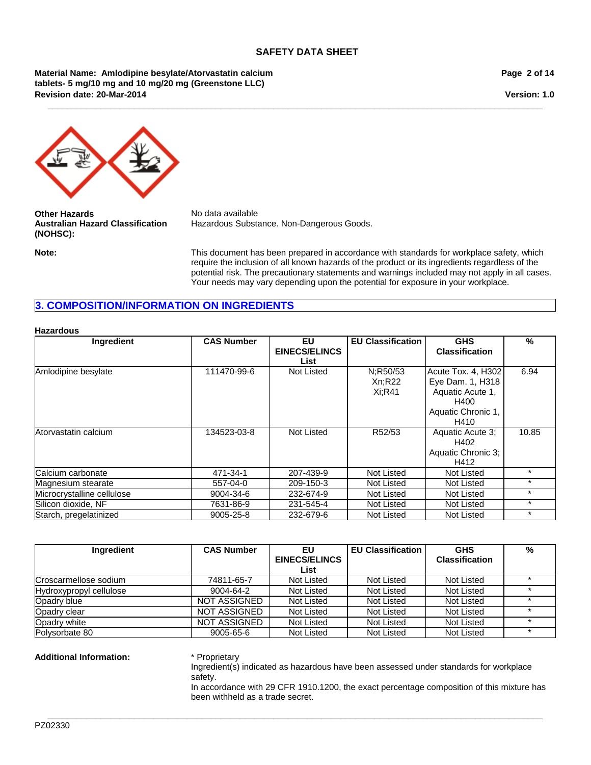**\_\_\_\_\_\_\_\_\_\_\_\_\_\_\_\_\_\_\_\_\_\_\_\_\_\_\_\_\_\_\_\_\_\_\_\_\_\_\_\_\_\_\_\_\_\_\_\_\_\_\_\_\_\_\_\_\_\_\_\_\_\_\_\_\_\_\_\_\_\_\_\_\_\_\_\_\_\_\_\_\_\_\_\_\_\_\_\_\_\_\_\_\_\_\_\_\_\_\_\_\_\_\_**

**Revision date: 20-Mar-2014 Material Name: Amlodipine besylate/Atorvastatin calcium tablets- 5 mg/10 mg and 10 mg/20 mg (Greenstone LLC)**

**Page 2 of 14**

**Version: 1.0**



**Other Hazards** No data available **Australian Hazard Classification (NOHSC):**

Hazardous Substance. Non-Dangerous Goods.

**Note:** This document has been prepared in accordance with standards for workplace safety, which require the inclusion of all known hazards of the product or its ingredients regardless of the potential risk. The precautionary statements and warnings included may not apply in all cases. Your needs may vary depending upon the potential for exposure in your workplace.

# **3. COMPOSITION/INFORMATION ON INGREDIENTS**

#### **Hazardous**

| <b>Ingredient</b>          | <b>CAS Number</b> | EU<br><b>EINECS/ELINCS</b> | <b>EU Classification</b> | <b>GHS</b><br><b>Classification</b> | $\frac{0}{2}$ |
|----------------------------|-------------------|----------------------------|--------------------------|-------------------------------------|---------------|
|                            |                   | List                       |                          |                                     |               |
| Amlodipine besylate        | 111470-99-6       | Not Listed                 | N:R50/53                 | Acute Tox. 4, H302                  | 6.94          |
|                            |                   |                            | Xn; R22                  | Eye Dam. 1, H318                    |               |
|                            |                   |                            | $Xi:$ R41                | Aquatic Acute 1,                    |               |
|                            |                   |                            |                          | H400                                |               |
|                            |                   |                            |                          | Aquatic Chronic 1,                  |               |
|                            |                   |                            |                          | H410                                |               |
| Atorvastatin calcium       | 134523-03-8       | Not Listed                 | R52/53                   | Aquatic Acute 3;                    | 10.85         |
|                            |                   |                            |                          | H402                                |               |
|                            |                   |                            |                          | Aquatic Chronic 3;                  |               |
|                            |                   |                            |                          | H412                                |               |
| Calcium carbonate          | 471-34-1          | 207-439-9                  | Not Listed               | Not Listed                          | $\star$       |
| Magnesium stearate         | 557-04-0          | 209-150-3                  | Not Listed               | Not Listed                          | $\star$       |
| Microcrystalline cellulose | 9004-34-6         | 232-674-9                  | Not Listed               | Not Listed                          | $\star$       |
| Silicon dioxide. NF        | 7631-86-9         | 231-545-4                  | Not Listed               | Not Listed                          | $\star$       |
| Starch, pregelatinized     | 9005-25-8         | 232-679-6                  | Not Listed               | <b>Not Listed</b>                   | $\star$       |

| <b>Ingredient</b>       | <b>CAS Number</b>   | EU                   | <b>EU Classification</b> | <b>GHS</b>            | % |
|-------------------------|---------------------|----------------------|--------------------------|-----------------------|---|
|                         |                     | <b>EINECS/ELINCS</b> |                          | <b>Classification</b> |   |
|                         |                     | List                 |                          |                       |   |
| Croscarmellose sodium   | 74811-65-7          | Not Listed           | Not Listed               | Not Listed            |   |
| Hydroxypropyl cellulose | 9004-64-2           | Not Listed           | Not Listed               | <b>Not Listed</b>     |   |
| Opadry blue             | NOT ASSIGNED        | Not Listed           | Not Listed               | Not Listed            |   |
| Opadry clear            | NOT ASSIGNED        | Not Listed           | Not Listed               | Not Listed            |   |
| Opadry white            | <b>NOT ASSIGNED</b> | Not Listed           | Not Listed               | <b>Not Listed</b>     |   |
| Polysorbate 80          | 9005-65-6           | Not Listed           | Not Listed               | Not Listed            |   |

**\_\_\_\_\_\_\_\_\_\_\_\_\_\_\_\_\_\_\_\_\_\_\_\_\_\_\_\_\_\_\_\_\_\_\_\_\_\_\_\_\_\_\_\_\_\_\_\_\_\_\_\_\_\_\_\_\_\_\_\_\_\_\_\_\_\_\_\_\_\_\_\_\_\_\_\_\_\_\_\_\_\_\_\_\_\_\_\_\_\_\_\_\_\_\_\_\_\_\_\_\_\_\_**

#### **Additional Information:** \* Proprietary

Ingredient(s) indicated as hazardous have been assessed under standards for workplace safety.

In accordance with 29 CFR 1910.1200, the exact percentage composition of this mixture has been withheld as a trade secret.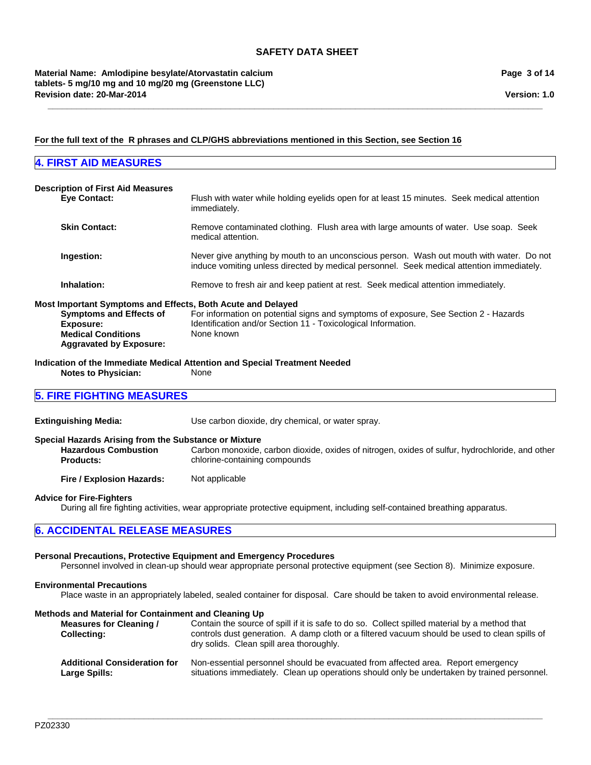**\_\_\_\_\_\_\_\_\_\_\_\_\_\_\_\_\_\_\_\_\_\_\_\_\_\_\_\_\_\_\_\_\_\_\_\_\_\_\_\_\_\_\_\_\_\_\_\_\_\_\_\_\_\_\_\_\_\_\_\_\_\_\_\_\_\_\_\_\_\_\_\_\_\_\_\_\_\_\_\_\_\_\_\_\_\_\_\_\_\_\_\_\_\_\_\_\_\_\_\_\_\_\_**

**Version: 1.0**

# **For the full text of the R phrases and CLP/GHS abbreviations mentioned in this Section, see Section 16**

# **4. FIRST AID MEASURES**

| <b>Description of First Aid Measures</b>                                                                                                                                  |                                                                                                                                                                                       |
|---------------------------------------------------------------------------------------------------------------------------------------------------------------------------|---------------------------------------------------------------------------------------------------------------------------------------------------------------------------------------|
| <b>Eve Contact:</b>                                                                                                                                                       | Flush with water while holding eyelids open for at least 15 minutes. Seek medical attention<br>immediately.                                                                           |
| <b>Skin Contact:</b>                                                                                                                                                      | Remove contaminated clothing. Flush area with large amounts of water. Use soap. Seek<br>medical attention.                                                                            |
| Ingestion:                                                                                                                                                                | Never give anything by mouth to an unconscious person. Wash out mouth with water. Do not<br>induce vomiting unless directed by medical personnel. Seek medical attention immediately. |
| Inhalation:                                                                                                                                                               | Remove to fresh air and keep patient at rest. Seek medical attention immediately.                                                                                                     |
| Most Important Symptoms and Effects, Both Acute and Delayed<br><b>Symptoms and Effects of</b><br>Exposure:<br><b>Medical Conditions</b><br><b>Aggravated by Exposure:</b> | For information on potential signs and symptoms of exposure, See Section 2 - Hazards<br>Identification and/or Section 11 - Toxicological Information.<br>None known                   |

**Indication of the Immediate Medical Attention and Special Treatment Needed**

**Notes to Physician:** None

# **5. FIRE FIGHTING MEASURES**

| <b>Extinguishing Media:</b>                                                                              | Use carbon dioxide, dry chemical, or water spray.                                                                                |  |
|----------------------------------------------------------------------------------------------------------|----------------------------------------------------------------------------------------------------------------------------------|--|
| Special Hazards Arising from the Substance or Mixture<br><b>Hazardous Combustion</b><br><b>Products:</b> | Carbon monoxide, carbon dioxide, oxides of nitrogen, oxides of sulfur, hydrochloride, and other<br>chlorine-containing compounds |  |
| Fire / Explosion Hazards:                                                                                | Not applicable                                                                                                                   |  |
| Advice for Fire Fighters                                                                                 |                                                                                                                                  |  |

**Advice for Fire-Fighters**

During all fire fighting activities, wear appropriate protective equipment, including self-contained breathing apparatus.

# **6. ACCIDENTAL RELEASE MEASURES**

# **Personal Precautions, Protective Equipment and Emergency Procedures**

Personnel involved in clean-up should wear appropriate personal protective equipment (see Section 8). Minimize exposure.

#### **Environmental Precautions**

Place waste in an appropriately labeled, sealed container for disposal. Care should be taken to avoid environmental release.

# **Methods and Material for Containment and Cleaning Up**

| <b>Measures for Cleaning /</b><br><b>Collecting:</b> | Contain the source of spill if it is safe to do so. Collect spilled material by a method that<br>controls dust generation. A damp cloth or a filtered vacuum should be used to clean spills of<br>dry solids. Clean spill area thoroughly. |
|------------------------------------------------------|--------------------------------------------------------------------------------------------------------------------------------------------------------------------------------------------------------------------------------------------|
| <b>Additional Consideration for</b>                  | Non-essential personnel should be evacuated from affected area. Report emergency                                                                                                                                                           |
| Large Spills:                                        | situations immediately. Clean up operations should only be undertaken by trained personnel.                                                                                                                                                |

**\_\_\_\_\_\_\_\_\_\_\_\_\_\_\_\_\_\_\_\_\_\_\_\_\_\_\_\_\_\_\_\_\_\_\_\_\_\_\_\_\_\_\_\_\_\_\_\_\_\_\_\_\_\_\_\_\_\_\_\_\_\_\_\_\_\_\_\_\_\_\_\_\_\_\_\_\_\_\_\_\_\_\_\_\_\_\_\_\_\_\_\_\_\_\_\_\_\_\_\_\_\_\_**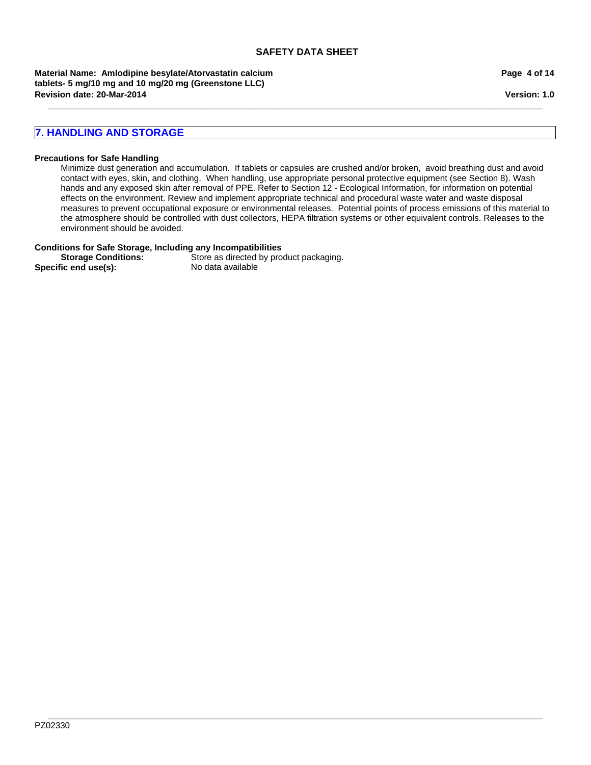**\_\_\_\_\_\_\_\_\_\_\_\_\_\_\_\_\_\_\_\_\_\_\_\_\_\_\_\_\_\_\_\_\_\_\_\_\_\_\_\_\_\_\_\_\_\_\_\_\_\_\_\_\_\_\_\_\_\_\_\_\_\_\_\_\_\_\_\_\_\_\_\_\_\_\_\_\_\_\_\_\_\_\_\_\_\_\_\_\_\_\_\_\_\_\_\_\_\_\_\_\_\_\_**

**Revision date: 20-Mar-2014 Material Name: Amlodipine besylate/Atorvastatin calcium tablets- 5 mg/10 mg and 10 mg/20 mg (Greenstone LLC)**

# **7. HANDLING AND STORAGE**

#### **Precautions for Safe Handling**

Minimize dust generation and accumulation. If tablets or capsules are crushed and/or broken, avoid breathing dust and avoid contact with eyes, skin, and clothing. When handling, use appropriate personal protective equipment (see Section 8). Wash hands and any exposed skin after removal of PPE. Refer to Section 12 - Ecological Information, for information on potential effects on the environment. Review and implement appropriate technical and procedural waste water and waste disposal measures to prevent occupational exposure or environmental releases. Potential points of process emissions of this material to the atmosphere should be controlled with dust collectors, HEPA filtration systems or other equivalent controls. Releases to the environment should be avoided.

#### **Conditions for Safe Storage, Including any Incompatibilities**

Specific end use(s):

**Storage Conditions:** Store as directed by product packaging.<br>
Store as directed by product packaging.<br>
No data available

**Page 4 of 14**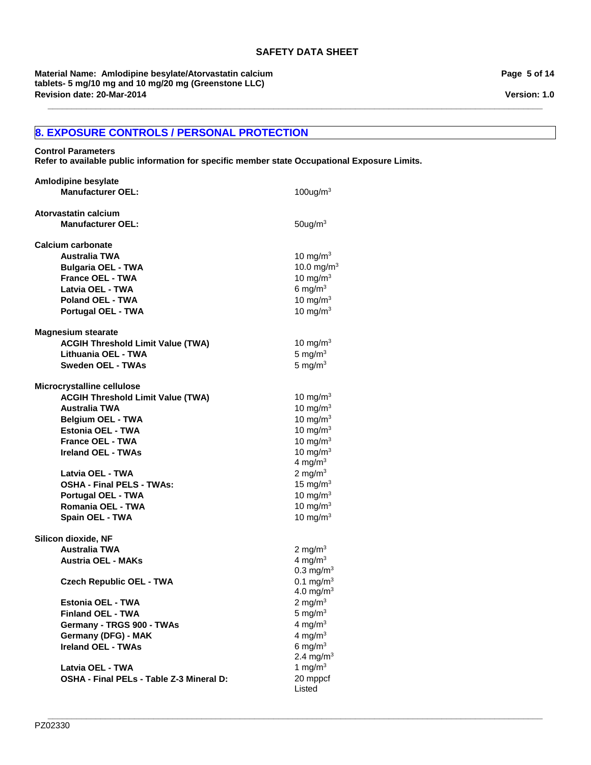**\_\_\_\_\_\_\_\_\_\_\_\_\_\_\_\_\_\_\_\_\_\_\_\_\_\_\_\_\_\_\_\_\_\_\_\_\_\_\_\_\_\_\_\_\_\_\_\_\_\_\_\_\_\_\_\_\_\_\_\_\_\_\_\_\_\_\_\_\_\_\_\_\_\_\_\_\_\_\_\_\_\_\_\_\_\_\_\_\_\_\_\_\_\_\_\_\_\_\_\_\_\_\_**

**Revision date: 20-Mar-2014 Material Name: Amlodipine besylate/Atorvastatin calcium tablets- 5 mg/10 mg and 10 mg/20 mg (Greenstone LLC)**

# **8. EXPOSURE CONTROLS / PERSONAL PROTECTION**

**Control Parameters Refer to available public information for specific member state Occupational Exposure Limits.**

| <b>Amlodipine besylate</b>               |                         |
|------------------------------------------|-------------------------|
| <b>Manufacturer OEL:</b>                 | $100$ ug/m <sup>3</sup> |
|                                          |                         |
| <b>Atorvastatin calcium</b>              |                         |
| <b>Manufacturer OEL:</b>                 | $50$ ug/m $3$           |
| <b>Calcium carbonate</b>                 |                         |
| <b>Australia TWA</b>                     | 10 mg/m $3$             |
| <b>Bulgaria OEL - TWA</b>                | 10.0 mg/m <sup>3</sup>  |
| <b>France OEL - TWA</b>                  | 10 mg/m $3$             |
| Latvia OEL - TWA                         | 6 mg/m $3$              |
| <b>Poland OEL - TWA</b>                  | 10 mg/m $3$             |
|                                          |                         |
| <b>Portugal OEL - TWA</b>                | 10 mg/m $3$             |
| <b>Magnesium stearate</b>                |                         |
| <b>ACGIH Threshold Limit Value (TWA)</b> | 10 mg/m $3$             |
| Lithuania OEL - TWA                      | 5 mg/ $m3$              |
| Sweden OEL - TWAs                        | 5 mg/m $3$              |
|                                          |                         |
| Microcrystalline cellulose               |                         |
| <b>ACGIH Threshold Limit Value (TWA)</b> | 10 mg/ $m3$             |
| <b>Australia TWA</b>                     | 10 mg/m $3$             |
| <b>Belgium OEL - TWA</b>                 | 10 mg/m $3$             |
| <b>Estonia OEL - TWA</b>                 | 10 mg/m $3$             |
| <b>France OEL - TWA</b>                  | 10 mg/m $3$             |
| <b>Ireland OEL - TWAs</b>                | 10 mg/m $3$             |
|                                          | 4 mg/m $3$              |
| Latvia OEL - TWA                         | 2 mg/m $3$              |
| <b>OSHA - Final PELS - TWAs:</b>         | 15 mg/m $3$             |
| <b>Portugal OEL - TWA</b>                | 10 mg/m $3$             |
| Romania OEL - TWA                        | 10 mg/m $3$             |
| Spain OEL - TWA                          | 10 mg/m $3$             |
|                                          |                         |
| Silicon dioxide, NF                      |                         |
| <b>Australia TWA</b>                     | 2 mg/m $3$              |
| <b>Austria OEL - MAKs</b>                | 4 mg/m $3$              |
|                                          | $0.3 \text{ mg/m}^3$    |
| <b>Czech Republic OEL - TWA</b>          | 0.1 mg/m <sup>3</sup>   |
|                                          | 4.0 mg/m <sup>3</sup>   |
| <b>Estonia OEL - TWA</b>                 | 2 mg/m $3$              |
| <b>Finland OEL - TWA</b>                 | $5 \text{ mg/m}^3$      |
| Germany - TRGS 900 - TWAs                | 4 mg/m $3$              |
| Germany (DFG) - MAK                      | 4 mg/m $3$              |
| <b>Ireland OEL - TWAs</b>                | 6 mg/ $m3$              |
|                                          | 2.4 mg/m <sup>3</sup>   |
| Latvia OEL - TWA                         | 1 mg/m $3$              |
| OSHA - Final PELs - Table Z-3 Mineral D: | 20 mppcf                |
|                                          | Listed                  |

**Page 5 of 14**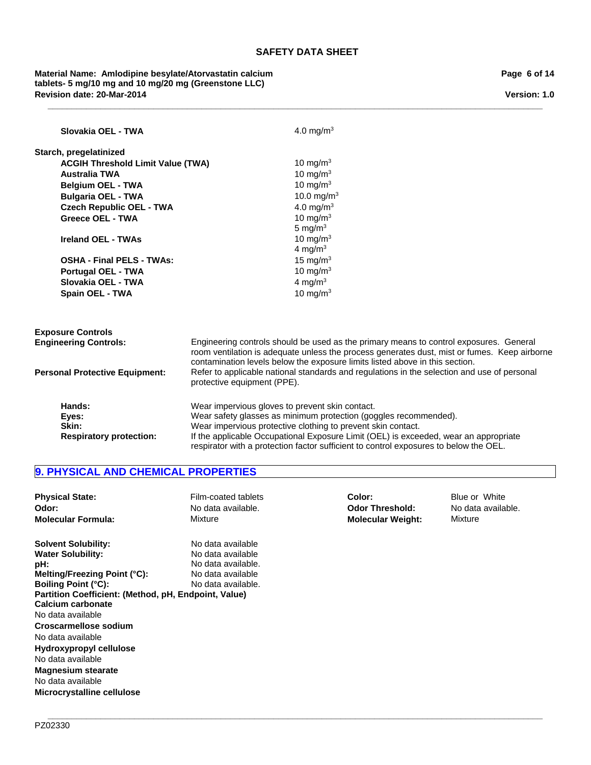**\_\_\_\_\_\_\_\_\_\_\_\_\_\_\_\_\_\_\_\_\_\_\_\_\_\_\_\_\_\_\_\_\_\_\_\_\_\_\_\_\_\_\_\_\_\_\_\_\_\_\_\_\_\_\_\_\_\_\_\_\_\_\_\_\_\_\_\_\_\_\_\_\_\_\_\_\_\_\_\_\_\_\_\_\_\_\_\_\_\_\_\_\_\_\_\_\_\_\_\_\_\_\_**

# **Revision date: 20-Mar-2014 Material Name: Amlodipine besylate/Atorvastatin calcium tablets- 5 mg/10 mg and 10 mg/20 mg (Greenstone LLC)**

| Slovakia OEL - TWA                       | 4.0 mg/m <sup>3</sup>                                                                                                                                                                                                                                                  |  |
|------------------------------------------|------------------------------------------------------------------------------------------------------------------------------------------------------------------------------------------------------------------------------------------------------------------------|--|
| Starch, pregelatinized                   |                                                                                                                                                                                                                                                                        |  |
| <b>ACGIH Threshold Limit Value (TWA)</b> | 10 mg/m $3$                                                                                                                                                                                                                                                            |  |
| <b>Australia TWA</b>                     | 10 mg/m $3$                                                                                                                                                                                                                                                            |  |
| <b>Belgium OEL - TWA</b>                 | 10 mg/m $3$                                                                                                                                                                                                                                                            |  |
| <b>Bulgaria OEL - TWA</b>                | 10.0 mg/m <sup>3</sup>                                                                                                                                                                                                                                                 |  |
| <b>Czech Republic OEL - TWA</b>          | 4.0 mg/m <sup>3</sup>                                                                                                                                                                                                                                                  |  |
| <b>Greece OEL - TWA</b>                  | 10 mg/m $3$                                                                                                                                                                                                                                                            |  |
|                                          | 5 mg/m $3$                                                                                                                                                                                                                                                             |  |
| Ireland OEL - TWAs                       | 10 mg/m $3$                                                                                                                                                                                                                                                            |  |
|                                          | 4 mg/m <sup>3</sup>                                                                                                                                                                                                                                                    |  |
| <b>OSHA - Final PELS - TWAs:</b>         | 15 mg/m $3$                                                                                                                                                                                                                                                            |  |
| <b>Portugal OEL - TWA</b>                | 10 mg/m $3$                                                                                                                                                                                                                                                            |  |
| Slovakia OEL - TWA                       | 4 mg/ $m3$                                                                                                                                                                                                                                                             |  |
| <b>Spain OEL - TWA</b>                   | 10 mg/m $3$                                                                                                                                                                                                                                                            |  |
|                                          |                                                                                                                                                                                                                                                                        |  |
| <b>Exposure Controls</b>                 |                                                                                                                                                                                                                                                                        |  |
| <b>Engineering Controls:</b>             | Engineering controls should be used as the primary means to control exposures. General<br>room ventilation is adequate unless the process generates dust, mist or fumes. Keep airborne<br>contamination levels below the exposure limits listed above in this section. |  |
| <b>Personal Protective Equipment:</b>    | Refer to applicable national standards and regulations in the selection and use of personal<br>protective equipment (PPE).                                                                                                                                             |  |
| Hands:                                   | Wear impervious gloves to prevent skin contact.                                                                                                                                                                                                                        |  |
| Eyes:                                    | Wear safety glasses as minimum protection (goggles recommended).                                                                                                                                                                                                       |  |
| Skin:                                    | Wear impervious protective clothing to prevent skin contact.                                                                                                                                                                                                           |  |
| <b>Respiratory protection:</b>           | If the applicable Occupational Exposure Limit (OEL) is exceeded, wear an appropriate<br>respirator with a protection factor sufficient to control exposures to below the OEL.                                                                                          |  |

# **9. PHYSICAL AND CHEMICAL PROPERTIES**

| <b>Physical State:</b><br>Odor:<br><b>Molecular Formula:</b> | Film-coated tablets<br>No data available.<br>Mixture | Color:<br><b>Odor Threshold:</b><br><b>Molecular Weight:</b> | Blue or White<br>No data available.<br>Mixture |
|--------------------------------------------------------------|------------------------------------------------------|--------------------------------------------------------------|------------------------------------------------|
| <b>Solvent Solubility:</b><br><b>Water Solubility:</b>       | No data available<br>No data available               |                                                              |                                                |
| pH:                                                          | No data available.                                   |                                                              |                                                |
| Melting/Freezing Point (°C):                                 | No data available                                    |                                                              |                                                |
| <b>Boiling Point (°C):</b>                                   | No data available.                                   |                                                              |                                                |
| Partition Coefficient: (Method, pH, Endpoint, Value)         |                                                      |                                                              |                                                |
| Calcium carbonate                                            |                                                      |                                                              |                                                |
| No data available                                            |                                                      |                                                              |                                                |
| Croscarmellose sodium                                        |                                                      |                                                              |                                                |
| No data available                                            |                                                      |                                                              |                                                |
| Hydroxypropyl cellulose                                      |                                                      |                                                              |                                                |
| No data available                                            |                                                      |                                                              |                                                |
| <b>Magnesium stearate</b>                                    |                                                      |                                                              |                                                |
| No data available                                            |                                                      |                                                              |                                                |
| Microcrystalline cellulose                                   |                                                      |                                                              |                                                |

#### **\_\_\_\_\_\_\_\_\_\_\_\_\_\_\_\_\_\_\_\_\_\_\_\_\_\_\_\_\_\_\_\_\_\_\_\_\_\_\_\_\_\_\_\_\_\_\_\_\_\_\_\_\_\_\_\_\_\_\_\_\_\_\_\_\_\_\_\_\_\_\_\_\_\_\_\_\_\_\_\_\_\_\_\_\_\_\_\_\_\_\_\_\_\_\_\_\_\_\_\_\_\_\_** PZ02330

**Page 6 of 14**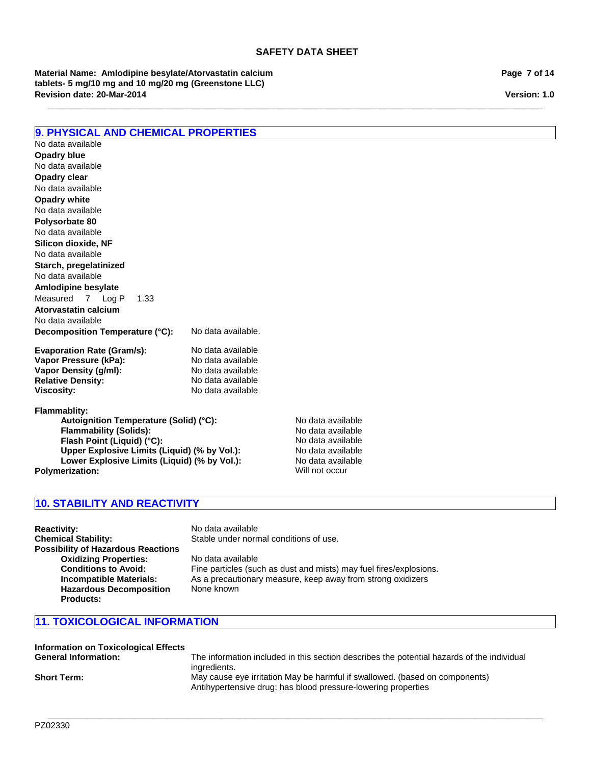**\_\_\_\_\_\_\_\_\_\_\_\_\_\_\_\_\_\_\_\_\_\_\_\_\_\_\_\_\_\_\_\_\_\_\_\_\_\_\_\_\_\_\_\_\_\_\_\_\_\_\_\_\_\_\_\_\_\_\_\_\_\_\_\_\_\_\_\_\_\_\_\_\_\_\_\_\_\_\_\_\_\_\_\_\_\_\_\_\_\_\_\_\_\_\_\_\_\_\_\_\_\_\_**

**Revision date: 20-Mar-2014 Material Name: Amlodipine besylate/Atorvastatin calcium tablets- 5 mg/10 mg and 10 mg/20 mg (Greenstone LLC)**

**Page 7 of 14**

**Version: 1.0**

# **9. PHYSICAL AND CHEMICAL PROPERTIES**

**Decomposition Temperature (°C):** No data available. **Evaporation Rate (Gram/s):** No data available<br> **Vapor Pressure (kPa):** No data available No data available No data available **Silicon dioxide, NF** No data available **Opadry clear Starch, pregelatinized** No data available No data available **Amlodipine besylate** No data available Measured7Log P1.33 **Opadry white Atorvastatin calcium** No data available No data available **Opadry blue Polysorbate 80**

**Vapor Pressure (kPa):** No data available<br> **Vapor Density (g/ml):** No data available **Vapor Density (g/ml):** No data available<br> **Relative Density:** No data available **Relative Density: Viscosity:** No data available

**Flammablity:**

**Autoignition Temperature (Solid) (°C):** No data available<br> **Flammability (Solids):** No data available **Flammability (Solids):** No data available<br> **Flash Point (Liquid) (°C):** No data available **Flash Point (Liquid) (°C): Upper Explosive Limits (Liquid) (% by Vol.):** No data available Lower Explosive Limits (Liquid) (% by Vol.): No data available **Polymerization:** Will not occur

# **10. STABILITY AND REACTIVITY**

**Reactivity:** No data available<br> **Chemical Stability:** Stable under norm **Possibility of Hazardous Reactions Oxidizing Properties:** No data available **Hazardous Decomposition Products:**

Stable under normal conditions of use. **Conditions to Avoid:** Fine particles (such as dust and mists) may fuel fires/explosions.<br> **Incompatible Materials:** As a precautionary measure, keep away from strong oxidizers As a precautionary measure, keep away from strong oxidizers None known

# **11. TOXICOLOGICAL INFORMATION**

| <b>Information on Toxicological Effects</b> |                                                                                                                                              |
|---------------------------------------------|----------------------------------------------------------------------------------------------------------------------------------------------|
| <b>General Information:</b>                 | The information included in this section describes the potential hazards of the individual<br>ingredients.                                   |
| <b>Short Term:</b>                          | May cause eye irritation May be harmful if swallowed. (based on components)<br>Antihypertensive drug: has blood pressure-lowering properties |

**\_\_\_\_\_\_\_\_\_\_\_\_\_\_\_\_\_\_\_\_\_\_\_\_\_\_\_\_\_\_\_\_\_\_\_\_\_\_\_\_\_\_\_\_\_\_\_\_\_\_\_\_\_\_\_\_\_\_\_\_\_\_\_\_\_\_\_\_\_\_\_\_\_\_\_\_\_\_\_\_\_\_\_\_\_\_\_\_\_\_\_\_\_\_\_\_\_\_\_\_\_\_\_**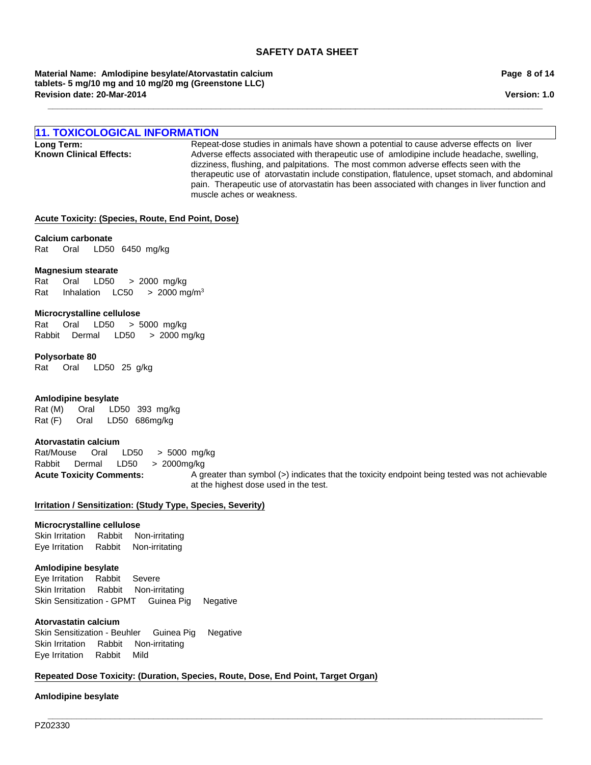**\_\_\_\_\_\_\_\_\_\_\_\_\_\_\_\_\_\_\_\_\_\_\_\_\_\_\_\_\_\_\_\_\_\_\_\_\_\_\_\_\_\_\_\_\_\_\_\_\_\_\_\_\_\_\_\_\_\_\_\_\_\_\_\_\_\_\_\_\_\_\_\_\_\_\_\_\_\_\_\_\_\_\_\_\_\_\_\_\_\_\_\_\_\_\_\_\_\_\_\_\_\_\_**

**Revision date: 20-Mar-2014 Material Name: Amlodipine besylate/Atorvastatin calcium tablets- 5 mg/10 mg and 10 mg/20 mg (Greenstone LLC)**

# **11. TOXICOLOGICAL INFORMATION**

**Long Term:** Repeat-dose studies in animals have shown a potential to cause adverse effects on liver<br>**Known Clinical Effects:** Adverse effects associated with therapeutic use of amlodipine include headache. swelling Adverse effects associated with therapeutic use of amlodipine include headache, swelling, dizziness, flushing, and palpitations. The most common adverse effects seen with the therapeutic use of atorvastatin include constipation, flatulence, upset stomach, and abdominal pain. Therapeutic use of atorvastatin has been associated with changes in liver function and muscle aches or weakness.

#### **Acute Toxicity: (Species, Route, End Point, Dose)**

Rat Oral LD50 6450mg/kg **Calcium carbonate**

#### **Magnesium stearate**

Rat Oral LD50 >2000mg/kg Rat InhalationLC50 >2000 mg/m3

#### **Microcrystalline cellulose**

Rat Oral LD50 >5000mg/kg RabbitDermal LD50 >2000 mg/kg

#### **Polysorbate 80**

Rat Oral LD50 25g/kg

#### **Amlodipine besylate**

Rat (M) Oral LD50 393mg/kg Rat (F) Oral LD50 686mg/kg

#### **Atorvastatin calcium**

Rabbit Dermal LD50 >2000mg/kg Rat/Mouse Oral LD50 >5000mg/kg

Acute Toxicity Comments: A greater than symbol (>) indicates that the toxicity endpoint being tested was not achievable at the highest dose used in the test.

#### **Irritation / Sensitization: (Study Type, Species, Severity)**

# **Microcrystalline cellulose**

Skin IrritationRabbitNon-irritating Eye IrritationRabbitNon-irritating

#### **Amlodipine besylate**

Eye IrritationRabbitSevere Skin IrritationRabbitNon-irritating Skin Sensitization - GPMTGuinea PigNegative

#### **Atorvastatin calcium**

Skin Sensitization - BeuhlerGuinea PigNegative Skin IrritationRabbitNon-irritating Eye IrritationRabbitMild

# **Repeated Dose Toxicity: (Duration, Species, Route, Dose, End Point, Target Organ)**

#### **Amlodipine besylate**

**Page 8 of 14**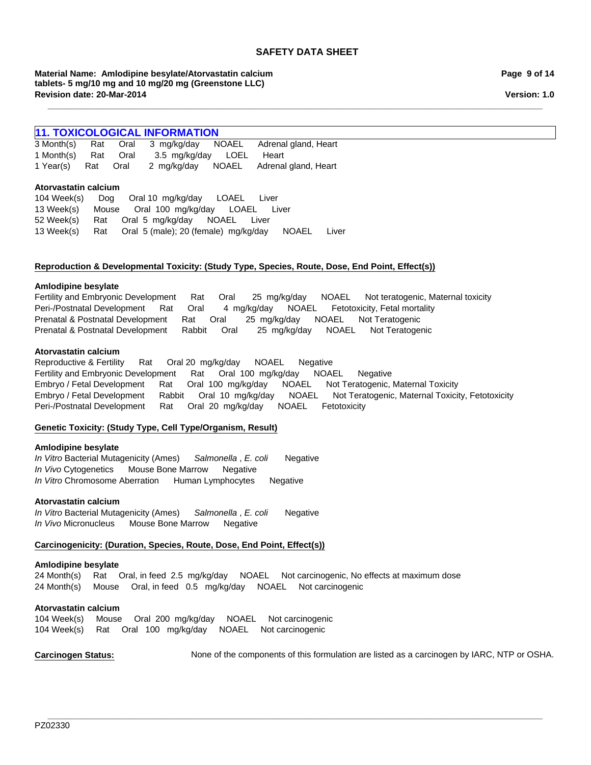**\_\_\_\_\_\_\_\_\_\_\_\_\_\_\_\_\_\_\_\_\_\_\_\_\_\_\_\_\_\_\_\_\_\_\_\_\_\_\_\_\_\_\_\_\_\_\_\_\_\_\_\_\_\_\_\_\_\_\_\_\_\_\_\_\_\_\_\_\_\_\_\_\_\_\_\_\_\_\_\_\_\_\_\_\_\_\_\_\_\_\_\_\_\_\_\_\_\_\_\_\_\_\_**

**Material Name: Amlodipine besylate/Atorvastatin calcium tablets- 5 mg/10 mg and 10 mg/20 mg (Greenstone LLC) Revision date: 20-Mar-2014**

# **11. TOXICOLOGICAL INFORMATION**<br>3 Month(s) Rat Oral 3 mg/kg/day N

1 Year(s)RatOral2mg/kg/dayNOAELAdrenal gland, Heart 3 Month(s)RatOral3mg/kg/dayNOAELAdrenal gland, Heart 1 Month(s)RatOral3.5mg/kg/dayLOELHeart

#### **Atorvastatin calcium**

104 Week(s)DogOral 10mg/kg/dayLOAELLiver 13 Week(s)MouseOral100mg/kg/dayLOAELLiver 52 Week(s)RatOral5mg/kg/dayNOAELLiver 13 Week(s)RatOral5 (male); 20 (female)mg/kg/dayNOAELLiver

#### **Reproduction & Developmental Toxicity: (Study Type, Species, Route, Dose, End Point, Effect(s))**

#### **Amlodipine besylate**

Fertility and Embryonic DevelopmentRatOral25mg/kg/dayNOAELNot teratogenic, Maternal toxicity Peri-/Postnatal DevelopmentRatOral4mg/kg/dayNOAELFetotoxicity, Fetal mortality Prenatal & Postnatal DevelopmentRatOral25mg/kg/dayNOAELNot Teratogenic Prenatal & Postnatal DevelopmentRabbitOral25mg/kg/dayNOAELNot Teratogenic

#### **Atorvastatin calcium**

Reproductive & FertilityRatOral 20mg/kg/dayNOAELNegative Fertility and Embryonic DevelopmentRatOral100mg/kg/dayNOAELNegative Embryo / Fetal DevelopmentRatOral100mg/kg/dayNOAELNot Teratogenic, Maternal Toxicity Embryo / Fetal DevelopmentRabbitOral10mg/kg/dayNOAELNot Teratogenic, Maternal Toxicity, Fetotoxicity Peri-/Postnatal DevelopmentRatOral20mg/kg/dayNOAELFetotoxicity

# **Genetic Toxicity: (Study Type, Cell Type/Organism, Result)**

#### **Amlodipine besylate**

*In Vitro* Bacterial Mutagenicity (Ames)*Salmonella* , *E. coli* Negative *In Vivo* CytogeneticsMouse Bone MarrowNegative *In Vitro* Chromosome AberrationHuman LymphocytesNegative

# **Atorvastatin calcium**

*In Vitro* Bacterial Mutagenicity (Ames)*Salmonella* , *E. coli* Negative *In Vivo* MicronucleusMouse Bone MarrowNegative

# **Carcinogenicity: (Duration, Species, Route, Dose, End Point, Effect(s))**

#### **Amlodipine besylate**

24 Month(s)RatOral, in feed2.5mg/kg/dayNOAELNot carcinogenic, No effects at maximum dose 24 Month(s)MouseOral, in feed0.5mg/kg/dayNOAELNot carcinogenic

# **Atorvastatin calcium**

104 Week(s)MouseOral200mg/kg/dayNOAELNot carcinogenic 104 Week(s)RatOral100mg/kg/dayNOAELNot carcinogenic

Carcinogen Status: None of the components of this formulation are listed as a carcinogen by IARC, NTP or OSHA.

**\_\_\_\_\_\_\_\_\_\_\_\_\_\_\_\_\_\_\_\_\_\_\_\_\_\_\_\_\_\_\_\_\_\_\_\_\_\_\_\_\_\_\_\_\_\_\_\_\_\_\_\_\_\_\_\_\_\_\_\_\_\_\_\_\_\_\_\_\_\_\_\_\_\_\_\_\_\_\_\_\_\_\_\_\_\_\_\_\_\_\_\_\_\_\_\_\_\_\_\_\_\_\_** PZ02330

**Page 9 of 14**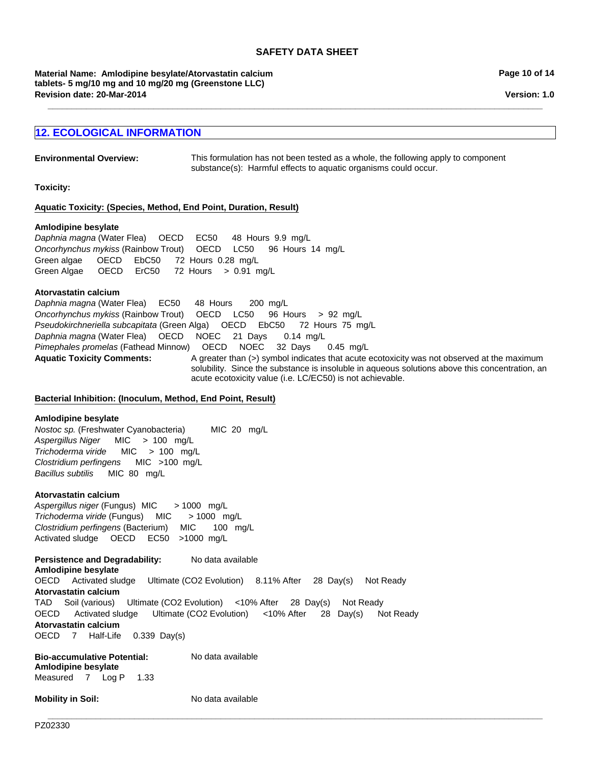**\_\_\_\_\_\_\_\_\_\_\_\_\_\_\_\_\_\_\_\_\_\_\_\_\_\_\_\_\_\_\_\_\_\_\_\_\_\_\_\_\_\_\_\_\_\_\_\_\_\_\_\_\_\_\_\_\_\_\_\_\_\_\_\_\_\_\_\_\_\_\_\_\_\_\_\_\_\_\_\_\_\_\_\_\_\_\_\_\_\_\_\_\_\_\_\_\_\_\_\_\_\_\_**

**Revision date: 20-Mar-2014 Material Name: Amlodipine besylate/Atorvastatin calcium tablets- 5 mg/10 mg and 10 mg/20 mg (Greenstone LLC)**

# **12. ECOLOGICAL INFORMATION**

**Environmental Overview:** This formulation has not been tested as a whole, the following apply to component substance(s): Harmful effects to aquatic organisms could occur.

**Toxicity:**

#### **Aquatic Toxicity: (Species, Method, End Point, Duration, Result)**

#### **Amlodipine besylate**

*Oncorhynchus mykiss* (Rainbow Trout)OECDLC50 96Hours14mg/L Green algae OECDEbC50 72Hours0.28mg/L Green Algae OECDErC50 72Hours>0.91mg/L *Daphnia magna* (Water Flea)OECDEC50 48Hours9.9mg/L

#### **Atorvastatin calcium**

Aquatic Toxicity Comments: A greater than (>) symbol indicates that acute ecotoxicity was not observed at the maximum solubility. Since the substance is insoluble in aqueous solutions above this concentration, an acute ecotoxicity value (i.e. LC/EC50) is not achievable. *Daphnia magna* (Water Flea)OECDNOEC21Days0.14mg/L *Pimephales promelas* (Fathead Minnow)OECDNOEC32Days0.45mg/L *Daphnia magna* (Water Flea)EC50 48Hours200mg/L *Oncorhynchus mykiss* (Rainbow Trout)OECDLC50 96Hours>92mg/L *Pseudokirchneriella subcapitata* (Green Alga)OECDEbC50 72Hours75mg/L

# **Bacterial Inhibition: (Inoculum, Method, End Point, Result)**

#### **Amlodipine besylate**

*Nostoc sp.* (Freshwater Cyanobacteria) MIC20mg/L *Aspergillus Niger* MIC>100mg/L *Trichoderma viride* MIC>100mg/L *Clostridium perfingens* MIC>100mg/L *Bacillus subtilis* MIC80mg/L

#### **Atorvastatin calcium**

*Trichoderma viride* (Fungus)MIC> 1000mg/L *Clostridium perfingens* (Bacterium)MIC100mg/L Activated sludgeOECDEC50 >1000mg/L *Aspergillus niger* (Fungus) MIC> 1000mg/L

**Persistence and Degradability:** No data available **Amlodipine besylate** OECDActivated sludgeUltimate (CO2 Evolution)8.11% After28Day(s)Not Ready **Atorvastatin calcium** TADSoil (various)Ultimate (CO2 Evolution)<10% After28Day(s)Not Ready OECDActivated sludgeUltimate (CO2 Evolution)<10% After28Day(s)Not Ready **Atorvastatin calcium** OECD7Half-Life0.339Day(s)

**Bio-accumulative Potential:** No data available **Amlodipine besylate** Measured7Log P1.33

**Mobility in Soil:** No data available

**\_\_\_\_\_\_\_\_\_\_\_\_\_\_\_\_\_\_\_\_\_\_\_\_\_\_\_\_\_\_\_\_\_\_\_\_\_\_\_\_\_\_\_\_\_\_\_\_\_\_\_\_\_\_\_\_\_\_\_\_\_\_\_\_\_\_\_\_\_\_\_\_\_\_\_\_\_\_\_\_\_\_\_\_\_\_\_\_\_\_\_\_\_\_\_\_\_\_\_\_\_\_\_**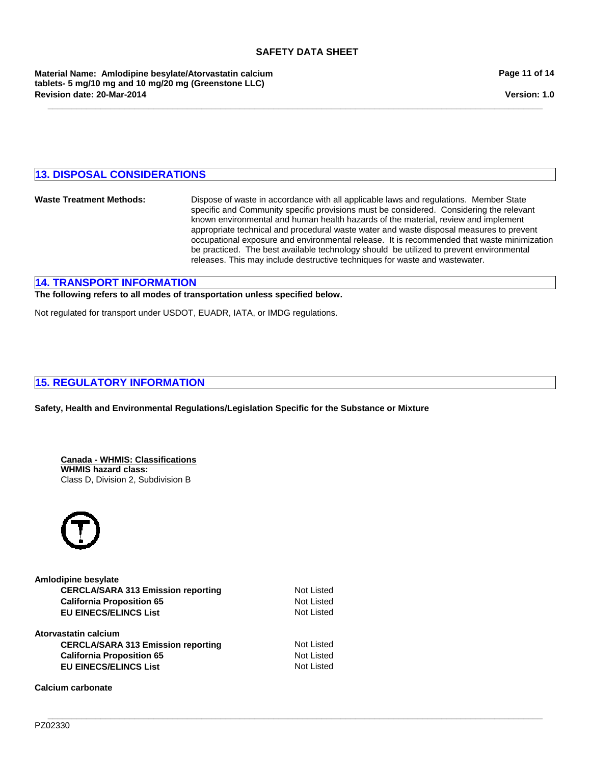**\_\_\_\_\_\_\_\_\_\_\_\_\_\_\_\_\_\_\_\_\_\_\_\_\_\_\_\_\_\_\_\_\_\_\_\_\_\_\_\_\_\_\_\_\_\_\_\_\_\_\_\_\_\_\_\_\_\_\_\_\_\_\_\_\_\_\_\_\_\_\_\_\_\_\_\_\_\_\_\_\_\_\_\_\_\_\_\_\_\_\_\_\_\_\_\_\_\_\_\_\_\_\_**

**Material Name: Amlodipine besylate/Atorvastatin calcium tablets- 5 mg/10 mg and 10 mg/20 mg (Greenstone LLC) Revision date: 20-Mar-2014**

**Version: 1.0**

# **13. DISPOSAL CONSIDERATIONS**

**Waste Treatment Methods:** Dispose of waste in accordance with all applicable laws and regulations. Member State specific and Community specific provisions must be considered. Considering the relevant known environmental and human health hazards of the material, review and implement appropriate technical and procedural waste water and waste disposal measures to prevent occupational exposure and environmental release. It is recommended that waste minimization be practiced. The best available technology should be utilized to prevent environmental releases. This may include destructive techniques for waste and wastewater.

**\_\_\_\_\_\_\_\_\_\_\_\_\_\_\_\_\_\_\_\_\_\_\_\_\_\_\_\_\_\_\_\_\_\_\_\_\_\_\_\_\_\_\_\_\_\_\_\_\_\_\_\_\_\_\_\_\_\_\_\_\_\_\_\_\_\_\_\_\_\_\_\_\_\_\_\_\_\_\_\_\_\_\_\_\_\_\_\_\_\_\_\_\_\_\_\_\_\_\_\_\_\_\_**

# **14. TRANSPORT INFORMATION**

#### **The following refers to all modes of transportation unless specified below.**

Not regulated for transport under USDOT, EUADR, IATA, or IMDG regulations.

# **15. REGULATORY INFORMATION**

**Safety, Health and Environmental Regulations/Legislation Specific for the Substance or Mixture**

**Canada - WHMIS: Classifications WHMIS hazard class:** Class D, Division 2, Subdivision B



| Amlodipine besylate                       |                   |
|-------------------------------------------|-------------------|
| <b>CERCLA/SARA 313 Emission reporting</b> | <b>Not Listed</b> |
| <b>California Proposition 65</b>          | <b>Not Listed</b> |
| <b>EU EINECS/ELINCS List</b>              | <b>Not Listed</b> |
| Atorvastatin calcium                      |                   |
| <b>CERCLA/SARA 313 Emission reporting</b> | <b>Not Listed</b> |
| <b>California Proposition 65</b>          | <b>Not Listed</b> |
| <b>EU EINECS/ELINCS List</b>              | <b>Not Listed</b> |

**Calcium carbonate**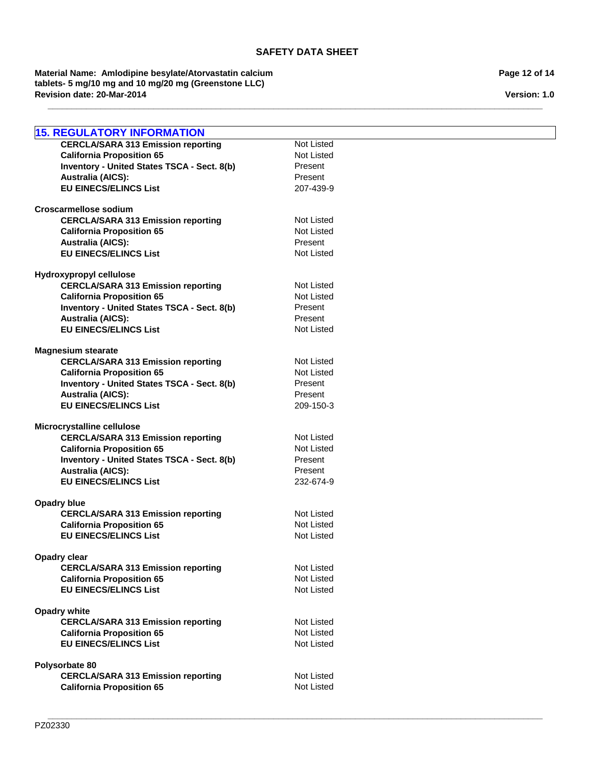**\_\_\_\_\_\_\_\_\_\_\_\_\_\_\_\_\_\_\_\_\_\_\_\_\_\_\_\_\_\_\_\_\_\_\_\_\_\_\_\_\_\_\_\_\_\_\_\_\_\_\_\_\_\_\_\_\_\_\_\_\_\_\_\_\_\_\_\_\_\_\_\_\_\_\_\_\_\_\_\_\_\_\_\_\_\_\_\_\_\_\_\_\_\_\_\_\_\_\_\_\_\_\_**

**Revision date: 20-Mar-2014 Material Name: Amlodipine besylate/Atorvastatin calcium tablets- 5 mg/10 mg and 10 mg/20 mg (Greenstone LLC)**

**Page 12 of 14**

**Version: 1.0**

| <b>15. REGULATORY INFORMATION</b>                                |                   |
|------------------------------------------------------------------|-------------------|
| <b>CERCLA/SARA 313 Emission reporting</b>                        | Not Listed        |
| <b>California Proposition 65</b>                                 | Not Listed        |
| Inventory - United States TSCA - Sect. 8(b)                      | Present           |
| <b>Australia (AICS):</b>                                         | Present           |
| <b>EU EINECS/ELINCS List</b>                                     | 207-439-9         |
| <b>Croscarmellose sodium</b>                                     |                   |
| <b>CERCLA/SARA 313 Emission reporting</b>                        | Not Listed        |
| <b>California Proposition 65</b>                                 | <b>Not Listed</b> |
| <b>Australia (AICS):</b>                                         | Present           |
| <b>EU EINECS/ELINCS List</b>                                     | Not Listed        |
|                                                                  |                   |
| Hydroxypropyl cellulose                                          | Not Listed        |
| <b>CERCLA/SARA 313 Emission reporting</b>                        | <b>Not Listed</b> |
| <b>California Proposition 65</b>                                 |                   |
| Inventory - United States TSCA - Sect. 8(b)                      | Present           |
| <b>Australia (AICS):</b>                                         | Present           |
| <b>EU EINECS/ELINCS List</b>                                     | Not Listed        |
| <b>Magnesium stearate</b>                                        |                   |
| <b>CERCLA/SARA 313 Emission reporting</b>                        | Not Listed        |
| <b>California Proposition 65</b>                                 | <b>Not Listed</b> |
| <b>Inventory - United States TSCA - Sect. 8(b)</b>               | Present           |
| <b>Australia (AICS):</b>                                         | Present           |
| <b>EU EINECS/ELINCS List</b>                                     | 209-150-3         |
|                                                                  |                   |
| Microcrystalline cellulose                                       |                   |
| <b>CERCLA/SARA 313 Emission reporting</b>                        | Not Listed        |
| <b>California Proposition 65</b>                                 | <b>Not Listed</b> |
| Inventory - United States TSCA - Sect. 8(b)                      | Present           |
| <b>Australia (AICS):</b>                                         | Present           |
| <b>EU EINECS/ELINCS List</b>                                     | 232-674-9         |
| <b>Opadry blue</b>                                               |                   |
| <b>CERCLA/SARA 313 Emission reporting</b>                        | <b>Not Listed</b> |
| <b>California Proposition 65</b>                                 | <b>Not Listed</b> |
| <b>EU EINECS/ELINCS List</b>                                     | <b>Not Listed</b> |
|                                                                  |                   |
| <b>Opadry clear</b><br><b>CERCLA/SARA 313 Emission reporting</b> | <b>Not Listed</b> |
|                                                                  | <b>Not Listed</b> |
| <b>California Proposition 65</b><br><b>EU EINECS/ELINCS List</b> | Not Listed        |
|                                                                  |                   |
| <b>Opadry white</b>                                              |                   |
| <b>CERCLA/SARA 313 Emission reporting</b>                        | Not Listed        |
| <b>California Proposition 65</b>                                 | <b>Not Listed</b> |
| <b>EU EINECS/ELINCS List</b>                                     | Not Listed        |
|                                                                  |                   |
| Polysorbate 80                                                   |                   |
| <b>CERCLA/SARA 313 Emission reporting</b>                        | Not Listed        |
| <b>California Proposition 65</b>                                 | <b>Not Listed</b> |
|                                                                  |                   |

**\_\_\_\_\_\_\_\_\_\_\_\_\_\_\_\_\_\_\_\_\_\_\_\_\_\_\_\_\_\_\_\_\_\_\_\_\_\_\_\_\_\_\_\_\_\_\_\_\_\_\_\_\_\_\_\_\_\_\_\_\_\_\_\_\_\_\_\_\_\_\_\_\_\_\_\_\_\_\_\_\_\_\_\_\_\_\_\_\_\_\_\_\_\_\_\_\_\_\_\_\_\_\_**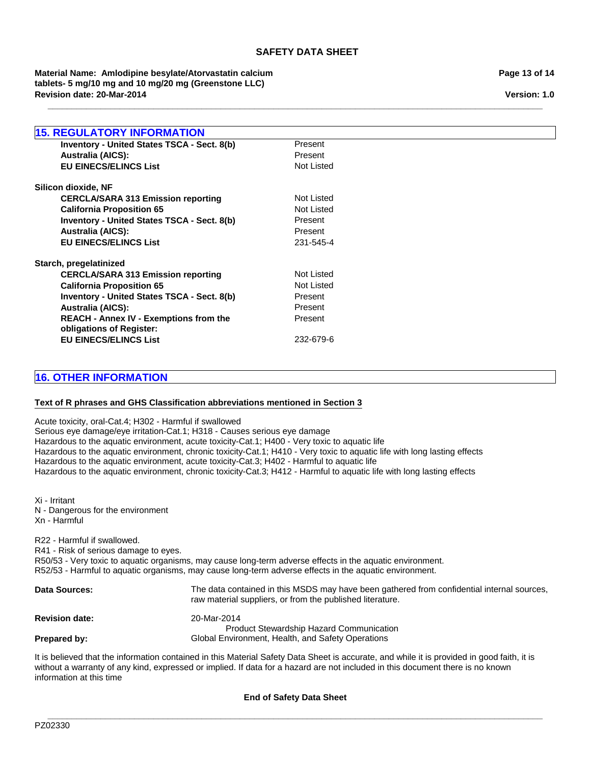**\_\_\_\_\_\_\_\_\_\_\_\_\_\_\_\_\_\_\_\_\_\_\_\_\_\_\_\_\_\_\_\_\_\_\_\_\_\_\_\_\_\_\_\_\_\_\_\_\_\_\_\_\_\_\_\_\_\_\_\_\_\_\_\_\_\_\_\_\_\_\_\_\_\_\_\_\_\_\_\_\_\_\_\_\_\_\_\_\_\_\_\_\_\_\_\_\_\_\_\_\_\_\_**

**Revision date: 20-Mar-2014 Material Name: Amlodipine besylate/Atorvastatin calcium tablets- 5 mg/10 mg and 10 mg/20 mg (Greenstone LLC)**

# **15. REGULATORY INFORMATION Australia (AICS):** Present **REACH - Annex IV - Exemptions from the obligations of Register:** Present **CERCLA/SARA 313 Emission reporting EU EINECS/ELINCS List** 232-679-6 Not Listed **Inventory - United States TSCA - Sect. 8(b) California Proposition 65** Not Listed Present **Inventory - United States TSCA - Sect. 8(b)** Present **Australia (AICS):** Present **Australia (AICS):** Present **EU EINECS/ELINCS List** 231-545-4 **Starch, pregelatinized** CERCLA/SARA 313 Emission reporting Not Listed **EU EINECS/ELINCS List** Not Listed **California Proposition 65** Not Listed **Inventory - United States TSCA - Sect. 8(b)** Present **Silicon dioxide, NF**

# **16. OTHER INFORMATION**

# **Text of R phrases and GHS Classification abbreviations mentioned in Section 3**

Acute toxicity, oral-Cat.4; H302 - Harmful if swallowed Serious eye damage/eye irritation-Cat.1; H318 - Causes serious eye damage Hazardous to the aquatic environment, acute toxicity-Cat.1; H400 - Very toxic to aquatic life Hazardous to the aquatic environment, chronic toxicity-Cat.1; H410 - Very toxic to aquatic life with long lasting effects Hazardous to the aquatic environment, acute toxicity-Cat.3; H402 - Harmful to aquatic life Hazardous to the aquatic environment, chronic toxicity-Cat.3; H412 - Harmful to aquatic life with long lasting effects

Xi - Irritant N - Dangerous for the environment Xn - Harmful

R22 - Harmful if swallowed. R41 - Risk of serious damage to eyes. R50/53 - Very toxic to aquatic organisms, may cause long-term adverse effects in the aquatic environment. R52/53 - Harmful to aquatic organisms, may cause long-term adverse effects in the aquatic environment.

| <b>Data Sources:</b>  | The data contained in this MSDS may have been gathered from confidential internal sources,<br>raw material suppliers, or from the published literature. |
|-----------------------|---------------------------------------------------------------------------------------------------------------------------------------------------------|
| <b>Revision date:</b> | 20-Mar-2014<br><b>Product Stewardship Hazard Communication</b>                                                                                          |
| Prepared by:          | Global Environment, Health, and Safety Operations                                                                                                       |

It is believed that the information contained in this Material Safety Data Sheet is accurate, and while it is provided in good faith, it is without a warranty of any kind, expressed or implied. If data for a hazard are not included in this document there is no known information at this time

**End of Safety Data Sheet**

**Page 13 of 14**